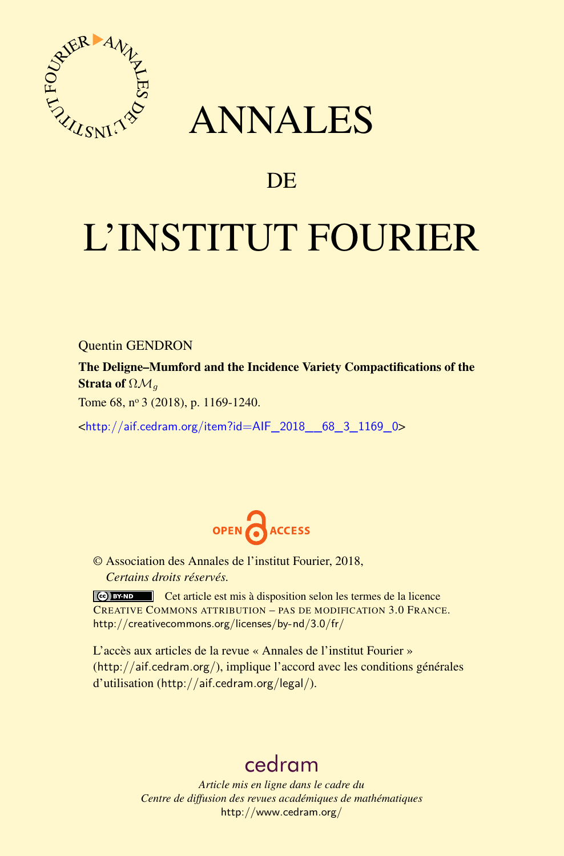

## ANNALES

## **DE**

# L'INSTITUT FOURIER

Quentin GENDRON

The Deligne–Mumford and the Incidence Variety Compactifications of the Strata of ΩM*<sup>g</sup>*

Tome 68, nº 3 (2018), p. 1169-1240.

<[http://aif.cedram.org/item?id=AIF\\_2018\\_\\_68\\_3\\_1169\\_0](http://aif.cedram.org/item?id=AIF_2018__68_3_1169_0)>



© Association des Annales de l'institut Fourier, 2018, *Certains droits réservés.*

Cet article est mis à disposition selon les termes de la licence CREATIVE COMMONS ATTRIBUTION – PAS DE MODIFICATION 3.0 FRANCE. <http://creativecommons.org/licenses/by-nd/3.0/fr/>

L'accès aux articles de la revue « Annales de l'institut Fourier » (<http://aif.cedram.org/>), implique l'accord avec les conditions générales d'utilisation (<http://aif.cedram.org/legal/>).

## [cedram](http://www.cedram.org/)

*Article mis en ligne dans le cadre du Centre de diffusion des revues académiques de mathématiques* <http://www.cedram.org/>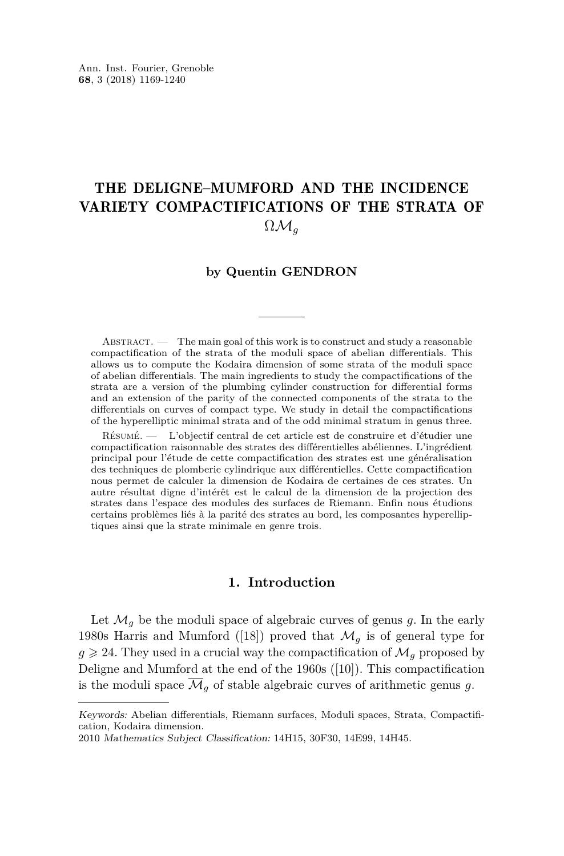### THE DELIGNE–MUMFORD AND THE INCIDENCE VARIETY COMPACTIFICATIONS OF THE STRATA OF  $\Omega \mathcal{M}_q$

#### **by Quentin GENDRON**

ABSTRACT.  $\qquad$  The main goal of this work is to construct and study a reasonable compactification of the strata of the moduli space of abelian differentials. This allows us to compute the Kodaira dimension of some strata of the moduli space of abelian differentials. The main ingredients to study the compactifications of the strata are a version of the plumbing cylinder construction for differential forms and an extension of the parity of the connected components of the strata to the differentials on curves of compact type. We study in detail the compactifications of the hyperelliptic minimal strata and of the odd minimal stratum in genus three.

Résumé. — L'objectif central de cet article est de construire et d'étudier une compactification raisonnable des strates des différentielles abéliennes. L'ingrédient principal pour l'étude de cette compactification des strates est une généralisation des techniques de plomberie cylindrique aux différentielles. Cette compactification nous permet de calculer la dimension de Kodaira de certaines de ces strates. Un autre résultat digne d'intérêt est le calcul de la dimension de la projection des strates dans l'espace des modules des surfaces de Riemann. Enfin nous étudions certains problèmes liés à la parité des strates au bord, les composantes hyperelliptiques ainsi que la strate minimale en genre trois.

#### **1. Introduction**

Let  $\mathcal{M}_g$  be the moduli space of algebraic curves of genus g. In the early 1980s Harris and Mumford ([\[18\]](#page-71-0)) proved that  $\mathcal{M}_q$  is of general type for  $g \geq 24$ . They used in a crucial way the compactification of  $\mathcal{M}_q$  proposed by Deligne and Mumford at the end of the 1960s ([\[10\]](#page-71-1)). This compactification is the moduli space  $\overline{\mathcal{M}}_q$  of stable algebraic curves of arithmetic genus g.

Keywords: Abelian differentials, Riemann surfaces, Moduli spaces, Strata, Compactification, Kodaira dimension.

<sup>2010</sup> Mathematics Subject Classification: 14H15, 30F30, 14E99, 14H45.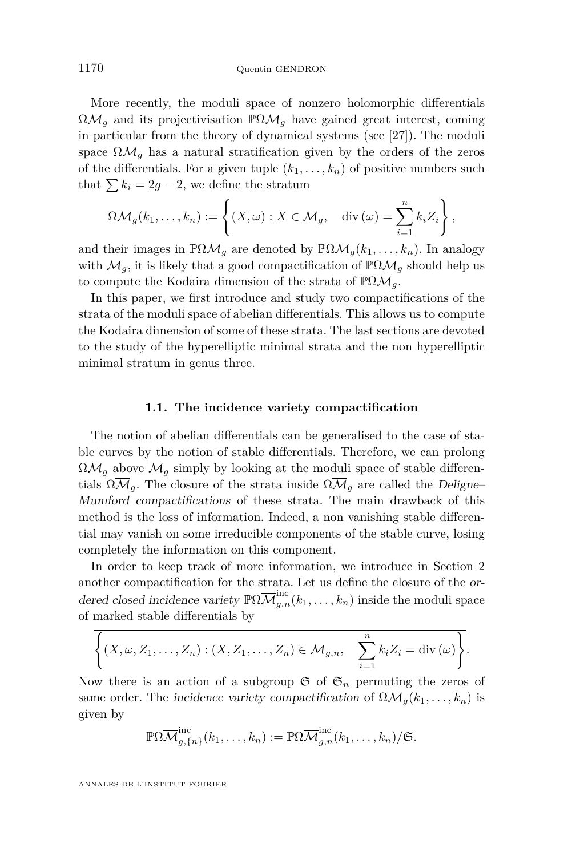More recently, the moduli space of nonzero holomorphic differentials  $\Omega \mathcal{M}_q$  and its projectivisation  $\mathbb{P}\Omega \mathcal{M}_q$  have gained great interest, coming in particular from the theory of dynamical systems (see [\[27\]](#page-72-0)). The moduli space  $\Omega \mathcal{M}_q$  has a natural stratification given by the orders of the zeros of the differentials. For a given tuple  $(k_1, \ldots, k_n)$  of positive numbers such that  $\sum k_i = 2g - 2$ , we define the stratum

$$
\Omega \mathcal{M}_g(k_1,\ldots,k_n) := \left\{ (X,\omega) : X \in \mathcal{M}_g, \quad \text{div}(\omega) = \sum_{i=1}^n k_i Z_i \right\},\
$$

and their images in  $\mathbb{P}\Omega\mathcal{M}_q$  are denoted by  $\mathbb{P}\Omega\mathcal{M}_q(k_1,\ldots,k_n)$ . In analogy with  $\mathcal{M}_g$ , it is likely that a good compactification of  $\mathbb{P}\Omega\mathcal{M}_g$  should help us to compute the Kodaira dimension of the strata of PΩM*g*.

In this paper, we first introduce and study two compactifications of the strata of the moduli space of abelian differentials. This allows us to compute the Kodaira dimension of some of these strata. The last sections are devoted to the study of the hyperelliptic minimal strata and the non hyperelliptic minimal stratum in genus three.

#### **1.1. The incidence variety compactification**

The notion of abelian differentials can be generalised to the case of stable curves by the notion of stable differentials. Therefore, we can prolong  $\Omega_{\mathcal{M}_q}$  above  $\overline{\mathcal{M}}_q$  simply by looking at the moduli space of stable differentials  $\Omega \overline{\mathcal{M}}_q$ . The closure of the strata inside  $\Omega \overline{\mathcal{M}}_q$  are called the Deligne– Mumford compactifications of these strata. The main drawback of this method is the loss of information. Indeed, a non vanishing stable differential may vanish on some irreducible components of the stable curve, losing completely the information on this component.

In order to keep track of more information, we introduce in Section [2](#page-7-0) another compactification for the strata. Let us define the closure of the ordered closed incidence variety  $\mathbb{P}\Omega \overline{\mathcal{M}}_{g,n}^{\text{inc}}(k_1,\ldots,k_n)$  inside the moduli space of marked stable differentials by

$$
\left\{(X,\omega,Z_1,\ldots,Z_n):(X,Z_1,\ldots,Z_n)\in\mathcal{M}_{g,n},\quad \sum_{i=1}^n k_iZ_i=\mathrm{div}\,(\omega)\right\}.
$$

Now there is an action of a subgroup  $\mathfrak{S}$  of  $\mathfrak{S}_n$  permuting the zeros of same order. The incidence variety compactification of  $\Omega \mathcal{M}_g(k_1, \ldots, k_n)$  is given by

$$
\mathbb{P}\Omega\overline{\mathcal{M}}_{g,\{n\}}^{\text{inc}}(k_1,\ldots,k_n) := \mathbb{P}\Omega\overline{\mathcal{M}}_{g,n}^{\text{inc}}(k_1,\ldots,k_n)/\mathfrak{S}.
$$

ANNALES DE L'INSTITUT FOURIER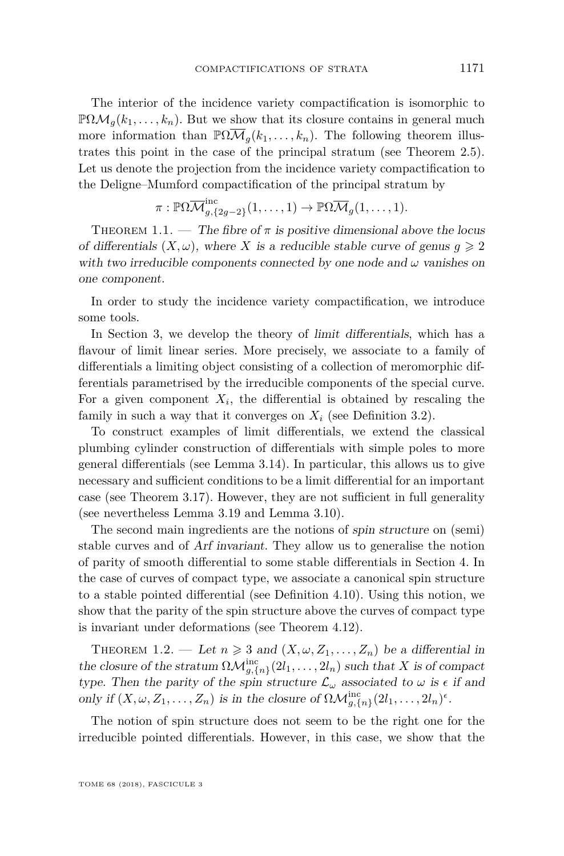The interior of the incidence variety compactification is isomorphic to  $\mathbb{P}\Omega\mathcal{M}_q(k_1,\ldots,k_n)$ . But we show that its closure contains in general much more information than  $\mathbb{P}\Omega\mathcal{M}_q(k_1,\ldots,k_n)$ . The following theorem illustrates this point in the case of the principal stratum (see Theorem [2.5\)](#page-11-0). Let us denote the projection from the incidence variety compactification to the Deligne–Mumford compactification of the principal stratum by

$$
\pi: \mathbb{P}\Omega\overline{\mathcal{M}}_{g,\{2g-2\}}^{inc}(1,\ldots,1) \to \mathbb{P}\Omega\overline{\mathcal{M}}_g(1,\ldots,1).
$$

THEOREM 1.1. — The fibre of  $\pi$  is positive dimensional above the locus of differentials  $(X, \omega)$ , where X is a reducible stable curve of genus  $q \ge 2$ with two irreducible components connected by one node and  $\omega$  vanishes on one component.

In order to study the incidence variety compactification, we introduce some tools.

In Section [3,](#page-12-0) we develop the theory of limit differentials, which has a flavour of limit linear series. More precisely, we associate to a family of differentials a limiting object consisting of a collection of meromorphic differentials parametrised by the irreducible components of the special curve. For a given component  $X_i$ , the differential is obtained by rescaling the family in such a way that it converges on  $X_i$  (see Definition [3.2\)](#page-14-0).

To construct examples of limit differentials, we extend the classical plumbing cylinder construction of differentials with simple poles to more general differentials (see Lemma [3.14\)](#page-22-0). In particular, this allows us to give necessary and sufficient conditions to be a limit differential for an important case (see Theorem [3.17\)](#page-24-0). However, they are not sufficient in full generality (see nevertheless Lemma [3.19](#page-27-0) and Lemma [3.10\)](#page-19-0).

The second main ingredients are the notions of spin structure on (semi) stable curves and of Arf invariant. They allow us to generalise the notion of parity of smooth differential to some stable differentials in Section [4.](#page-32-0) In the case of curves of compact type, we associate a canonical spin structure to a stable pointed differential (see Definition [4.10\)](#page-37-0). Using this notion, we show that the parity of the spin structure above the curves of compact type is invariant under deformations (see Theorem [4.12\)](#page-38-0).

THEOREM 1.2. — Let  $n \geq 3$  and  $(X, \omega, Z_1, \ldots, Z_n)$  be a differential in the closure of the stratum  $\Omega \mathcal{M}_{g,\{n\}}^{\text{inc}}(2l_1,\ldots,2l_n)$  such that X is of compact type. Then the parity of the spin structure  $\mathcal{L}_{\omega}$  associated to  $\omega$  is  $\epsilon$  if and only if  $(X, \omega, Z_1, \ldots, Z_n)$  is in the closure of  $\Omega \mathcal{M}_{g,\{n\}}^{\text{inc}}(2l_1, \ldots, 2l_n)^{\epsilon}$ .

The notion of spin structure does not seem to be the right one for the irreducible pointed differentials. However, in this case, we show that the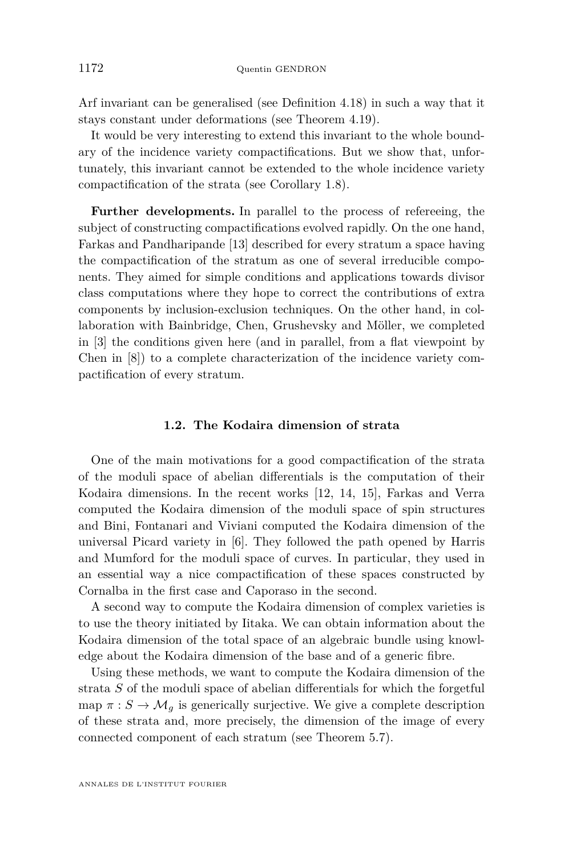Arf invariant can be generalised (see Definition [4.18\)](#page-41-0) in such a way that it stays constant under deformations (see Theorem [4.19\)](#page-41-1).

It would be very interesting to extend this invariant to the whole boundary of the incidence variety compactifications. But we show that, unfortunately, this invariant cannot be extended to the whole incidence variety compactification of the strata (see Corollary [1.8\)](#page-7-1).

**Further developments.** In parallel to the process of refereeing, the subject of constructing compactifications evolved rapidly. On the one hand, Farkas and Pandharipande [\[13\]](#page-71-2) described for every stratum a space having the compactification of the stratum as one of several irreducible components. They aimed for simple conditions and applications towards divisor class computations where they hope to correct the contributions of extra components by inclusion-exclusion techniques. On the other hand, in collaboration with Bainbridge, Chen, Grushevsky and Möller, we completed in [\[3\]](#page-71-3) the conditions given here (and in parallel, from a flat viewpoint by Chen in [\[8\]](#page-71-4)) to a complete characterization of the incidence variety compactification of every stratum.

#### **1.2. The Kodaira dimension of strata**

One of the main motivations for a good compactification of the strata of the moduli space of abelian differentials is the computation of their Kodaira dimensions. In the recent works [\[12,](#page-71-5) [14,](#page-71-6) [15\]](#page-71-7), Farkas and Verra computed the Kodaira dimension of the moduli space of spin structures and Bini, Fontanari and Viviani computed the Kodaira dimension of the universal Picard variety in [\[6\]](#page-71-8). They followed the path opened by Harris and Mumford for the moduli space of curves. In particular, they used in an essential way a nice compactification of these spaces constructed by Cornalba in the first case and Caporaso in the second.

A second way to compute the Kodaira dimension of complex varieties is to use the theory initiated by Iitaka. We can obtain information about the Kodaira dimension of the total space of an algebraic bundle using knowledge about the Kodaira dimension of the base and of a generic fibre.

Using these methods, we want to compute the Kodaira dimension of the strata *S* of the moduli space of abelian differentials for which the forgetful map  $\pi : S \to M_g$  is generically surjective. We give a complete description of these strata and, more precisely, the dimension of the image of every connected component of each stratum (see Theorem [5.7\)](#page-45-0).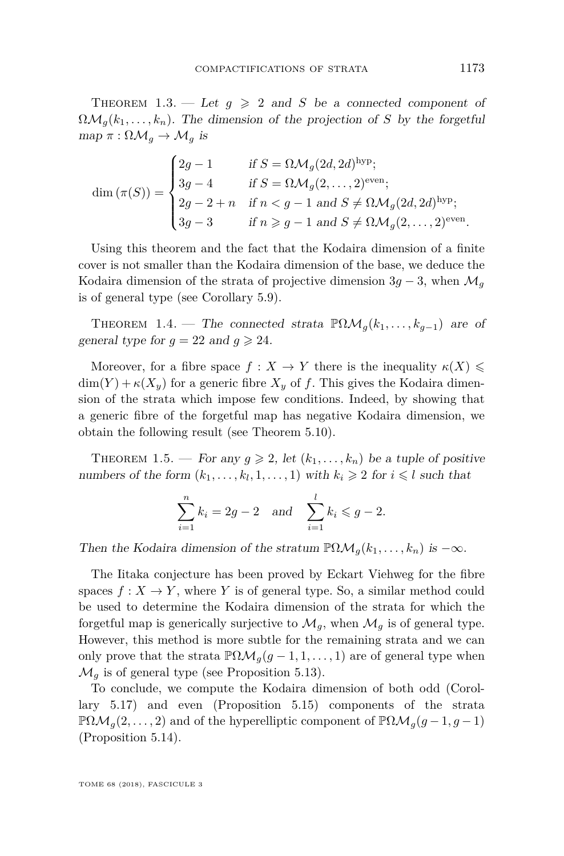THEOREM 1.3. — Let  $g \geq 2$  and *S* be a connected component of  $\Omega \mathcal{M}_q(k_1,\ldots,k_n)$ . The dimension of the projection of *S* by the forgetful  $map \pi : \Omega \mathcal{M}_g \to \mathcal{M}_g$  is

$$
\dim(\pi(S)) = \begin{cases} 2g - 1 & \text{if } S = \Omega \mathcal{M}_g(2d, 2d)^{\text{hyp}}; \\ 3g - 4 & \text{if } S = \Omega \mathcal{M}_g(2, \dots, 2)^{\text{even}}; \\ 2g - 2 + n & \text{if } n < g - 1 \text{ and } S \neq \Omega \mathcal{M}_g(2d, 2d)^{\text{hyp}}; \\ 3g - 3 & \text{if } n \geqslant g - 1 \text{ and } S \neq \Omega \mathcal{M}_g(2, \dots, 2)^{\text{even}}. \end{cases}
$$

Using this theorem and the fact that the Kodaira dimension of a finite cover is not smaller than the Kodaira dimension of the base, we deduce the Kodaira dimension of the strata of projective dimension  $3q - 3$ , when  $\mathcal{M}_q$ is of general type (see Corollary [5.9\)](#page-50-0).

THEOREM 1.4. — The connected strata  $\mathbb{P}\Omega\mathcal{M}_g(k_1,\ldots,k_{g-1})$  are of general type for  $q = 22$  and  $q \ge 24$ .

Moreover, for a fibre space  $f: X \to Y$  there is the inequality  $\kappa(X) \leq$  $\dim(Y) + \kappa(X_y)$  for a generic fibre  $X_y$  of f. This gives the Kodaira dimension of the strata which impose few conditions. Indeed, by showing that a generic fibre of the forgetful map has negative Kodaira dimension, we obtain the following result (see Theorem [5.10\)](#page-51-0).

THEOREM 1.5. — For any  $g \ge 2$ , let  $(k_1, \ldots, k_n)$  be a tuple of positive numbers of the form  $(k_1, \ldots, k_l, 1, \ldots, 1)$  with  $k_i \geq 2$  for  $i \leq l$  such that

$$
\sum_{i=1}^{n} k_i = 2g - 2 \text{ and } \sum_{i=1}^{l} k_i \leq g - 2.
$$

Then the Kodaira dimension of the stratum  $\mathbb{P}\Omega\mathcal{M}_q(k_1,\ldots,k_n)$  is  $-\infty$ .

The Iitaka conjecture has been proved by Eckart Viehweg for the fibre spaces  $f: X \to Y$ , where *Y* is of general type. So, a similar method could be used to determine the Kodaira dimension of the strata for which the forgetful map is generically surjective to  $\mathcal{M}_g$ , when  $\mathcal{M}_g$  is of general type. However, this method is more subtle for the remaining strata and we can only prove that the strata  $\mathbb{P}\Omega\mathcal{M}_g(g-1,1,\ldots,1)$  are of general type when  $\mathcal{M}_q$  is of general type (see Proposition [5.13\)](#page-53-0).

To conclude, we compute the Kodaira dimension of both odd (Corollary [5.17\)](#page-54-0) and even (Proposition [5.15\)](#page-53-1) components of the strata  $\mathbb{P}\Omega\mathcal{M}_q(2,\ldots,2)$  and of the hyperelliptic component of  $\mathbb{P}\Omega\mathcal{M}_q(g-1,g-1)$ (Proposition [5.14\)](#page-53-2).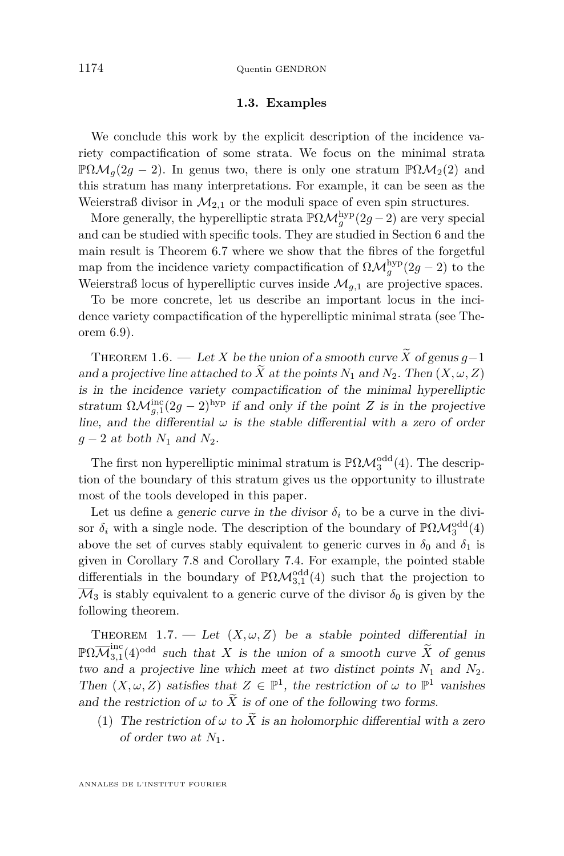#### **1.3. Examples**

We conclude this work by the explicit description of the incidence variety compactification of some strata. We focus on the minimal strata  $\mathbb{P}\Omega\mathcal{M}_q(2g-2)$ . In genus two, there is only one stratum  $\mathbb{P}\Omega\mathcal{M}_2(2)$  and this stratum has many interpretations. For example, it can be seen as the Weierstraß divisor in  $\mathcal{M}_{2,1}$  or the moduli space of even spin structures.

More generally, the hyperelliptic strata  $\mathbb{P}\Omega\mathcal{M}_g^{\mathrm{hyp}}(2g-2)$  are very special and can be studied with specific tools. They are studied in Section [6](#page-54-1) and the main result is Theorem [6.7](#page-58-0) where we show that the fibres of the forgetful map from the incidence variety compactification of  $\Omega \mathcal{M}_g^{\text{hyp}}(2g-2)$  to the Weierstraß locus of hyperelliptic curves inside  $\mathcal{M}_{q,1}$  are projective spaces.

To be more concrete, let us describe an important locus in the incidence variety compactification of the hyperelliptic minimal strata (see Theorem [6.9\)](#page-61-0).

<span id="page-6-0"></span>THEOREM 1.6. — Let *X* be the union of a smooth curve  $\widetilde{X}$  of genus  $q-1$ and a projective line attached to  $\widetilde{X}$  at the points  $N_1$  and  $N_2$ . Then  $(X, \omega, Z)$ is in the incidence variety compactification of the minimal hyperelliptic stratum  $\Omega \mathcal{M}_{g,1}^{\text{inc}}(2g-2)^{\text{hyp}}$  if and only if the point *Z* is in the projective line, and the differential  $\omega$  is the stable differential with a zero of order *g* − 2 at both  $N_1$  and  $N_2$ .

The first non hyperelliptic minimal stratum is  $\mathbb{P}\Omega\mathcal{M}_3^{\text{odd}}(4)$ . The description of the boundary of this stratum gives us the opportunity to illustrate most of the tools developed in this paper.

Let us define a generic curve in the divisor  $\delta_i$  to be a curve in the divisor  $\delta_i$  with a single node. The description of the boundary of  $\mathbb{P}\Omega\mathcal{M}_3^{\text{odd}}(4)$ above the set of curves stably equivalent to generic curves in  $\delta_0$  and  $\delta_1$  is given in Corollary [7.8](#page-66-0) and Corollary [7.4.](#page-64-0) For example, the pointed stable differentials in the boundary of  $\mathbb{P}\Omega\mathcal{M}^{\text{odd}}_{3,1}(4)$  such that the projection to  $\overline{\mathcal{M}}_3$  is stably equivalent to a generic curve of the divisor  $\delta_0$  is given by the following theorem.

THEOREM 1.7. — Let  $(X, \omega, Z)$  be a stable pointed differential in  $\mathbb{P}\Omega\overline{\mathcal{M}}_{3.1}^\mathrm{inc}$  $\frac{3}{3}$ ,  $(4)$ <sup>odd</sup> such that *X* is the union of a smooth curve *X* of genus two and a projective line which meet at two distinct points  $N_1$  and  $N_2$ . Then  $(X, \omega, Z)$  satisfies that  $Z \in \mathbb{P}^1$ , the restriction of  $\omega$  to  $\mathbb{P}^1$  vanishes and the restriction of  $\omega$  to  $\widetilde{X}$  is of one of the following two forms.

(1) The restriction of  $\omega$  to  $\widetilde{X}$  is an holomorphic differential with a zero of order two at *N*1.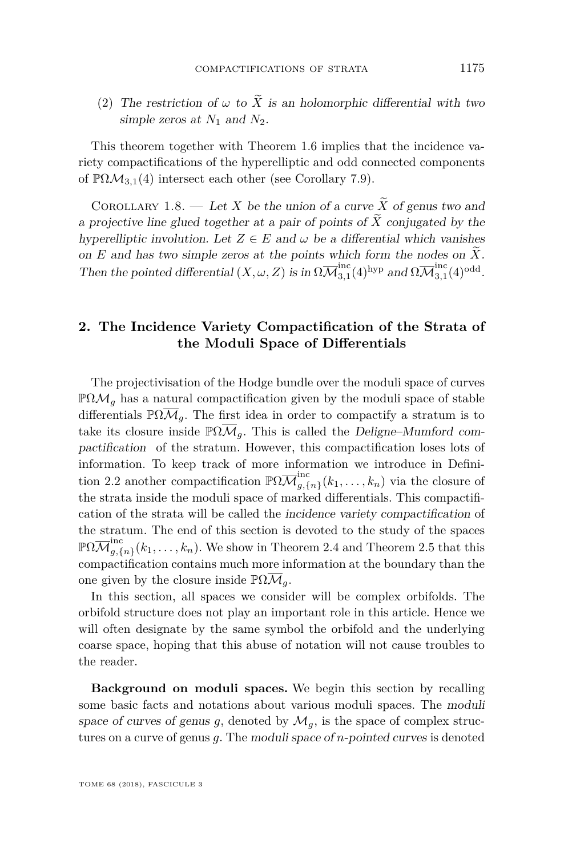(2) The restriction of  $\omega$  to  $\widetilde{X}$  is an holomorphic differential with two simple zeros at  $N_1$  and  $N_2$ .

This theorem together with Theorem [1.6](#page-6-0) implies that the incidence variety compactifications of the hyperelliptic and odd connected components of  $\mathbb{P}\Omega\mathcal{M}_{3,1}(4)$  intersect each other (see Corollary [7.9\)](#page-68-0).

<span id="page-7-1"></span>COROLLARY 1.8. — Let *X* be the union of a curve  $\widetilde{X}$  of genus two and a projective line glued together at a pair of points of  $\widetilde{X}$  conjugated by the hyperelliptic involution. Let  $Z \in E$  and  $\omega$  be a differential which vanishes on  $E$  and has two simple zeros at the points which form the nodes on  $\tilde{X}$ . Then the pointed differential  $(X, \omega, Z)$  is in  $\Omega \overline{\mathcal{M}}_{3.1}^{\text{inc}}$  $_{3,1}^{\mathrm{inc}}(4)^{\mathrm{hyp}}$  and  $\Omega\overline{\mathcal M}_{3,1}^{\mathrm{inc}}$  $_{3,1}^{\rm inc}(4)^{\rm odd}.$ 

#### <span id="page-7-0"></span>**2. The Incidence Variety Compactification of the Strata of the Moduli Space of Differentials**

The projectivisation of the Hodge bundle over the moduli space of curves  $\mathbb{P}\Omega\mathcal{M}_g$  has a natural compactification given by the moduli space of stable differentials  $\mathbb{P}\Omega\overline{\mathcal{M}}_q$ . The first idea in order to compactify a stratum is to take its closure inside  $\mathbb{P}\Omega\overline{\mathcal{M}}_q$ . This is called the Deligne–Mumford compactification of the stratum. However, this compactification loses lots of information. To keep track of more information we introduce in Defini-tion [2.2](#page-10-0) another compactification  $\mathbb{P}\Omega \overline{\mathcal{M}}_{q,\ell}^{\text{inc}}$  $\sum_{g,\{n\}}^{\infty} (k_1,\ldots,k_n)$  via the closure of the strata inside the moduli space of marked differentials. This compactification of the strata will be called the incidence variety compactification of the stratum. The end of this section is devoted to the study of the spaces  $\mathbb{P}\Omega\overline{\mathcal{M}}_{a,\ell}^{\text{inc}}$  $g_{\overline{g},\{n\}}(k_1,\ldots,k_n)$ . We show in Theorem [2.4](#page-11-1) and Theorem [2.5](#page-11-0) that this compactification contains much more information at the boundary than the one given by the closure inside  $\mathbb{P}\Omega\overline{\mathcal{M}}_q$ .

In this section, all spaces we consider will be complex orbifolds. The orbifold structure does not play an important role in this article. Hence we will often designate by the same symbol the orbifold and the underlying coarse space, hoping that this abuse of notation will not cause troubles to the reader.

**Background on moduli spaces.** We begin this section by recalling some basic facts and notations about various moduli spaces. The moduli space of curves of genus *g*, denoted by  $\mathcal{M}_q$ , is the space of complex structures on a curve of genus *g*. The moduli space of *n*-pointed curves is denoted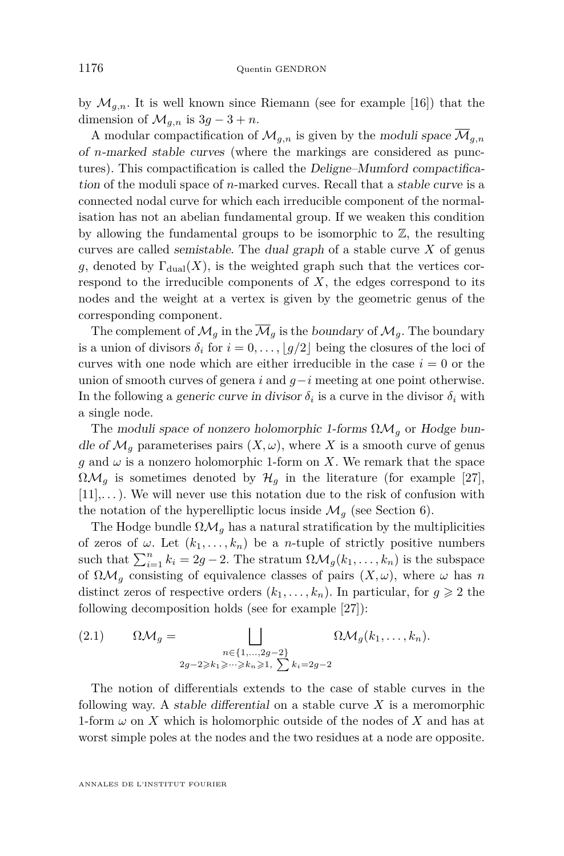by  $\mathcal{M}_{g,n}$ . It is well known since Riemann (see for example [\[16\]](#page-71-9)) that the dimension of  $\mathcal{M}_{q,n}$  is  $3q-3+n$ .

A modular compactification of  $\mathcal{M}_{q,n}$  is given by the moduli space  $\overline{\mathcal{M}}_{q,n}$ of *n*-marked stable curves (where the markings are considered as punctures). This compactification is called the Deligne–Mumford compactification of the moduli space of *n*-marked curves. Recall that a stable curve is a connected nodal curve for which each irreducible component of the normalisation has not an abelian fundamental group. If we weaken this condition by allowing the fundamental groups to be isomorphic to  $\mathbb{Z}$ , the resulting curves are called semistable. The dual graph of a stable curve *X* of genus *g*, denoted by  $\Gamma_{\text{dual}}(X)$ , is the weighted graph such that the vertices correspond to the irreducible components of *X*, the edges correspond to its nodes and the weight at a vertex is given by the geometric genus of the corresponding component.

The complement of  $\mathcal{M}_q$  in the  $\overline{\mathcal{M}}_q$  is the boundary of  $\mathcal{M}_q$ . The boundary is a union of divisors  $\delta_i$  for  $i = 0, \ldots, |g/2|$  being the closures of the loci of curves with one node which are either irreducible in the case  $i = 0$  or the union of smooth curves of genera *i* and *g*−*i* meeting at one point otherwise. In the following a *generic curve in divisor*  $\delta_i$  is a curve in the divisor  $\delta_i$  with a single node.

The moduli space of nonzero holomorphic 1-forms ΩM*<sup>g</sup>* or Hodge bundle of  $\mathcal{M}_q$  parameterises pairs  $(X, \omega)$ , where X is a smooth curve of genus *g* and  $\omega$  is a nonzero holomorphic 1-form on *X*. We remark that the space  $\Omega \mathcal{M}_q$  is sometimes denoted by  $\mathcal{H}_q$  in the literature (for example [\[27\]](#page-72-0),  $[11],\ldots$  $[11],\ldots$ ). We will never use this notation due to the risk of confusion with the notation of the hyperelliptic locus inside  $\mathcal{M}_q$  (see Section [6\)](#page-54-1).

The Hodge bundle  $\Omega \mathcal{M}_q$  has a natural stratification by the multiplicities of zeros of  $\omega$ . Let  $(k_1, \ldots, k_n)$  be a *n*-tuple of strictly positive numbers such that  $\sum_{i=1}^{n} k_i = 2g - 2$ . The stratum  $\Omega \mathcal{M}_g(k_1, \ldots, k_n)$  is the subspace of  $\Omega \mathcal{M}_g$  consisting of equivalence classes of pairs  $(X, \omega)$ , where  $\omega$  has *n* distinct zeros of respective orders  $(k_1, \ldots, k_n)$ . In particular, for  $q \geq 2$  the following decomposition holds (see for example [\[27\]](#page-72-0)):

(2.1) 
$$
\Omega \mathcal{M}_g = \bigsqcup_{\substack{n \in \{1,\ldots,2g-2\} \\ 2g-2 \ge k_1 \ge \cdots \ge k_n \ge 1, \\ \sum k_i = 2g-2}} \Omega \mathcal{M}_g(k_1,\ldots,k_n).
$$

The notion of differentials extends to the case of stable curves in the following way. A stable differential on a stable curve *X* is a meromorphic 1-form *ω* on *X* which is holomorphic outside of the nodes of *X* and has at worst simple poles at the nodes and the two residues at a node are opposite.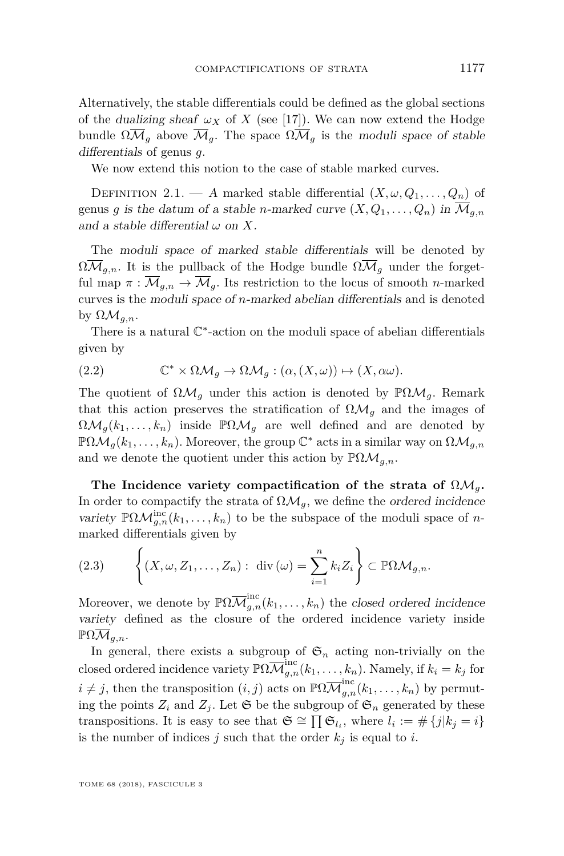Alternatively, the stable differentials could be defined as the global sections of the dualizing sheaf  $\omega_X$  of X (see [\[17\]](#page-71-11)). We can now extend the Hodge bundle  $\Omega \overline{\mathcal{M}}_g$  above  $\overline{\mathcal{M}}_g$ . The space  $\Omega \overline{\mathcal{M}}_g$  is the moduli space of stable differentials of genus *g*.

We now extend this notion to the case of stable marked curves.

<span id="page-9-0"></span>DEFINITION 2.1. — A marked stable differential  $(X, \omega, Q_1, \ldots, Q_n)$  of genus *g* is the datum of a stable *n*-marked curve  $(X, Q_1, \ldots, Q_n)$  in  $\overline{\mathcal{M}}_{q,n}$ and a stable differential  $\omega$  on X.

The moduli space of marked stable differentials will be denoted by  $\Omega \overline{\mathcal{M}}_{g,n}$ . It is the pullback of the Hodge bundle  $\Omega \overline{\mathcal{M}}_g$  under the forgetful map  $\pi : \mathcal{M}_{q,n} \to \mathcal{M}_q$ . Its restriction to the locus of smooth *n*-marked curves is the moduli space of *n*-marked abelian differentials and is denoted by  $\Omega \mathcal{M}_{q,n}$ .

There is a natural  $\mathbb{C}^*$ -action on the moduli space of abelian differentials given by

(2.2) 
$$
\mathbb{C}^* \times \Omega \mathcal{M}_g \to \Omega \mathcal{M}_g : (\alpha, (X, \omega)) \mapsto (X, \alpha \omega).
$$

The quotient of  $\Omega \mathcal{M}_q$  under this action is denoted by  $\mathbb{P}\Omega \mathcal{M}_q$ . Remark that this action preserves the stratification of  $\Omega_{\mathcal{M}_q}$  and the images of  $\Omega \mathcal{M}_g(k_1,\ldots,k_n)$  inside  $\mathbb{P}\Omega \mathcal{M}_g$  are well defined and are denoted by  $\mathbb{P}\Omega\mathcal{M}_g(k_1,\ldots,k_n)$ . Moreover, the group  $\mathbb{C}^*$  acts in a similar way on  $\Omega\mathcal{M}_{g,n}$ and we denote the quotient under this action by  $\mathbb{P}\Omega\mathcal{M}_{q,n}$ .

**The Incidence variety compactification of the strata of** ΩM*g***.** In order to compactify the strata of  $\Omega_{M_q}$ , we define the ordered incidence variety  $\mathbb{P}\Omega\mathcal{M}_{g,n}^{\text{inc}}(k_1,\ldots,k_n)$  to be the subspace of the moduli space of *n*marked differentials given by

(2.3) 
$$
\left\{ (X, \omega, Z_1, \dots, Z_n) : \operatorname{div}(\omega) = \sum_{i=1}^n k_i Z_i \right\} \subset \mathbb{P}\Omega \mathcal{M}_{g,n}.
$$

Moreover, we denote by  $\mathbb{P}\Omega\overline{\mathcal{M}}_{g,n}^{\text{inc}}(k_1,\ldots,k_n)$  the closed ordered incidence variety defined as the closure of the ordered incidence variety inside  $\mathbb{P}\Omega\mathcal{M}_{q,n}$ .

In general, there exists a subgroup of  $\mathfrak{S}_n$  acting non-trivially on the closed ordered incidence variety  $\mathbb{P}\Omega \overline{\mathcal{M}}_{g,n}^{\text{inc}}(k_1,\ldots,k_n)$ . Namely, if  $k_i = k_j$  for  $i \neq j$ , then the transposition  $(i, j)$  acts on  $\mathbb{P}\Omega \overline{\mathcal{M}}_{g,n}^{\text{inc}}(k_1, \ldots, k_n)$  by permuting the points  $Z_i$  and  $Z_j$ . Let  $\mathfrak{S}$  be the subgroup of  $\mathfrak{S}_n$  generated by these transpositions. It is easy to see that  $\mathfrak{S} \cong \prod \mathfrak{S}_{l_i}$ , where  $l_i := \# \{j | k_j = i\}$ is the number of indices  $j$  such that the order  $k_j$  is equal to  $i$ .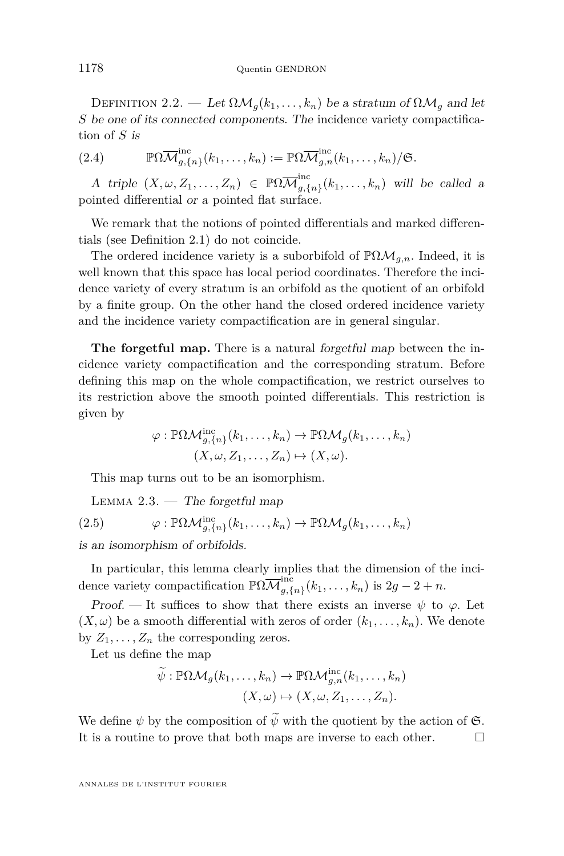<span id="page-10-0"></span>DEFINITION 2.2. — Let  $\Omega \mathcal{M}_g(k_1, \ldots, k_n)$  be a stratum of  $\Omega \mathcal{M}_g$  and let *S* be one of its connected components. The incidence variety compactification of *S* is

(2.4) 
$$
\mathbb{P}\Omega\overline{\mathcal{M}}_{g,\{n\}}^{\text{inc}}(k_1,\ldots,k_n) := \mathbb{P}\Omega\overline{\mathcal{M}}_{g,n}^{\text{inc}}(k_1,\ldots,k_n)/\mathfrak{S}.
$$

A triple  $(X, \omega, Z_1, \ldots, Z_n) \in \mathbb{P}\Omega\overline{\mathcal{M}}_{q,\{0\}}^{\text{inc}}$  $\sum_{g,\{n\}}^{\infty} (k_1,\ldots,k_n)$  will be called a pointed differential or a pointed flat surface.

We remark that the notions of pointed differentials and marked differentials (see Definition [2.1\)](#page-9-0) do not coincide.

The ordered incidence variety is a suborbifold of  $\mathbb{P}\Omega\mathcal{M}_{g,n}$ . Indeed, it is well known that this space has local period coordinates. Therefore the incidence variety of every stratum is an orbifold as the quotient of an orbifold by a finite group. On the other hand the closed ordered incidence variety and the incidence variety compactification are in general singular.

**The forgetful map.** There is a natural forgetful map between the incidence variety compactification and the corresponding stratum. Before defining this map on the whole compactification, we restrict ourselves to its restriction above the smooth pointed differentials. This restriction is given by

$$
\varphi : \mathbb{P}\Omega\mathcal{M}_{g,\{n\}}^{\text{inc}}(k_1,\ldots,k_n) \to \mathbb{P}\Omega\mathcal{M}_g(k_1,\ldots,k_n)
$$

$$
(X,\omega,Z_1,\ldots,Z_n) \mapsto (X,\omega).
$$

This map turns out to be an isomorphism.

LEMMA  $2.3.$  — The forgetful map  $(2.5)$   $\varphi: \mathbb{P}\Omega\mathcal{M}_{g,\{n\}}^{\text{inc}}(k_1,\ldots,k_n) \to \mathbb{P}\Omega\mathcal{M}_g(k_1,\ldots,k_n)$ 

is an isomorphism of orbifolds.

In particular, this lemma clearly implies that the dimension of the incidence variety compactification  $\mathbb{P}\Omega \overline{\mathcal{M}}_{q,\ell}^{\text{inc}}$  $\sum_{g,\{n\}}^{n} (k_1,\ldots,k_n)$  is  $2g-2+n$ .

Proof. — It suffices to show that there exists an inverse  $\psi$  to  $\varphi$ . Let  $(X, \omega)$  be a smooth differential with zeros of order  $(k_1, \ldots, k_n)$ . We denote by  $Z_1, \ldots, Z_n$  the corresponding zeros.

Let us define the map

$$
\widetilde{\psi}: \mathbb{P}\Omega\mathcal{M}_g(k_1,\ldots,k_n) \to \mathbb{P}\Omega\mathcal{M}_{g,n}^{\text{inc}}(k_1,\ldots,k_n) (X,\omega) \mapsto (X,\omega,Z_1,\ldots,Z_n).
$$

We define  $\psi$  by the composition of  $\widetilde{\psi}$  with the quotient by the action of  $\mathfrak{S}$ .<br>It is a routine to prove that both maps are inverse to each other. It is a routine to prove that both maps are inverse to each other.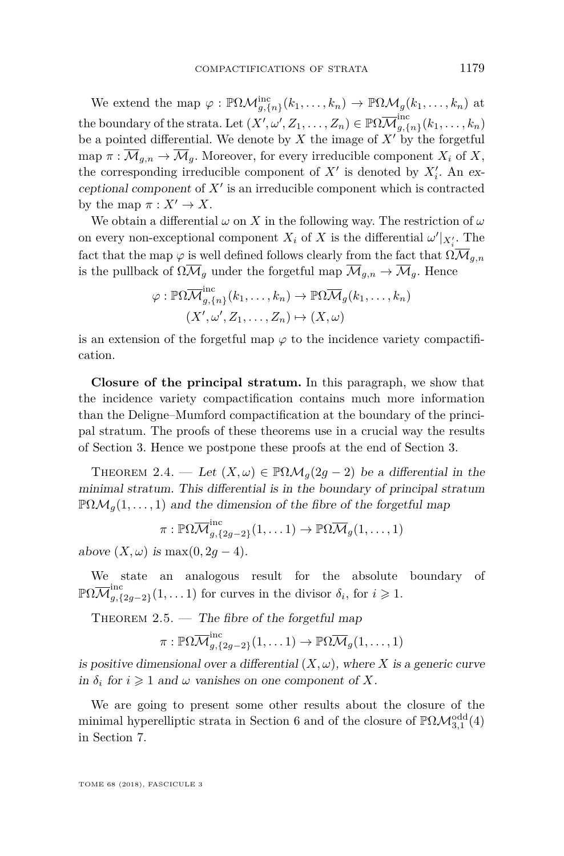We extend the map  $\varphi : \mathbb{P}\Omega\mathcal{M}_{g,\{n\}}^{\text{inc}}(k_1,\ldots,k_n) \to \mathbb{P}\Omega\mathcal{M}_g(k_1,\ldots,k_n)$  at the boundary of the strata. Let  $(X', \omega', Z_1, \ldots, Z_n) \in \mathbb{P}\Omega\overline{\mathcal{M}}_{q, \{0\}}^{\text{inc}}$  $\sum_{g,\{n\}}^{n} (k_1,\ldots,k_n)$ be a pointed differential. We denote by  $X$  the image of  $X'$  by the forgetful map  $\pi : \overline{\mathcal{M}}_{g,n} \to \overline{\mathcal{M}}_g$ . Moreover, for every irreducible component  $X_i$  of  $X$ , the corresponding irreducible component of  $X'$  is denoted by  $X'_i$ . An exceptional component of  $X'$  is an irreducible component which is contracted by the map  $\pi: X' \to X$ .

We obtain a differential  $\omega$  on X in the following way. The restriction of  $\omega$ on every non-exceptional component  $X_i$  of  $X$  is the differential  $\omega'|_{X_i'}$ . The fact that the map  $\varphi$  is well defined follows clearly from the fact that  $\Omega \overline{\mathcal{M}}_{g,n}$ is the pullback of  $\Omega \overline{\mathcal{M}}_q$  under the forgetful map  $\overline{\mathcal{M}}_{q,n} \to \overline{\mathcal{M}}_q$ . Hence

$$
\varphi : \mathbb{P}\Omega\overline{\mathcal{M}}_{g,\{n\}}^{\text{inc}}(k_1,\ldots,k_n) \to \mathbb{P}\Omega\overline{\mathcal{M}}_g(k_1,\ldots,k_n)
$$

$$
(X',\omega', Z_1,\ldots,Z_n) \mapsto (X,\omega)
$$

is an extension of the forgetful map  $\varphi$  to the incidence variety compactification.

**Closure of the principal stratum.** In this paragraph, we show that the incidence variety compactification contains much more information than the Deligne–Mumford compactification at the boundary of the principal stratum. The proofs of these theorems use in a crucial way the results of Section [3.](#page-12-0) Hence we postpone these proofs at the end of Section [3.](#page-12-0)

<span id="page-11-1"></span>THEOREM 2.4. — Let  $(X, \omega) \in \mathbb{P}\Omega \mathcal{M}_q(2g-2)$  be a differential in the minimal stratum. This differential is in the boundary of principal stratum  $\mathbb{P}\Omega\mathcal{M}_q(1,\ldots,1)$  and the dimension of the fibre of the forgetful map

$$
\pi: \mathbb{P}\Omega\overline{\mathcal{M}}_{g,\{2g-2\}}^{inc}(1,\ldots 1) \to \mathbb{P}\Omega\overline{\mathcal{M}}_g(1,\ldots,1)
$$

above  $(X, \omega)$  is max $(0, 2q - 4)$ .

We state an analogous result for the absolute boundary of  $\mathbb{P}\Omega\overline{\mathcal{M}}_{a.9}^\mathrm{inc}$  $g$ <sup>*g*</sup><sub>*g*</sub><sup>*(*2*g*−2<sup>*)*</sup></sub>(1*, . .* . 1) for curves in the divisor  $\delta$ <sup>*i*</sup>, for *i*  $\geq$  1.</sup>

<span id="page-11-0"></span>THEOREM  $2.5.$  — The fibre of the forgetful map

$$
\pi: \mathbb{P}\Omega\overline{\mathcal{M}}_{g,\{2g-2\}}^{\text{inc}}(1,\ldots 1) \to \mathbb{P}\Omega\overline{\mathcal{M}}_g(1,\ldots, 1)
$$

is positive dimensional over a differential  $(X, \omega)$ , where *X* is a generic curve in  $\delta_i$  for  $i \geq 1$  and  $\omega$  vanishes on one component of X.

We are going to present some other results about the closure of the minimal hyperelliptic strata in Section [6](#page-54-1) and of the closure of  $\mathbb{P}\Omega\mathcal{M}^{\text{odd}}_{3,1}(4)$ in Section [7.](#page-61-1)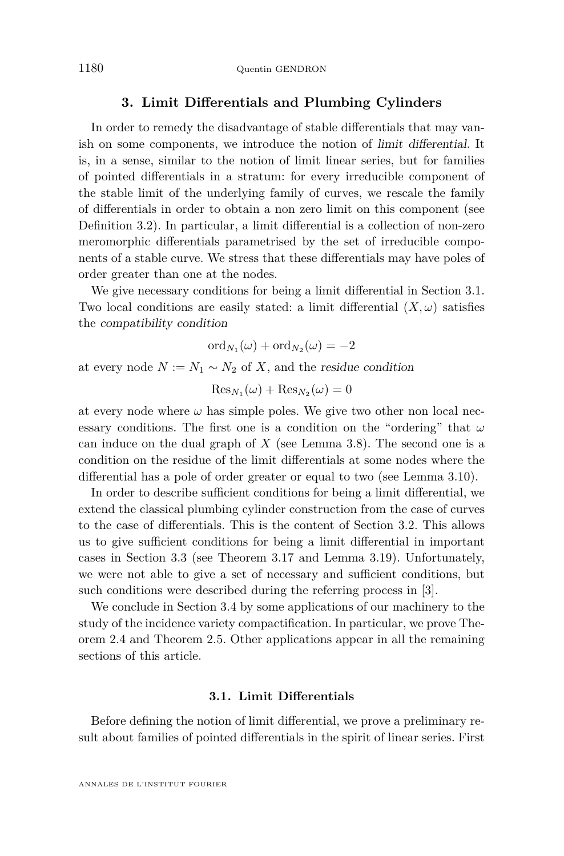#### **3. Limit Differentials and Plumbing Cylinders**

<span id="page-12-0"></span>In order to remedy the disadvantage of stable differentials that may vanish on some components, we introduce the notion of limit differential. It is, in a sense, similar to the notion of limit linear series, but for families of pointed differentials in a stratum: for every irreducible component of the stable limit of the underlying family of curves, we rescale the family of differentials in order to obtain a non zero limit on this component (see Definition [3.2\)](#page-14-0). In particular, a limit differential is a collection of non-zero meromorphic differentials parametrised by the set of irreducible components of a stable curve. We stress that these differentials may have poles of order greater than one at the nodes.

We give necessary conditions for being a limit differential in Section [3.1.](#page-12-1) Two local conditions are easily stated: a limit differential  $(X, \omega)$  satisfies the compatibility condition

$$
\mathrm{ord}_{N_1}(\omega)+\mathrm{ord}_{N_2}(\omega)=-2
$$

at every node  $N := N_1 \sim N_2$  of *X*, and the residue condition

$$
\operatorname{Res}_{N_1}(\omega) + \operatorname{Res}_{N_2}(\omega) = 0
$$

at every node where  $\omega$  has simple poles. We give two other non local necessary conditions. The first one is a condition on the "ordering" that *ω* can induce on the dual graph of *X* (see Lemma [3.8\)](#page-18-0). The second one is a condition on the residue of the limit differentials at some nodes where the differential has a pole of order greater or equal to two (see Lemma [3.10\)](#page-19-0).

In order to describe sufficient conditions for being a limit differential, we extend the classical plumbing cylinder construction from the case of curves to the case of differentials. This is the content of Section [3.2.](#page-20-0) This allows us to give sufficient conditions for being a limit differential in important cases in Section [3.3](#page-23-0) (see Theorem [3.17](#page-24-0) and Lemma [3.19\)](#page-27-0). Unfortunately, we were not able to give a set of necessary and sufficient conditions, but such conditions were described during the referring process in [\[3\]](#page-71-3).

We conclude in Section [3.4](#page-28-0) by some applications of our machinery to the study of the incidence variety compactification. In particular, we prove Theorem [2.4](#page-11-1) and Theorem [2.5.](#page-11-0) Other applications appear in all the remaining sections of this article.

#### **3.1. Limit Differentials**

<span id="page-12-1"></span>Before defining the notion of limit differential, we prove a preliminary result about families of pointed differentials in the spirit of linear series. First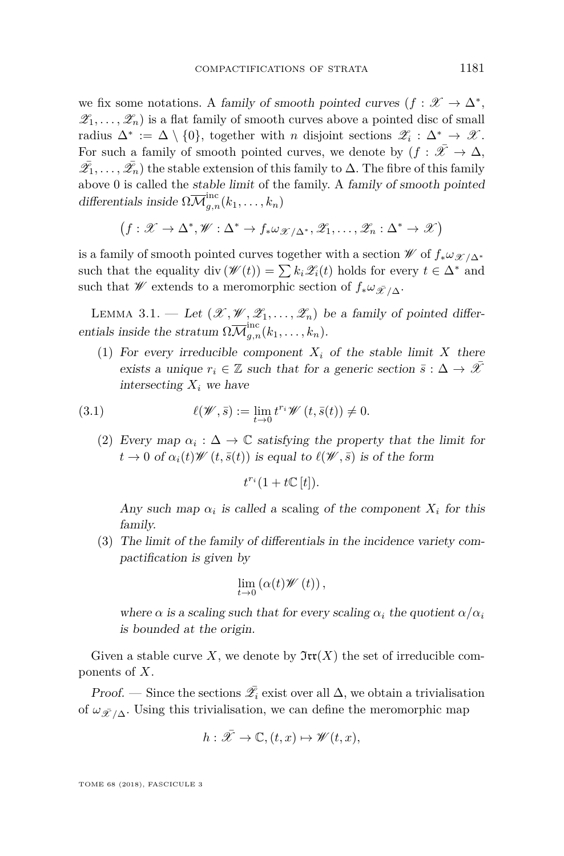we fix some notations. A family of smooth pointed curves  $(f: \mathscr{X} \to \Delta^*,$  $\mathscr{Z}_1, \ldots, \mathscr{Z}_n$  is a flat family of smooth curves above a pointed disc of small radius  $\Delta^* := \Delta \setminus \{0\}$ , together with *n* disjoint sections  $\mathscr{Z}_i : \Delta^* \to \mathscr{X}$ . For such a family of smooth pointed curves, we denote by  $(f : \overline{X} \to \Delta$ ,  $\bar{\mathscr{L}_1}, \ldots, \bar{\mathscr{L}}_n$ ) the stable extension of this family to  $\Delta$ . The fibre of this family above 0 is called the stable limit of the family. A family of smooth pointed differentials inside  $\Omega \overline{\mathcal{M}}_{g,n}^{\text{inc}}(k_1,\ldots,k_n)$ 

$$
(f: \mathscr{X} \to \Delta^*, \mathscr{W}: \Delta^* \to f_* \omega_{\mathscr{X}/\Delta^*}, \mathscr{Z}_1, \ldots, \mathscr{Z}_n: \Delta^* \to \mathscr{X})
$$

is a family of smooth pointed curves together with a section  $\mathscr W$  of  $f_*\omega_{\mathscr X/\Delta^*}$ such that the equality div  $(\mathscr{W}(t)) = \sum k_i \mathscr{Z}_i(t)$  holds for every  $t \in \Delta^*$  and such that W extends to a meromorphic section of  $f_* \omega_{\bar{\mathscr{X}}/\Delta}$ .

<span id="page-13-3"></span>LEMMA 3.1. — Let  $(\mathscr{X}, \mathscr{W}, \mathscr{Z}_1, \ldots, \mathscr{Z}_n)$  be a family of pointed differentials inside the stratum  $\Omega \overline{\mathcal{M}}_{g,n}^{\text{inc}}(k_1,\ldots,k_n)$ .

<span id="page-13-0"></span>(1) For every irreducible component  $X_i$  of the stable limit X there exists a unique  $r_i \in \mathbb{Z}$  such that for a generic section  $\bar{s} : \Delta \to \bar{\mathcal{X}}$ intersecting  $X_i$  we have

(3.1) 
$$
\ell(\mathscr{W},\bar{s}) := \lim_{t \to 0} t^{r_i} \mathscr{W}(t,\bar{s}(t)) \neq 0.
$$

<span id="page-13-1"></span>(2) Every map  $\alpha_i : \Delta \to \mathbb{C}$  satisfying the property that the limit for  $t \to 0$  of  $\alpha_i(t) \mathscr{W}(t, \bar{s}(t))$  is equal to  $\ell(\mathscr{W}, \bar{s})$  is of the form

$$
t^{r_i}(1+t\mathbb{C}[t]).
$$

Any such map  $\alpha_i$  is called a scaling of the component  $X_i$  for this family.

<span id="page-13-2"></span>(3) The limit of the family of differentials in the incidence variety compactification is given by

$$
\lim_{t\to 0}\left(\alpha(t)\mathscr{W}\left(t\right)\right),\,
$$

where  $\alpha$  is a scaling such that for every scaling  $\alpha_i$  the quotient  $\alpha/\alpha_i$ is bounded at the origin.

Given a stable curve *X*, we denote by  $\mathfrak{Irr}(X)$  the set of irreducible components of *X*.

Proof. — Since the sections  $\bar{\mathscr{L}}_i$  exist over all  $\Delta$ , we obtain a trivialisation of  $\omega_{\bar{\mathcal{X}}/\Delta}$ . Using this trivialisation, we can define the meromorphic map

$$
h: \bar{\mathscr{X}} \to \mathbb{C}, (t, x) \mapsto \mathscr{W}(t, x),
$$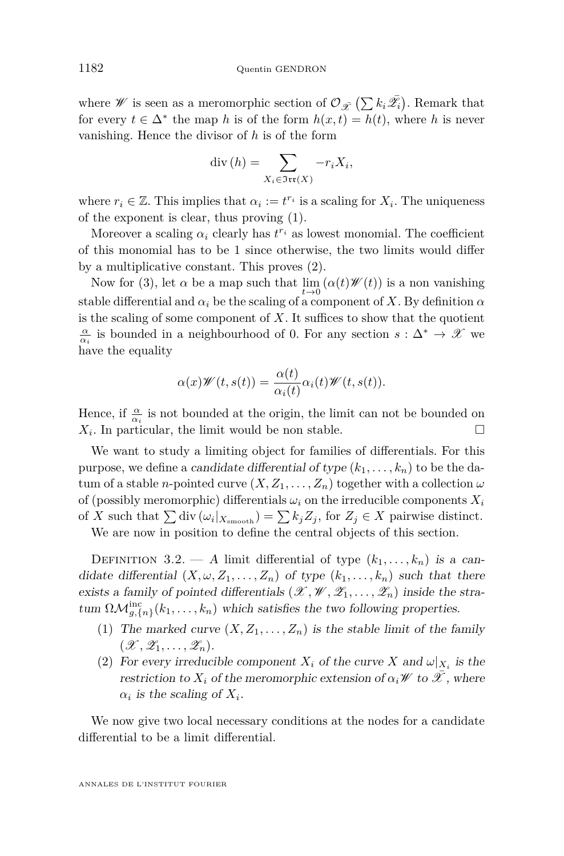where *W* is seen as a meromorphic section of  $\mathcal{O}_{\bar{X}}\left(\sum k_i \bar{\mathscr{L}_i}\right)$ . Remark that for every  $t \in \Delta^*$  the map *h* is of the form  $h(x,t) = h(t)$ , where *h* is never vanishing. Hence the divisor of *h* is of the form

$$
\operatorname{div}(h) = \sum_{X_i \in \mathfrak{Irr}(X)} -r_i X_i,
$$

where  $r_i \in \mathbb{Z}$ . This implies that  $\alpha_i := t^{r_i}$  is a scaling for  $X_i$ . The uniqueness of the exponent is clear, thus proving [\(1\)](#page-13-0).

Moreover a scaling  $\alpha_i$  clearly has  $t^{r_i}$  as lowest monomial. The coefficient of this monomial has to be 1 since otherwise, the two limits would differ by a multiplicative constant. This proves [\(2\)](#page-13-1).

Now for [\(3\)](#page-13-2), let  $\alpha$  be a map such that  $\lim_{t\to 0} (\alpha(t) \mathscr{W}(t))$  is a non vanishing stable differential and  $\alpha_i$  be the scaling of a component of X. By definition  $\alpha$ is the scaling of some component of  $X$ . It suffices to show that the quotient  $\frac{\alpha}{\alpha_i}$  is bounded in a neighbourhood of 0. For any section  $s : \Delta^* \to \mathscr{X}$  we have the equality

$$
\alpha(x)\mathscr{W}(t,s(t)) = \frac{\alpha(t)}{\alpha_i(t)}\alpha_i(t)\mathscr{W}(t,s(t)).
$$

Hence, if  $\frac{\alpha}{\alpha_i}$  is not bounded at the origin, the limit can not be bounded on  $X_i$ . In particular, the limit would be non stable.

We want to study a limiting object for families of differentials. For this purpose, we define a *candidate differential of type*  $(k_1, \ldots, k_n)$  to be the datum of a stable *n*-pointed curve  $(X, Z_1, \ldots, Z_n)$  together with a collection  $\omega$ of (possibly meromorphic) differentials  $\omega_i$  on the irreducible components  $X_i$ of *X* such that  $\sum \text{div} (\omega_i |_{X_{\text{smooth}}}) = \sum k_j Z_j$ , for  $Z_j \in X$  pairwise distinct.

We are now in position to define the central objects of this section.

<span id="page-14-0"></span>DEFINITION 3.2. — A limit differential of type  $(k_1, \ldots, k_n)$  is a candidate differential  $(X, \omega, Z_1, \ldots, Z_n)$  of type  $(k_1, \ldots, k_n)$  such that there exists a family of pointed differentials  $(\mathcal{X}, \mathcal{W}, \mathcal{Z}_1, \ldots, \mathcal{Z}_n)$  inside the stratum  $\Omega \mathcal{M}_{g,\{n\}}^{\text{inc}}(k_1,\ldots,k_n)$  which satisfies the two following properties.

- (1) The marked curve  $(X, Z_1, \ldots, Z_n)$  is the stable limit of the family  $(\mathscr{X}, \mathscr{Z}_1, \ldots, \mathscr{Z}_n).$
- (2) For every irreducible component  $X_i$  of the curve  $X$  and  $\omega|_{X_i}$  is the restriction to  $X_i$  of the meromorphic extension of  $\alpha_i \mathscr{W}$  to  $\mathscr{X}$ , where  $\alpha_i$  *is the scaling of*  $X_i$ .

We now give two local necessary conditions at the nodes for a candidate differential to be a limit differential.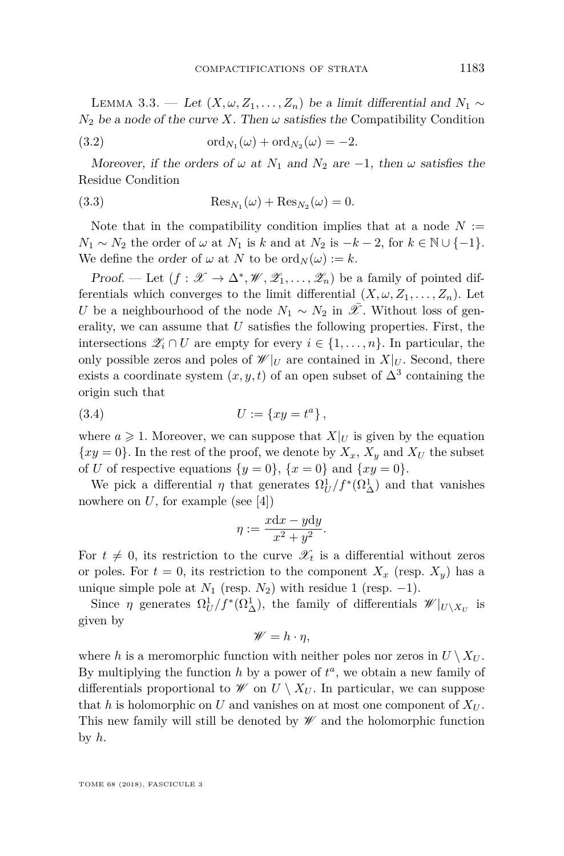<span id="page-15-1"></span>LEMMA 3.3. — Let  $(X, ω, Z_1, ..., Z_n)$  be a limit differential and  $N_1$  ∼  $N_2$  be a node of the curve *X*. Then  $\omega$  satisfies the Compatibility Condition

<span id="page-15-2"></span>(3.2) 
$$
\operatorname{ord}_{N_1}(\omega) + \operatorname{ord}_{N_2}(\omega) = -2.
$$

Moreover, if the orders of  $\omega$  at  $N_1$  and  $N_2$  are  $-1$ , then  $\omega$  satisfies the Residue Condition

<span id="page-15-0"></span>(3.3) 
$$
\operatorname{Res}_{N_1}(\omega) + \operatorname{Res}_{N_2}(\omega) = 0.
$$

Note that in the compatibility condition implies that at a node  $N :=$  $N_1 \sim N_2$  the order of  $\omega$  at  $N_1$  is  $k$  and at  $N_2$  is  $-k-2$ , for  $k \in \mathbb{N} \cup \{-1\}$ . We define the order of  $\omega$  at *N* to be  $\text{ord}_N(\omega) := k$ .

Proof. — Let  $(f: \mathscr{X} \to \Delta^*, \mathscr{W}, \mathscr{Z}_1, \ldots, \mathscr{Z}_n)$  be a family of pointed differentials which converges to the limit differential  $(X, \omega, Z_1, \ldots, Z_n)$ . Let *U* be a neighbourhood of the node  $N_1 \sim N_2$  in  $\overline{\mathscr{X}}$ . Without loss of generality, we can assume that *U* satisfies the following properties. First, the intersections  $\mathscr{Z}_i \cap U$  are empty for every  $i \in \{1, \ldots, n\}$ . In particular, the only possible zeros and poles of  $\mathscr{W}|_U$  are contained in  $X|_U$ . Second, there exists a coordinate system  $(x, y, t)$  of an open subset of  $\Delta^3$  containing the origin such that

(3.4) 
$$
U := \{xy = t^a\},\,
$$

where  $a \geq 1$ . Moreover, we can suppose that  $X|_U$  is given by the equation  $\{xy = 0\}$ . In the rest of the proof, we denote by  $X_x$ ,  $X_y$  and  $X_y$  the subset of *U* of respective equations  $\{y = 0\}$ ,  $\{x = 0\}$  and  $\{xy = 0\}$ .

We pick a differential  $\eta$  that generates  $\Omega_U^1/f^*(\Omega_\Delta^1)$  and that vanishes nowhere on  $U$ , for example (see [\[4\]](#page-71-12))

$$
\eta := \frac{x \mathrm{d}x - y \mathrm{d}y}{x^2 + y^2}.
$$

For  $t \neq 0$ , its restriction to the curve  $\mathscr{X}_t$  is a differential without zeros or poles. For  $t = 0$ , its restriction to the component  $X_x$  (resp.  $X_y$ ) has a unique simple pole at  $N_1$  (resp.  $N_2$ ) with residue 1 (resp.  $-1$ ).

Since *η* generates  $\Omega_U^1/f^*(\Omega_\Delta^1)$ , the family of differentials  $\mathscr{W}|_{U\setminus X_U}$  is given by

$$
\mathscr{W}=h\cdot\eta,
$$

where *h* is a meromorphic function with neither poles nor zeros in  $U \setminus X_U$ . By multiplying the function  $h$  by a power of  $t^a$ , we obtain a new family of differentials proportional to  $\mathscr W$  on  $U \setminus X_U$ . In particular, we can suppose that *h* is holomorphic on *U* and vanishes on at most one component of  $X_U$ . This new family will still be denoted by  $\mathscr W$  and the holomorphic function by *h*.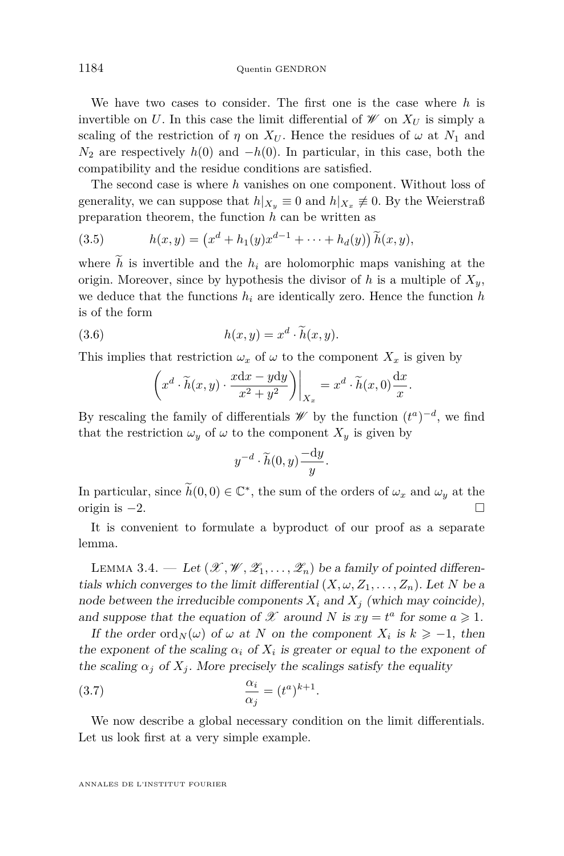We have two cases to consider. The first one is the case where *h* is invertible on *U*. In this case the limit differential of  $\mathscr W$  on  $X_U$  is simply a scaling of the restriction of  $\eta$  on  $X_U$ . Hence the residues of  $\omega$  at  $N_1$  and  $N_2$  are respectively  $h(0)$  and  $-h(0)$ . In particular, in this case, both the compatibility and the residue conditions are satisfied.

The second case is where *h* vanishes on one component. Without loss of generality, we can suppose that  $h|_{X_y} \equiv 0$  and  $h|_{X_x} \not\equiv 0$ . By the Weierstraß preparation theorem, the function *h* can be written as

(3.5) 
$$
h(x,y) = (x^d + h_1(y)x^{d-1} + \dots + h_d(y)) \widetilde{h}(x,y),
$$

where  $\tilde{h}$  is invertible and the  $h_i$  are holomorphic maps vanishing at the origin. Moreover, since by hypothesis the divisor of  $h$  is a multiple of  $X_y$ , we deduce that the functions  $h_i$  are identically zero. Hence the function  $h$ is of the form

(3.6) 
$$
h(x,y) = x^d \cdot \tilde{h}(x,y).
$$

This implies that restriction  $\omega_x$  of  $\omega$  to the component  $X_x$  is given by

$$
\left(x^d \cdot \widetilde{h}(x,y) \cdot \frac{x \mathrm{d}x - y \mathrm{d}y}{x^2 + y^2}\right)\bigg|_{X_x} = x^d \cdot \widetilde{h}(x,0) \frac{\mathrm{d}x}{x}
$$

*.*

By rescaling the family of differentials  $\mathscr W$  by the function  $(t^a)^{-d}$ , we find that the restriction  $\omega_y$  of  $\omega$  to the component  $X_y$  is given by

$$
y^{-d} \cdot \widetilde{h}(0, y) \frac{-dy}{y}.
$$

In particular, since  $\widetilde{h}(0,0) \in \mathbb{C}^*$ , the sum of the orders of  $\omega_x$  and  $\omega_y$  at the origin is  $-2$ .  $\Box$ 

It is convenient to formulate a byproduct of our proof as a separate lemma.

<span id="page-16-0"></span>LEMMA 3.4. — Let  $(\mathscr{X}, \mathscr{W}, \mathscr{Z}_1, \ldots, \mathscr{Z}_n)$  be a family of pointed differentials which converges to the limit differential  $(X, \omega, Z_1, \ldots, Z_n)$ . Let N be a node between the irreducible components  $X_i$  and  $X_j$  (which may coincide), and suppose that the equation of  $\mathscr X$  around *N* is  $xy = t^a$  for some  $a \ge 1$ .

If the order ord<sub>N</sub>( $\omega$ ) of  $\omega$  at N on the component  $X_i$  is  $k \geq -1$ , then the exponent of the scaling  $\alpha_i$  of  $X_i$  is greater or equal to the exponent of the scaling  $\alpha_j$  of  $X_j$ . More precisely the scalings satisfy the equality

(3.7) 
$$
\frac{\alpha_i}{\alpha_j} = (t^a)^{k+1}.
$$

We now describe a global necessary condition on the limit differentials. Let us look first at a very simple example.

ANNALES DE L'INSTITUT FOURIER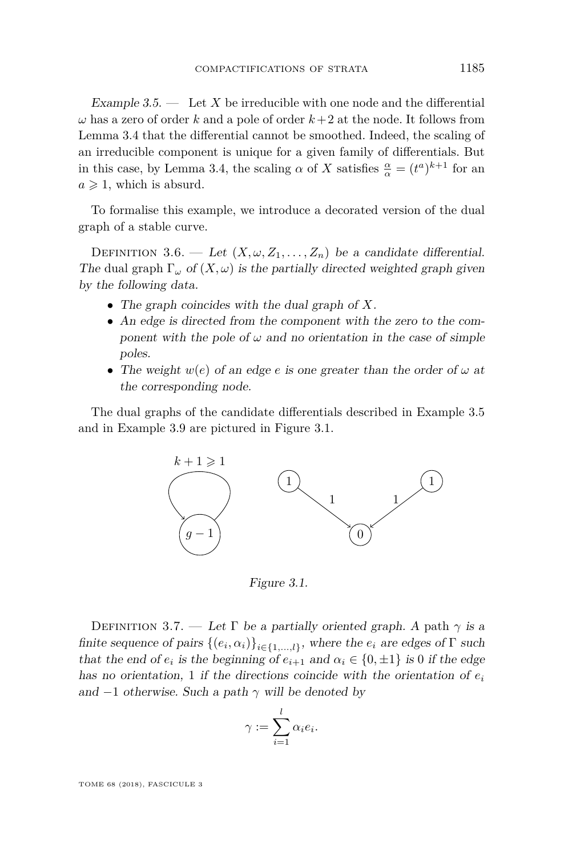<span id="page-17-0"></span>Example  $3.5.$  — Let X be irreducible with one node and the differential  $\omega$  has a zero of order *k* and a pole of order  $k+2$  at the node. It follows from Lemma [3.4](#page-16-0) that the differential cannot be smoothed. Indeed, the scaling of an irreducible component is unique for a given family of differentials. But in this case, by Lemma [3.4,](#page-16-0) the scaling  $\alpha$  of *X* satisfies  $\frac{\alpha}{\alpha} = (t^a)^{k+1}$  for an  $a \geqslant 1$ , which is absurd.

To formalise this example, we introduce a decorated version of the dual graph of a stable curve.

<span id="page-17-2"></span>DEFINITION 3.6. — Let  $(X, \omega, Z_1, \ldots, Z_n)$  be a candidate differential. The dual graph  $\Gamma_{\omega}$  of  $(X,\omega)$  is the partially directed weighted graph given by the following data.

- The graph coincides with the dual graph of *X*.
- An edge is directed from the component with the zero to the component with the pole of  $\omega$  and no orientation in the case of simple poles.
- The weight *w*(*e*) of an edge *e* is one greater than the order of *ω* at the corresponding node.

The dual graphs of the candidate differentials described in Example [3.5](#page-17-0) and in Example [3.9](#page-19-1) are pictured in Figure [3.1.](#page-17-1)



<span id="page-17-1"></span>Figure 3.1.

DEFINITION 3.7. — Let  $\Gamma$  be a partially oriented graph. A path  $\gamma$  is a finite sequence of pairs  $\{(e_i, \alpha_i)\}_{i \in \{1, ..., l\}}$ , where the  $e_i$  are edges of  $\Gamma$  such that the end of  $e_i$  is the beginning of  $e_{i+1}$  and  $\alpha_i \in \{0, \pm 1\}$  is 0 if the edge has no orientation, 1 if the directions coincide with the orientation of *e<sup>i</sup>* and  $-1$  otherwise. Such a path  $\gamma$  will be denoted by

$$
\gamma := \sum_{i=1}^l \alpha_i e_i.
$$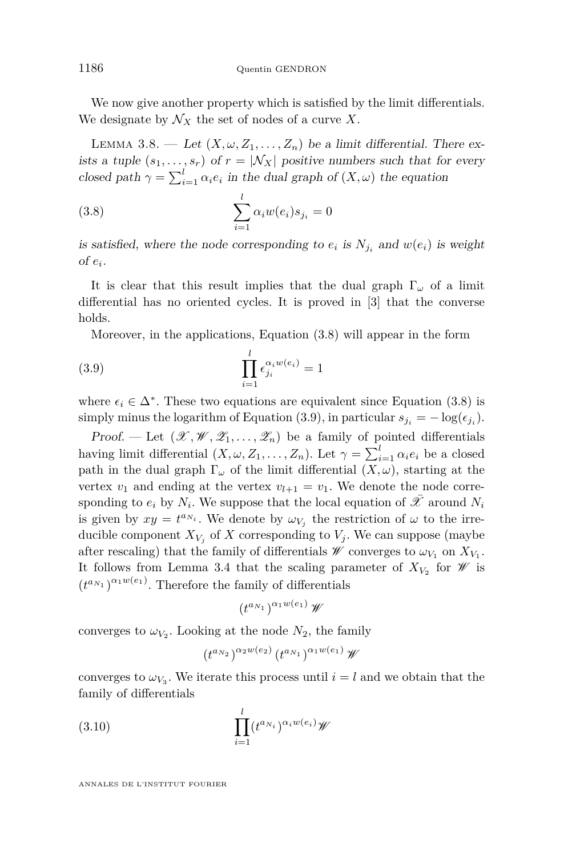We now give another property which is satisfied by the limit differentials. We designate by  $\mathcal{N}_X$  the set of nodes of a curve X.

<span id="page-18-0"></span>LEMMA 3.8. — Let  $(X, \omega, Z_1, \ldots, Z_n)$  be a limit differential. There exists a tuple  $(s_1, \ldots, s_r)$  of  $r = |N_X|$  positive numbers such that for every closed path  $\gamma = \sum_{i=1}^{l} \alpha_i e_i$  in the dual graph of  $(X, \omega)$  the equation

<span id="page-18-1"></span>(3.8) 
$$
\sum_{i=1}^{l} \alpha_i w(e_i) s_{j_i} = 0
$$

is satisfied, where the node corresponding to  $e_i$  is  $N_{j_i}$  and  $w(e_i)$  is weight  $of e_i.$ 

It is clear that this result implies that the dual graph  $\Gamma_{\omega}$  of a limit differential has no oriented cycles. It is proved in [\[3\]](#page-71-3) that the converse holds.

<span id="page-18-2"></span>Moreover, in the applications, Equation [\(3.8\)](#page-18-1) will appear in the form

(3.9) 
$$
\prod_{i=1}^{l} \epsilon_{j_i}^{\alpha_i w(e_i)} = 1
$$

where  $\epsilon_i \in \Delta^*$ . These two equations are equivalent since Equation [\(3.8\)](#page-18-1) is simply minus the logarithm of Equation [\(3.9\)](#page-18-2), in particular  $s_{j_i} = -\log(\epsilon_{j_i})$ .

Proof. — Let  $(\mathscr{X}, \mathscr{W}, \mathscr{Z}_1, \ldots, \mathscr{Z}_n)$  be a family of pointed differentials having limit differential  $(X, \omega, Z_1, \ldots, Z_n)$ . Let  $\gamma = \sum_{i=1}^l \alpha_i e_i$  be a closed path in the dual graph  $\Gamma_{\omega}$  of the limit differential  $(X, \omega)$ , starting at the vertex  $v_1$  and ending at the vertex  $v_{l+1} = v_1$ . We denote the node corresponding to  $e_i$  by  $N_i$ . We suppose that the local equation of  $\overline{\mathscr{X}}$  around  $N_i$ is given by  $xy = t^{a_{N_i}}$ . We denote by  $\omega_{V_j}$  the restriction of  $\omega$  to the irreducible component  $X_{V_j}$  of  $X$  corresponding to  $V_j$ . We can suppose (maybe after rescaling) that the family of differentials  $\mathscr W$  converges to  $\omega_{V_1}$  on  $X_{V_1}$ . It follows from Lemma [3.4](#page-16-0) that the scaling parameter of  $X_{V_2}$  for  $\mathscr W$  is  $(t^{a_{N_1}})^{\alpha_1 w(e_1)}$ . Therefore the family of differentials

$$
\left(t^{a_{N_1}}\right)^{\alpha_1w(e_1)}\mathscr{W}
$$

converges to  $\omega_{V_2}$ . Looking at the node  $N_2$ , the family

$$
\left(t^{a_{N_2}}\right)^{\alpha_2w(e_2)}\left(t^{a_{N_1}}\right)^{\alpha_1w(e_1)}\mathscr{W}
$$

converges to  $\omega_{V_3}$ . We iterate this process until  $i = l$  and we obtain that the family of differentials

(3.10) 
$$
\prod_{i=1}^{l} (t^{a_{N_i}})^{\alpha_i w(e_i)} \mathscr{W}
$$

ANNALES DE L'INSTITUT FOURIER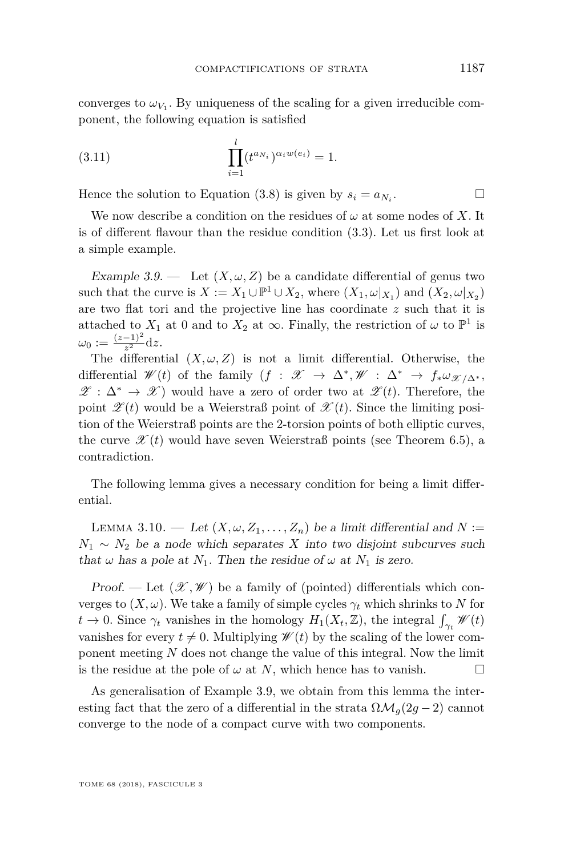converges to  $\omega_{V_1}$ . By uniqueness of the scaling for a given irreducible component, the following equation is satisfied

(3.11) 
$$
\prod_{i=1}^{l} (t^{a_{N_i}})^{\alpha_i w(e_i)} = 1.
$$

Hence the solution to Equation [\(3.8\)](#page-18-1) is given by  $s_i = a_{N_i}$ . . — П

We now describe a condition on the residues of  $\omega$  at some nodes of X. It is of different flavour than the residue condition [\(3.3\)](#page-15-0). Let us first look at a simple example.

<span id="page-19-1"></span>Example 3.9. — Let  $(X, \omega, Z)$  be a candidate differential of genus two such that the curve is  $X := X_1 \cup \mathbb{P}^1 \cup X_2$ , where  $(X_1, \omega|_{X_1})$  and  $(X_2, \omega|_{X_2})$ are two flat tori and the projective line has coordinate *z* such that it is attached to  $X_1$  at 0 and to  $X_2$  at  $\infty$ . Finally, the restriction of  $\omega$  to  $\mathbb{P}^1$  is  $\omega_0:=\frac{(z-1)^2}{z^2}$  $\frac{-1}{z^2}dz$ .

The differential  $(X, \omega, Z)$  is not a limit differential. Otherwise, the differential  $\mathscr{W}(t)$  of the family  $(f : \mathscr{X} \to \Delta^*, \mathscr{W} : \Delta^* \to f_* \omega_{\mathscr{X}/\Delta^*}$  $\mathscr{Z} : \Delta^* \to \mathscr{X}$  would have a zero of order two at  $\mathscr{Z}(t)$ . Therefore, the point  $\mathscr{L}(t)$  would be a Weierstraß point of  $\mathscr{L}(t)$ . Since the limiting position of the Weierstraß points are the 2-torsion points of both elliptic curves, the curve  $\mathscr{X}(t)$  would have seven Weierstraß points (see Theorem [6.5\)](#page-56-0), a contradiction.

The following lemma gives a necessary condition for being a limit differential.

<span id="page-19-0"></span>LEMMA 3.10. — Let  $(X, \omega, Z_1, \ldots, Z_n)$  be a limit differential and  $N :=$  $N_1 \sim N_2$  be a node which separates *X* into two disjoint subcurves such that  $\omega$  has a pole at  $N_1$ . Then the residue of  $\omega$  at  $N_1$  is zero.

Proof. — Let  $(\mathscr{X}, \mathscr{W})$  be a family of (pointed) differentials which converges to  $(X, \omega)$ . We take a family of simple cycles  $\gamma_t$  which shrinks to *N* for  $t \to 0$ . Since  $\gamma_t$  vanishes in the homology  $H_1(X_t, \mathbb{Z})$ , the integral  $\int_{\gamma_t} \mathscr{W}(t)$ vanishes for every  $t \neq 0$ . Multiplying  $\mathscr{W}(t)$  by the scaling of the lower component meeting *N* does not change the value of this integral. Now the limit is the residue at the pole of  $\omega$  at *N*, which hence has to vanish.  $\square$ 

As generalisation of Example [3.9,](#page-19-1) we obtain from this lemma the interesting fact that the zero of a differential in the strata  $\Omega \mathcal{M}_g(2g-2)$  cannot converge to the node of a compact curve with two components.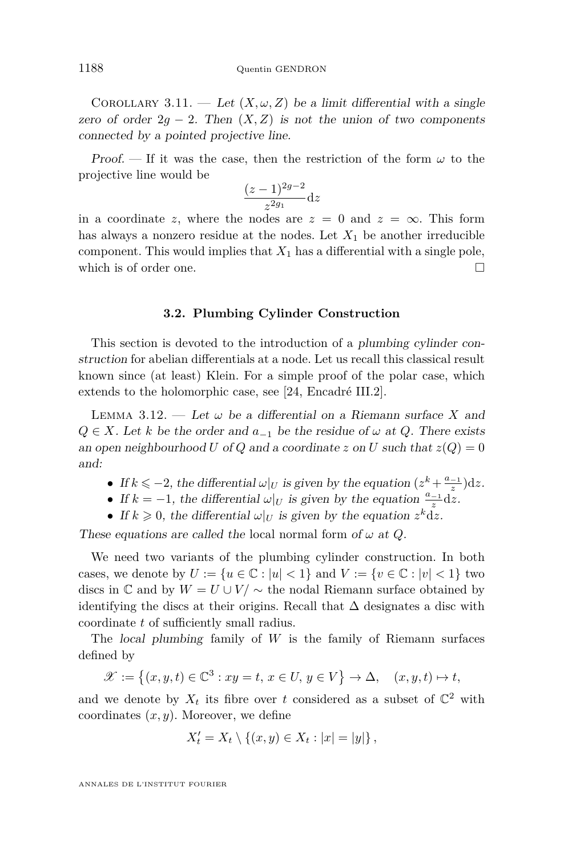COROLLARY 3.11. — Let  $(X, \omega, Z)$  be a limit differential with a single zero of order  $2g - 2$ . Then  $(X, Z)$  is not the union of two components connected by a pointed projective line.

Proof. — If it was the case, then the restriction of the form  $\omega$  to the projective line would be

$$
\frac{(z-1)^{2g-2}}{z^{2g_1}}dz
$$

in a coordinate *z*, where the nodes are  $z = 0$  and  $z = \infty$ . This form has always a nonzero residue at the nodes. Let  $X_1$  be another irreducible component. This would implies that  $X_1$  has a differential with a single pole, which is of order one.

#### **3.2. Plumbing Cylinder Construction**

<span id="page-20-0"></span>This section is devoted to the introduction of a plumbing cylinder construction for abelian differentials at a node. Let us recall this classical result known since (at least) Klein. For a simple proof of the polar case, which extends to the holomorphic case, see [\[24,](#page-72-1) Encadré III.2].

<span id="page-20-1"></span>LEMMA 3.12. — Let  $\omega$  be a differential on a Riemann surface X and *Q* ∈ *X*. Let *k* be the order and  $a_{-1}$  be the residue of  $\omega$  at *Q*. There exists an open neighbourhood *U* of *Q* and a coordinate *z* on *U* such that  $z(Q) = 0$ and:

- If  $k \le -2$ , the differential  $\omega|_U$  is given by the equation  $(z^k + \frac{a_{-1}}{z})dz$ .
- If  $k = -1$ , the differential  $\omega|_U$  is given by the equation  $\frac{a_{-1}}{z}d\tilde{z}$ .
- If  $k \geq 0$ , the differential  $\omega|_U$  is given by the equation  $z^k dz$ .

These equations are called the local normal form of  $\omega$  at  $Q$ .

We need two variants of the plumbing cylinder construction. In both cases, we denote by  $U := \{u \in \mathbb{C} : |u| < 1\}$  and  $V := \{v \in \mathbb{C} : |v| < 1\}$  two discs in  $\mathbb C$  and by  $W = U \cup V / \sim$  the nodal Riemann surface obtained by identifying the discs at their origins. Recall that  $\Delta$  designates a disc with coordinate *t* of sufficiently small radius.

The local plumbing family of *W* is the family of Riemann surfaces defined by

$$
\mathscr{X}:=\left\{(x,y,t)\in\mathbb{C}^3: xy=t,\,x\in U,\,y\in V\right\}\to\Delta,\quad (x,y,t)\mapsto t,
$$

and we denote by  $X_t$  its fibre over *t* considered as a subset of  $\mathbb{C}^2$  with coordinates (*x, y*). Moreover, we define

$$
X'_{t} = X_{t} \setminus \{(x, y) \in X_{t} : |x| = |y|\},\
$$

ANNALES DE L'INSTITUT FOURIER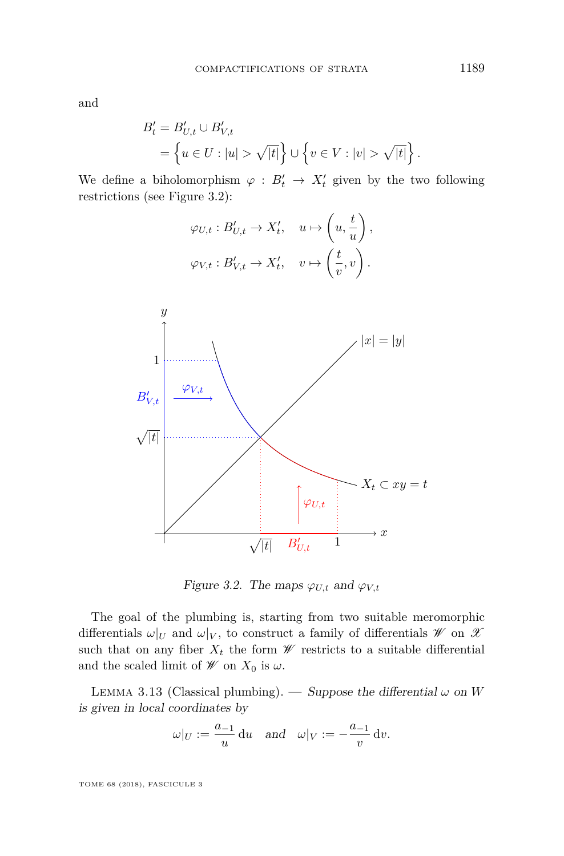and

$$
B'_{t} = B'_{U,t} \cup B'_{V,t}
$$
  
=  $\{ u \in U : |u| > \sqrt{|t|} \} \cup \{ v \in V : |v| > \sqrt{|t|} \}.$ 

We define a biholomorphism  $\varphi : B'_t \to X'_t$  given by the two following restrictions (see Figure [3.2\)](#page-21-0):

$$
\varphi_{U,t}: B'_{U,t} \to X'_t, \quad u \mapsto \left(u, \frac{t}{u}\right),
$$
  

$$
\varphi_{V,t}: B'_{V,t} \to X'_t, \quad v \mapsto \left(\frac{t}{v}, v\right).
$$



<span id="page-21-0"></span>Figure 3.2. The maps  $\varphi_{U,t}$  and  $\varphi_{V,t}$ 

The goal of the plumbing is, starting from two suitable meromorphic differentials  $\omega|_U$  and  $\omega|_V$ , to construct a family of differentials  $\mathscr W$  on  $\mathscr X$ such that on any fiber  $X_t$  the form  $\mathscr W$  restricts to a suitable differential and the scaled limit of  $\mathscr W$  on  $X_0$  is  $\omega$ .

<span id="page-21-1"></span>LEMMA 3.13 (Classical plumbing). — Suppose the differential  $\omega$  on *W* is given in local coordinates by

$$
\omega|_U := \frac{a_{-1}}{u} \, \mathrm{d}u \quad \text{and} \quad \omega|_V := -\frac{a_{-1}}{v} \, \mathrm{d}v.
$$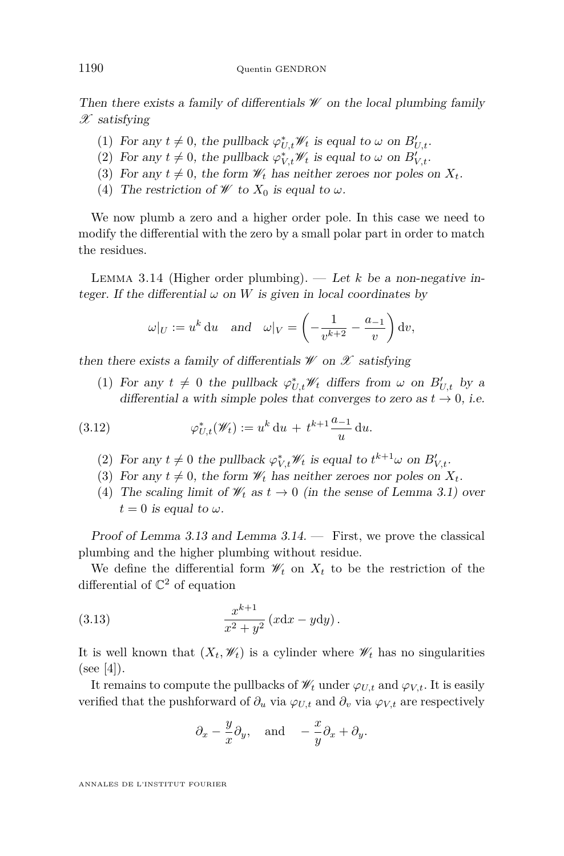Then there exists a family of differentials  $\mathscr W$  on the local plumbing family  $\mathscr X$  satisfying

- (1) For any  $t \neq 0$ , the pullback  $\varphi_{U,t}^* \mathscr{W}_t$  is equal to  $\omega$  on  $B'_{U,t}$ .
- (2) For any  $t \neq 0$ , the pullback  $\varphi_{V,t}^* \mathscr{W}_t$  is equal to  $\omega$  on  $B'_{V,t}$ .
- (3) For any  $t \neq 0$ , the form  $\mathcal{W}_t$  has neither zeroes nor poles on  $X_t$ .
- (4) The restriction of  $W$  to  $X_0$  is equal to  $\omega$ .

We now plumb a zero and a higher order pole. In this case we need to modify the differential with the zero by a small polar part in order to match the residues.

<span id="page-22-0"></span>LEMMA 3.14 (Higher order plumbing).  $-$  Let *k* be a non-negative integer. If the differential  $\omega$  on W is given in local coordinates by

$$
\omega|_U := u^k \, \mathrm{d}u
$$
 and  $\omega|_V = \left(-\frac{1}{v^{k+2}} - \frac{a_{-1}}{v}\right) \mathrm{d}v$ ,

then there exists a family of differentials  $\mathscr W$  on  $\mathscr X$  satisfying

<span id="page-22-1"></span>(1) For any  $t \neq 0$  the pullback  $\varphi_{U,t}^* \mathcal{W}_t$  differs from  $\omega$  on  $B'_{U,t}$  by a differential a with simple poles that converges to zero as  $t \to 0$ , i.e.

(3.12) 
$$
\varphi_{U,t}^*(\mathscr{W}_t) := u^k du + t^{k+1} \frac{a_{-1}}{u} du.
$$

- (2) For any  $t \neq 0$  the pullback  $\varphi_{V,t}^* \mathscr{W}_t$  is equal to  $t^{k+1}\omega$  on  $B'_{V,t}$ .
- (3) For any  $t \neq 0$ , the form  $\mathscr{W}_t$  has neither zeroes nor poles on  $X_t$ .
- (4) The scaling limit of  $\mathcal{W}_t$  as  $t \to 0$  (in the sense of Lemma [3.1\)](#page-13-3) over  $t = 0$  is equal to  $\omega$ .

Proof of Lemma [3.13](#page-21-1) and Lemma [3.14.](#page-22-0) — First, we prove the classical plumbing and the higher plumbing without residue.

We define the differential form  $\mathcal{W}_t$  on  $X_t$  to be the restriction of the differential of  $\mathbb{C}^2$  of equation

(3.13) 
$$
\frac{x^{k+1}}{x^2 + y^2} (x \mathrm{d}x - y \mathrm{d}y).
$$

It is well known that  $(X_t, \mathscr{W}_t)$  is a cylinder where  $\mathscr{W}_t$  has no singularities  $(see [4]).$  $(see [4]).$  $(see [4]).$ 

It remains to compute the pullbacks of  $\mathscr{W}_t$  under  $\varphi_{U,t}$  and  $\varphi_{V,t}$ . It is easily verified that the pushforward of  $\partial_u$  via  $\varphi_{U,t}$  and  $\partial_v$  via  $\varphi_{V,t}$  are respectively

$$
\partial_x - \frac{y}{x} \partial_y
$$
, and  $-\frac{x}{y} \partial_x + \partial_y$ .

ANNALES DE L'INSTITUT FOURIER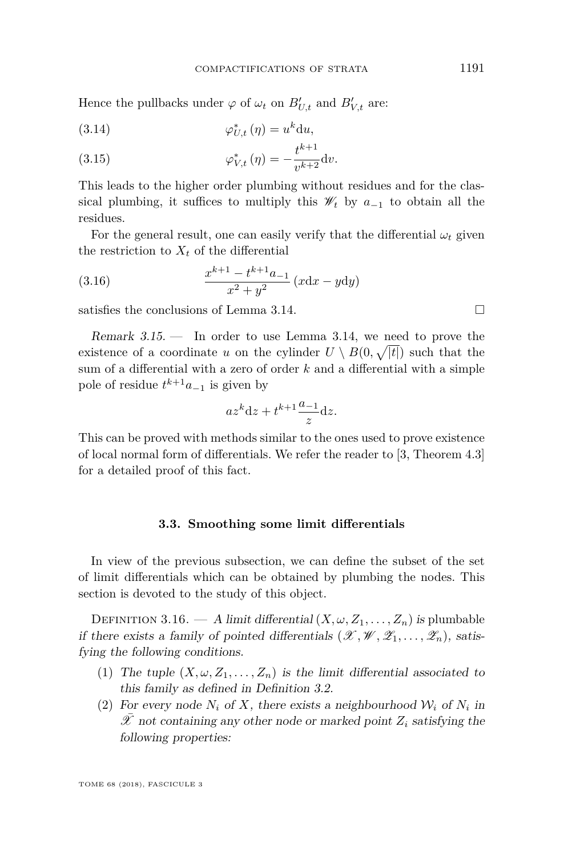Hence the pullbacks under  $\varphi$  of  $\omega_t$  on  $B'_{U,t}$  and  $B'_{V,t}$  are:

(3.14) 
$$
\varphi_{U,t}^*(\eta) = u^k \mathrm{d}u,
$$

(3.15) 
$$
\varphi_{V,t}^* \left( \eta \right) = -\frac{t^{k+1}}{v^{k+2}} \mathrm{d} v.
$$

This leads to the higher order plumbing without residues and for the classical plumbing, it suffices to multiply this  $\mathscr{W}_t$  by  $a_{-1}$  to obtain all the residues.

For the general result, one can easily verify that the differential  $\omega_t$  given the restriction to  $X_t$  of the differential

(3.16) 
$$
\frac{x^{k+1} - t^{k+1}a_{-1}}{x^2 + y^2} (x \, dx - y \, dy)
$$

satisfies the conclusions of Lemma [3.14.](#page-22-0)

<span id="page-23-2"></span>Remark  $3.15.$  — In order to use Lemma [3.14,](#page-22-0) we need to prove the existence of a coordinate *u* on the cylinder  $U \setminus B(0, \sqrt{|t|})$  such that the sum of a differential with a zero of order *k* and a differential with a simple pole of residue  $t^{k+1}a_{-1}$  is given by

$$
az^k \mathrm{d}z + t^{k+1} \frac{a_{-1}}{z} \mathrm{d}z.
$$

This can be proved with methods similar to the ones used to prove existence of local normal form of differentials. We refer the reader to [\[3,](#page-71-3) Theorem 4.3] for a detailed proof of this fact.

#### **3.3. Smoothing some limit differentials**

<span id="page-23-0"></span>In view of the previous subsection, we can define the subset of the set of limit differentials which can be obtained by plumbing the nodes. This section is devoted to the study of this object.

<span id="page-23-1"></span>DEFINITION 3.16. — A limit differential  $(X, \omega, Z_1, \ldots, Z_n)$  is plumbable if there exists a family of pointed differentials  $(\mathscr{X}, \mathscr{W}, \mathscr{Z}_1, \ldots, \mathscr{Z}_n)$ , satisfying the following conditions.

- (1) The tuple  $(X, \omega, Z_1, \ldots, Z_n)$  is the limit differential associated to this family as defined in Definition [3.2.](#page-14-0)
- (2) For every node  $N_i$  of  $X$ , there exists a neighbourhood  $W_i$  of  $N_i$  in  $\overline{\mathscr{X}}$  not containing any other node or marked point  $Z_i$  satisfying the following properties: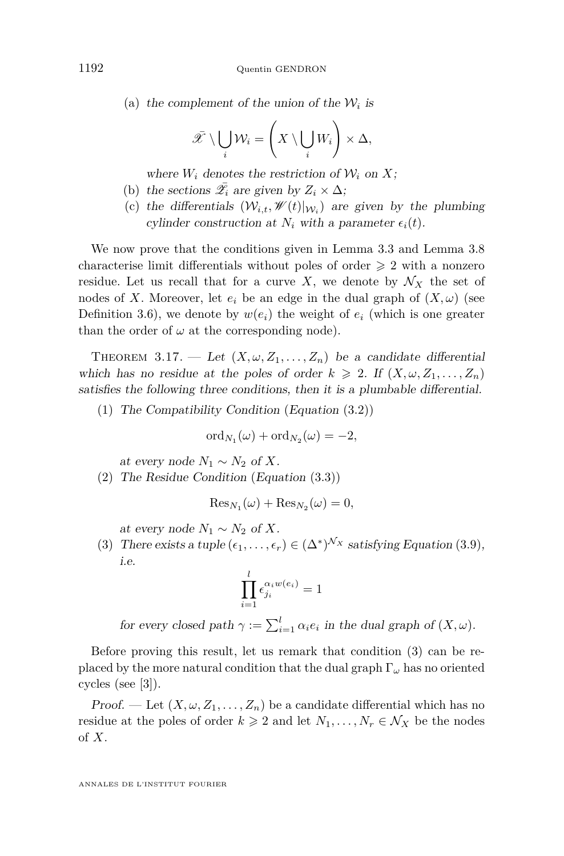(a) the complement of the union of the  $W_i$  is

$$
\bar{\mathscr{X}} \setminus \bigcup_i \mathcal{W}_i = \left( X \setminus \bigcup_i W_i \right) \times \Delta,
$$

where  $W_i$  denotes the restriction of  $W_i$  on X;

- (b) the sections  $\bar{\mathscr{L}}_i$  are given by  $Z_i \times \Delta$ ;
- (c) the differentials  $(W_{i,t}, W(t)|_{W_i})$  are given by the plumbing cylinder construction at  $N_i$  with a parameter  $\epsilon_i(t)$ .

We now prove that the conditions given in Lemma [3.3](#page-15-1) and Lemma [3.8](#page-18-0) characterise limit differentials without poles of order  $\geq 2$  with a nonzero residue. Let us recall that for a curve X, we denote by  $\mathcal{N}_X$  the set of nodes of *X*. Moreover, let  $e_i$  be an edge in the dual graph of  $(X, \omega)$  (see Definition [3.6\)](#page-17-2), we denote by  $w(e_i)$  the weight of  $e_i$  (which is one greater than the order of  $\omega$  at the corresponding node).

<span id="page-24-0"></span>THEOREM 3.17. — Let  $(X, \omega, Z_1, \ldots, Z_n)$  be a candidate differential which has no residue at the poles of order  $k \geq 2$ . If  $(X, \omega, Z_1, \ldots, Z_n)$ satisfies the following three conditions, then it is a plumbable differential.

(1) The Compatibility Condition (Equation [\(3.2\)](#page-15-2))

$$
ord_{N_1}(\omega) + ord_{N_2}(\omega) = -2,
$$

at every node  $N_1$  ∼  $N_2$  of  $X$ .

(2) The Residue Condition (Equation [\(3.3\)](#page-15-0))

$$
\operatorname{Res}_{N_1}(\omega) + \operatorname{Res}_{N_2}(\omega) = 0,
$$

at every node  $N_1 \sim N_2$  of X.

<span id="page-24-1"></span>(3) There exists a tuple  $(\epsilon_1, \ldots, \epsilon_r) \in (\Delta^*)^{\mathcal{N}_X}$  satisfying Equation [\(3.9\)](#page-18-2), i.e.

$$
\prod_{i=1}^{l} \epsilon_{j_i}^{\alpha_i w(e_i)} = 1
$$

for every closed path  $\gamma := \sum_{i=1}^{l} \alpha_i e_i$  in the dual graph of  $(X, \omega)$ .

Before proving this result, let us remark that condition [\(3\)](#page-24-1) can be replaced by the more natural condition that the dual graph Γ*<sup>ω</sup>* has no oriented cycles (see [\[3\]](#page-71-3)).

Proof. — Let  $(X, \omega, Z_1, \ldots, Z_n)$  be a candidate differential which has no residue at the poles of order  $k \geq 2$  and let  $N_1, \ldots, N_r \in \mathcal{N}_X$  be the nodes of *X*.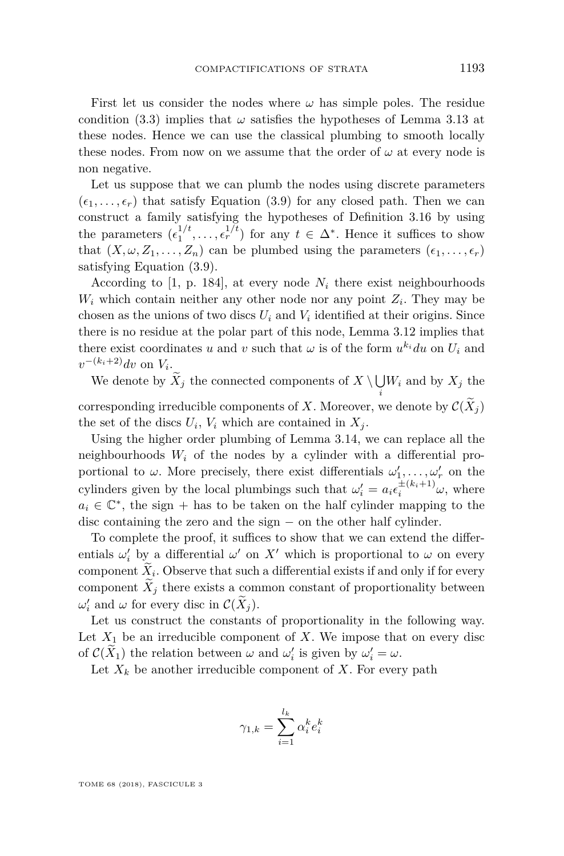First let us consider the nodes where  $\omega$  has simple poles. The residue condition [\(3.3\)](#page-15-0) implies that  $\omega$  satisfies the hypotheses of Lemma [3.13](#page-21-1) at these nodes. Hence we can use the classical plumbing to smooth locally these nodes. From now on we assume that the order of  $\omega$  at every node is non negative.

Let us suppose that we can plumb the nodes using discrete parameters  $(\epsilon_1, \ldots, \epsilon_r)$  that satisfy Equation [\(3.9\)](#page-18-2) for any closed path. Then we can construct a family satisfying the hypotheses of Definition [3.16](#page-23-1) by using the parameters  $(\epsilon_1^{1/t}, \ldots, \epsilon_r^{1/t})$  for any  $t \in \Delta^*$ . Hence it suffices to show that  $(X, \omega, Z_1, \ldots, Z_n)$  can be plumbed using the parameters  $(\epsilon_1, \ldots, \epsilon_r)$ satisfying Equation [\(3.9\)](#page-18-2).

According to [\[1,](#page-71-13) p. 184], at every node  $N_i$  there exist neighbourhoods  $W_i$  which contain neither any other node nor any point  $Z_i$ . They may be chosen as the unions of two discs  $U_i$  and  $V_i$  identified at their origins. Since there is no residue at the polar part of this node, Lemma [3.12](#page-20-1) implies that there exist coordinates *u* and *v* such that  $\omega$  is of the form  $u^{k_i} du$  on  $U_i$  and  $v^{-(k_i+2)}dv$  on  $V_i$ .

We denote by  $X_j$  the connected components of  $X \setminus \bigcup_i W_i$  and by  $X_j$  the *i* corresponding irreducible components of *X*. Moreover, we denote by  $\mathcal{C}(X_i)$ the set of the discs  $U_i$ ,  $V_i$  which are contained in  $X_j$ .

Using the higher order plumbing of Lemma [3.14,](#page-22-0) we can replace all the neighbourhoods  $W_i$  of the nodes by a cylinder with a differential proportional to  $\omega$ . More precisely, there exist differentials  $\omega'_1, \ldots, \omega'_r$  on the cylinders given by the local plumbings such that  $\omega'_{i} = a_{i} \epsilon_{i}^{\pm (k_{i}+1)} \omega$ , where  $a_i \in \mathbb{C}^*$ , the sign + has to be taken on the half cylinder mapping to the disc containing the zero and the sign − on the other half cylinder.

To complete the proof, it suffices to show that we can extend the differentials  $\omega'_i$  by a differential  $\omega'$  on X' which is proportional to  $\omega$  on every component  $X_i$ . Observe that such a differential exists if and only if for every component  $X_i$  there exists a common constant of proportionality between  $ω'_{i}$  and *ω* for every disc in  $\mathcal{C}(X_j)$ .

Let us construct the constants of proportionality in the following way. Let  $X_1$  be an irreducible component of  $X$ . We impose that on every disc of  $\mathcal{C}(\tilde{X}_1)$  the relation between  $\omega$  and  $\omega'_i$  is given by  $\omega'_i = \omega$ .

Let  $X_k$  be another irreducible component of  $X$ . For every path

$$
\gamma_{1,k} = \sum_{i=1}^{l_k} \alpha_i^k e_i^k
$$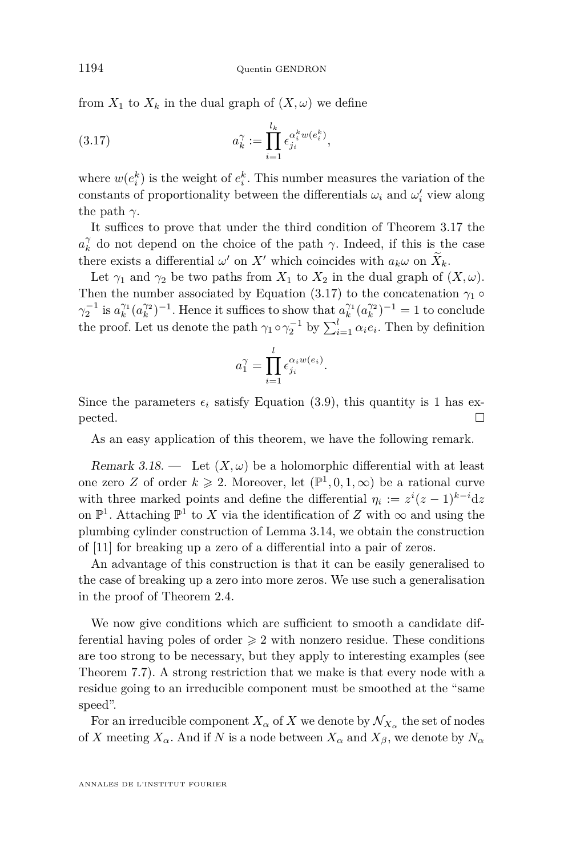from  $X_1$  to  $X_k$  in the dual graph of  $(X, \omega)$  we define

<span id="page-26-0"></span>(3.17) 
$$
a_k^{\gamma} := \prod_{i=1}^{l_k} \epsilon_{j_i}^{\alpha_i^k w(e_i^k)},
$$

where  $w(e_i^k)$  is the weight of  $e_i^k$ . This number measures the variation of the constants of proportionality between the differentials  $\omega_i$  and  $\omega'_i$  view along the path  $\gamma$ .

It suffices to prove that under the third condition of Theorem [3.17](#page-24-0) the  $a_k^{\gamma}$  do not depend on the choice of the path *γ*. Indeed, if this is the case there exists a differential  $\omega'$  on  $X'$  which coincides with  $a_k \omega$  on  $X_k$ .

Let  $\gamma_1$  and  $\gamma_2$  be two paths from  $X_1$  to  $X_2$  in the dual graph of  $(X, \omega)$ . Then the number associated by Equation [\(3.17\)](#page-26-0) to the concatenation  $\gamma_1$  ◦  $\gamma_2^{-1}$  is  $a_k^{\gamma_1}(a_k^{\gamma_2})^{-1}$ . Hence it suffices to show that  $a_k^{\gamma_1}(a_k^{\gamma_2})^{-1} = 1$  to conclude the proof. Let us denote the path  $\gamma_1 \circ \gamma_2^{-1}$  by  $\sum_{i=1}^l \alpha_i e_i$ . Then by definition

$$
a_1^{\gamma} = \prod_{i=1}^l \epsilon_{j_i}^{\alpha_i w(e_i)}.
$$

Since the parameters  $\epsilon_i$  satisfy Equation [\(3.9\)](#page-18-2), this quantity is 1 has ex $pected.$ 

As an easy application of this theorem, we have the following remark.

Remark 3.18. — Let  $(X, \omega)$  be a holomorphic differential with at least one zero *Z* of order  $k \ge 2$ . Moreover, let  $(\mathbb{P}^1, 0, 1, \infty)$  be a rational curve with three marked points and define the differential  $\eta_i := z^i(z-1)^{k-i} dz$ on  $\mathbb{P}^1$ . Attaching  $\mathbb{P}^1$  to X via the identification of Z with  $\infty$  and using the plumbing cylinder construction of Lemma [3.14,](#page-22-0) we obtain the construction of [\[11\]](#page-71-10) for breaking up a zero of a differential into a pair of zeros.

An advantage of this construction is that it can be easily generalised to the case of breaking up a zero into more zeros. We use such a generalisation in the proof of Theorem [2.4.](#page-11-1)

We now give conditions which are sufficient to smooth a candidate differential having poles of order  $\geq 2$  with nonzero residue. These conditions are too strong to be necessary, but they apply to interesting examples (see Theorem [7.7\)](#page-65-0). A strong restriction that we make is that every node with a residue going to an irreducible component must be smoothed at the "same speed".

For an irreducible component  $X_\alpha$  of  $X$  we denote by  $\mathcal{N}_{X_\alpha}$  the set of nodes of *X* meeting  $X_\alpha$ . And if *N* is a node between  $X_\alpha$  and  $X_\beta$ , we denote by  $N_\alpha$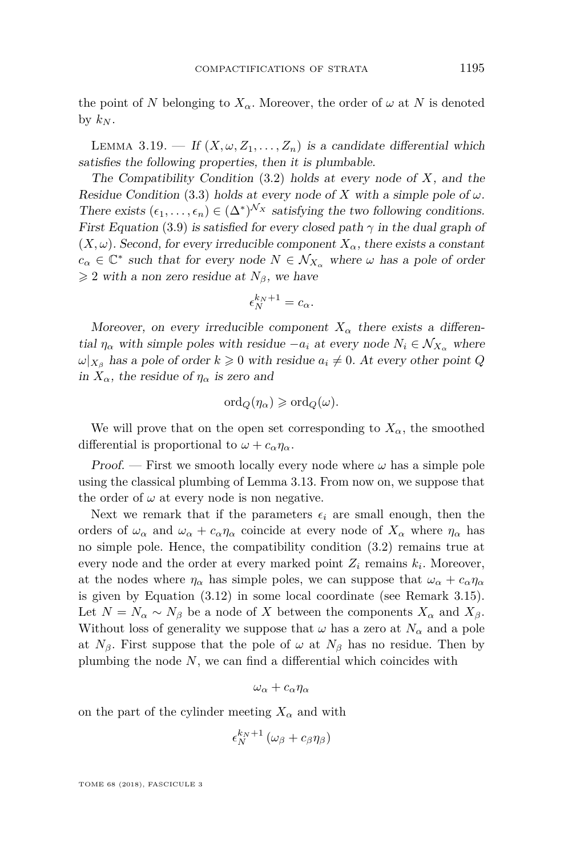the point of N belonging to  $X_\alpha$ . Moreover, the order of  $\omega$  at N is denoted by  $k_N$ .

<span id="page-27-0"></span>LEMMA 3.19. — If  $(X, \omega, Z_1, \ldots, Z_n)$  is a candidate differential which satisfies the following properties, then it is plumbable.

The Compatibility Condition [\(3.2\)](#page-15-2) holds at every node of *X*, and the Residue Condition [\(3.3\)](#page-15-0) holds at every node of *X* with a simple pole of  $\omega$ . There exists  $(\epsilon_1, \ldots, \epsilon_n) \in (\Delta^*)^{\mathcal{N}_X}$  satisfying the two following conditions. First Equation [\(3.9\)](#page-18-2) is satisfied for every closed path  $\gamma$  in the dual graph of  $(X, \omega)$ . Second, for every irreducible component  $X_{\alpha}$ , there exists a constant  $c_{\alpha} \in \mathbb{C}^*$  such that for every node  $N \in \mathcal{N}_{X_{\alpha}}$  where  $\omega$  has a pole of order  $\geq 2$  with a non zero residue at  $N_\beta$ , we have

$$
\epsilon_N^{k_N+1} = c_\alpha.
$$

Moreover, on every irreducible component  $X_\alpha$  there exists a differential  $\eta_{\alpha}$  with simple poles with residue  $-a_i$  at every node  $N_i \in \mathcal{N}_{X_{\alpha}}$  where  $\omega|_{X_{\beta}}$  has a pole of order  $k \geq 0$  with residue  $a_i \neq 0$ . At every other point *Q* in  $X_\alpha$ , the residue of  $\eta_\alpha$  is zero and

$$
\mathrm{ord}_Q(\eta_\alpha)\geqslant \mathrm{ord}_Q(\omega).
$$

We will prove that on the open set corresponding to  $X_\alpha$ , the smoothed differential is proportional to  $\omega + c_{\alpha}\eta_{\alpha}$ .

Proof. — First we smooth locally every node where  $\omega$  has a simple pole using the classical plumbing of Lemma [3.13.](#page-21-1) From now on, we suppose that the order of  $\omega$  at every node is non negative.

Next we remark that if the parameters  $\epsilon_i$  are small enough, then the orders of  $\omega_{\alpha}$  and  $\omega_{\alpha} + c_{\alpha}\eta_{\alpha}$  coincide at every node of  $X_{\alpha}$  where  $\eta_{\alpha}$  has no simple pole. Hence, the compatibility condition [\(3.2\)](#page-15-2) remains true at every node and the order at every marked point  $Z_i$  remains  $k_i$ . Moreover, at the nodes where  $\eta_{\alpha}$  has simple poles, we can suppose that  $\omega_{\alpha} + c_{\alpha} \eta_{\alpha}$ is given by Equation [\(3.12\)](#page-22-1) in some local coordinate (see Remark [3.15\)](#page-23-2). Let  $N = N_\alpha \sim N_\beta$  be a node of *X* between the components  $X_\alpha$  and  $X_\beta$ . Without loss of generality we suppose that  $\omega$  has a zero at  $N_{\alpha}$  and a pole at  $N_\beta$ . First suppose that the pole of  $\omega$  at  $N_\beta$  has no residue. Then by plumbing the node *N*, we can find a differential which coincides with

$$
\omega_\alpha + c_\alpha \eta_\alpha
$$

on the part of the cylinder meeting  $X_\alpha$  and with

$$
\epsilon_N^{k_N+1}\left(\omega_\beta+c_\beta\eta_\beta\right)
$$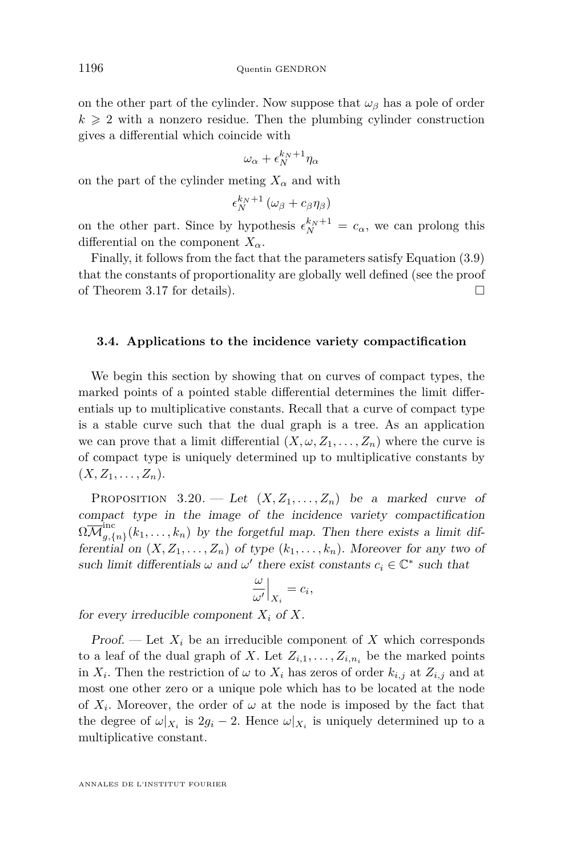on the other part of the cylinder. Now suppose that  $\omega_{\beta}$  has a pole of order  $k \geqslant 2$  with a nonzero residue. Then the plumbing cylinder construction gives a differential which coincide with

$$
\omega_\alpha+\epsilon_N^{k_N+1}\eta_\alpha
$$

on the part of the cylinder meting  $X_\alpha$  and with

$$
\epsilon_N^{k_N+1}(\omega_\beta + c_\beta \eta_\beta)
$$

on the other part. Since by hypothesis  $\epsilon_N^{k_N+1} = c_\alpha$ , we can prolong this differential on the component  $X_\alpha$ .

Finally, it follows from the fact that the parameters satisfy Equation [\(3.9\)](#page-18-2) that the constants of proportionality are globally well defined (see the proof of Theorem [3.17](#page-24-0) for details).

#### <span id="page-28-0"></span>**3.4. Applications to the incidence variety compactification**

We begin this section by showing that on curves of compact types, the marked points of a pointed stable differential determines the limit differentials up to multiplicative constants. Recall that a curve of compact type is a stable curve such that the dual graph is a tree. As an application we can prove that a limit differential  $(X, \omega, Z_1, \ldots, Z_n)$  where the curve is of compact type is uniquely determined up to multiplicative constants by  $(X, Z_1, \ldots, Z_n)$ .

PROPOSITION 3.20. — Let  $(X, Z_1, \ldots, Z_n)$  be a marked curve of compact type in the image of the incidence variety compactification  $\Omega\overline{\mathcal M}_{a,\ell}^\mathrm{inc}$  $g_{\sigma}(n_1)(k_1,\ldots,k_n)$  by the forgetful map. Then there exists a limit differential on  $(X, Z_1, \ldots, Z_n)$  of type  $(k_1, \ldots, k_n)$ . Moreover for any two of such limit differentials  $\omega$  and  $\omega'$  there exist constants  $c_i \in \mathbb{C}^*$  such that

$$
\frac{\omega}{\omega'}\Big|_{X_i} = c_i,
$$

for every irreducible component  $X_i$  of  $X$ .

Proof. — Let  $X_i$  be an irreducible component of X which corresponds to a leaf of the dual graph of *X*. Let  $Z_{i,1}, \ldots, Z_{i,n_i}$  be the marked points in  $X_i$ . Then the restriction of  $\omega$  to  $X_i$  has zeros of order  $k_{i,j}$  at  $Z_{i,j}$  and at most one other zero or a unique pole which has to be located at the node of  $X_i$ . Moreover, the order of  $\omega$  at the node is imposed by the fact that the degree of  $\omega|_{X_i}$  is  $2g_i - 2$ . Hence  $\omega|_{X_i}$  is uniquely determined up to a multiplicative constant.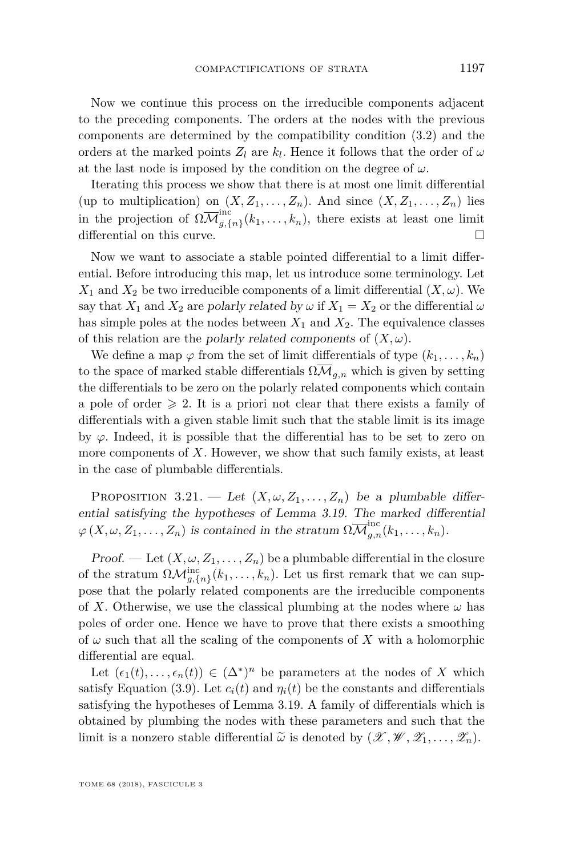Now we continue this process on the irreducible components adjacent to the preceding components. The orders at the nodes with the previous components are determined by the compatibility condition [\(3.2\)](#page-15-2) and the orders at the marked points  $Z_l$  are  $k_l$ . Hence it follows that the order of  $\omega$ at the last node is imposed by the condition on the degree of  $\omega$ .

Iterating this process we show that there is at most one limit differential (up to multiplication) on  $(X, Z_1, \ldots, Z_n)$ . And since  $(X, Z_1, \ldots, Z_n)$  lies in the projection of  $\Omega \overline{\mathcal{M}}_{q,\{0\}}^{\text{inc}}$  $\sum_{g,\{n\}}^{\infty} (k_1,\ldots,k_n)$ , there exists at least one limit differential on this curve.

Now we want to associate a stable pointed differential to a limit differential. Before introducing this map, let us introduce some terminology. Let  $X_1$  and  $X_2$  be two irreducible components of a limit differential  $(X, \omega)$ . We say that  $X_1$  and  $X_2$  are polarly related by  $\omega$  if  $X_1 = X_2$  or the differential  $\omega$ has simple poles at the nodes between  $X_1$  and  $X_2$ . The equivalence classes of this relation are the *polarly related components* of  $(X, \omega)$ .

We define a map  $\varphi$  from the set of limit differentials of type  $(k_1, \ldots, k_n)$ to the space of marked stable differentials  $\Omega \overline{\mathcal{M}}_{q,n}$  which is given by setting the differentials to be zero on the polarly related components which contain a pole of order  $\geq 2$ . It is a priori not clear that there exists a family of differentials with a given stable limit such that the stable limit is its image by  $\varphi$ . Indeed, it is possible that the differential has to be set to zero on more components of *X*. However, we show that such family exists, at least in the case of plumbable differentials.

PROPOSITION 3.21. — Let  $(X, \omega, Z_1, \ldots, Z_n)$  be a plumbable differential satisfying the hypotheses of Lemma [3.19.](#page-27-0) The marked differential  $\varphi(X, \omega, Z_1, \ldots, Z_n)$  is contained in the stratum  $\Omega \overline{\mathcal{M}}_{g,n}^{\text{inc}}(k_1, \ldots, k_n)$ .

Proof. — Let  $(X, \omega, Z_1, \ldots, Z_n)$  be a plumbable differential in the closure of the stratum  $\Omega \mathcal{M}_{g,\{n\}}^{\text{inc}}(k_1,\ldots,k_n)$ . Let us first remark that we can suppose that the polarly related components are the irreducible components of *X*. Otherwise, we use the classical plumbing at the nodes where  $\omega$  has poles of order one. Hence we have to prove that there exists a smoothing of  $\omega$  such that all the scaling of the components of X with a holomorphic differential are equal.

Let  $(\epsilon_1(t), \ldots, \epsilon_n(t)) \in (\Delta^*)^n$  be parameters at the nodes of *X* which satisfy Equation [\(3.9\)](#page-18-2). Let  $c_i(t)$  and  $\eta_i(t)$  be the constants and differentials satisfying the hypotheses of Lemma [3.19.](#page-27-0) A family of differentials which is obtained by plumbing the nodes with these parameters and such that the limit is a nonzero stable differential  $\tilde{\omega}$  is denoted by  $(\mathscr{X}, \mathscr{W}, \mathscr{Z}_1, \ldots, \mathscr{Z}_n)$ .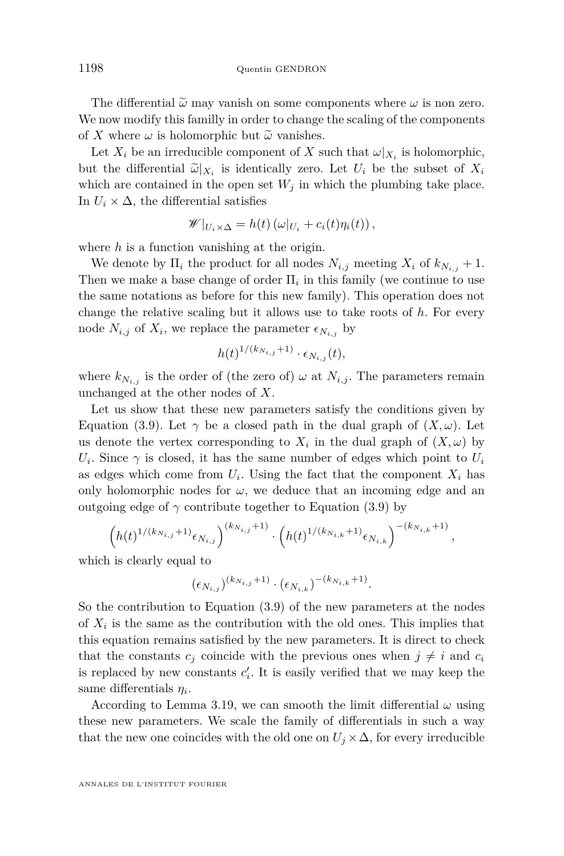The differential  $\tilde{\omega}$  may vanish on some components where  $\omega$  is non zero. We now modify this familly in order to change the scaling of the components of *X* where  $\omega$  is holomorphic but  $\tilde{\omega}$  vanishes.

Let  $X_i$  be an irreducible component of  $X$  such that  $\omega|_{X_i}$  is holomorphic, but the differential  $\tilde{\omega}|_{X_i}$  is identically zero. Let  $U_i$  be the subset of  $X_i$ <br>which are contained in the open set  $W_i$  in which the plumbing take place. which are contained in the open set  $W_i$  in which the plumbing take place. In  $U_i \times \Delta$ , the differential satisfies

$$
\mathscr{W}|_{U_i \times \Delta} = h(t) \left( \omega|_{U_i} + c_i(t) \eta_i(t) \right),
$$

where *h* is a function vanishing at the origin.

We denote by  $\Pi_i$  the product for all nodes  $N_{i,j}$  meeting  $X_i$  of  $k_{N_{i,j}} + 1$ . Then we make a base change of order  $\Pi_i$  in this family (we continue to use the same notations as before for this new family). This operation does not change the relative scaling but it allows use to take roots of *h*. For every node  $N_{i,j}$  of  $X_i$ , we replace the parameter  $\epsilon_{N_{i,j}}$  by

$$
h(t)^{1/(k_{N_{i,j}}+1)} \cdot \epsilon_{N_{i,j}}(t),
$$

where  $k_{N_{i,j}}$  is the order of (the zero of)  $\omega$  at  $N_{i,j}$ . The parameters remain unchanged at the other nodes of *X*.

Let us show that these new parameters satisfy the conditions given by Equation [\(3.9\)](#page-18-2). Let  $\gamma$  be a closed path in the dual graph of  $(X, \omega)$ . Let us denote the vertex corresponding to  $X_i$  in the dual graph of  $(X, \omega)$  by  $U_i$ . Since  $\gamma$  is closed, it has the same number of edges which point to  $U_i$ as edges which come from  $U_i$ . Using the fact that the component  $X_i$  has only holomorphic nodes for  $\omega$ , we deduce that an incoming edge and an outgoing edge of  $\gamma$  contribute together to Equation [\(3.9\)](#page-18-2) by

$$
\left(h(t)^{1/(k_{N_{i,j}}+1)}\epsilon_{N_{i,j}}\right)^{(k_{N_{i,j}}+1)}\cdot\left(h(t)^{1/(k_{N_{i,k}}+1)}\epsilon_{N_{i,k}}\right)^{-(k_{N_{i,k}}+1)}
$$

*,*

which is clearly equal to

$$
(\epsilon_{N_{i,j}})^{(k_{N_{i,j}}+1)} \cdot (\epsilon_{N_{i,k}})^{-(k_{N_{i,k}}+1)}.
$$

So the contribution to Equation [\(3.9\)](#page-18-2) of the new parameters at the nodes of  $X_i$  is the same as the contribution with the old ones. This implies that this equation remains satisfied by the new parameters. It is direct to check that the constants  $c_j$  coincide with the previous ones when  $j \neq i$  and  $c_i$ is replaced by new constants  $c_i'$ . It is easily verified that we may keep the same differentials *η<sup>i</sup>* .

According to Lemma [3.19,](#page-27-0) we can smooth the limit differential  $\omega$  using these new parameters. We scale the family of differentials in such a way that the new one coincides with the old one on  $U_j \times \Delta$ , for every irreducible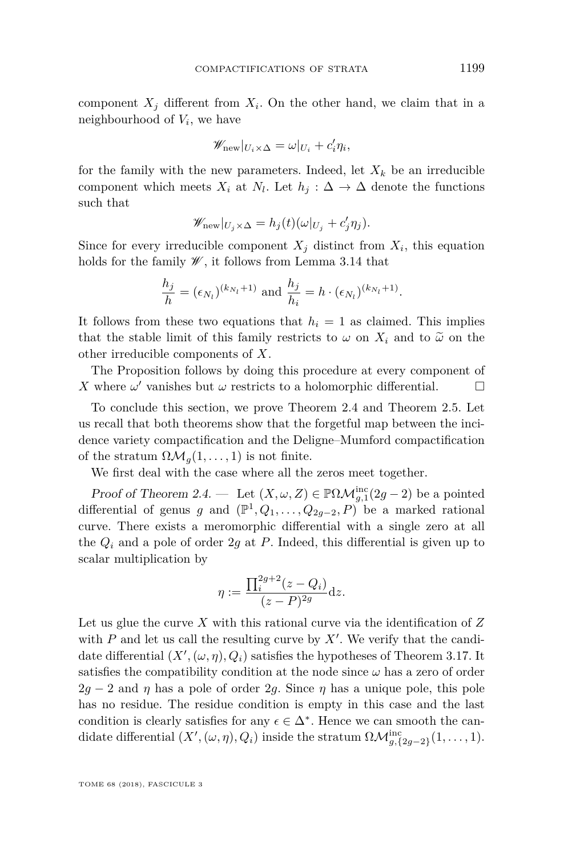component  $X_j$  different from  $X_i$ . On the other hand, we claim that in a neighbourhood of *V<sup>i</sup>* , we have

$$
\mathscr{W}_{\text{new}}|_{U_i \times \Delta} = \omega|_{U_i} + c_i' \eta_i,
$$

for the family with the new parameters. Indeed, let  $X_k$  be an irreducible component which meets  $X_i$  at  $N_l$ . Let  $h_j: \Delta \to \Delta$  denote the functions such that

$$
\mathscr{W}_{\text{new}}|_{U_j \times \Delta} = h_j(t)(\omega|_{U_j} + c'_j \eta_j).
$$

Since for every irreducible component  $X_j$  distinct from  $X_i$ , this equation holds for the family  $\mathscr{W}$ , it follows from Lemma [3.14](#page-22-0) that

$$
\frac{h_j}{h} = (\epsilon_{N_l})^{(k_{N_l}+1)} \text{ and } \frac{h_j}{h_i} = h \cdot (\epsilon_{N_l})^{(k_{N_l}+1)}.
$$

It follows from these two equations that  $h_i = 1$  as claimed. This implies that the stable limit of this family restricts to  $\omega$  on  $X_i$  and to  $\tilde{\omega}$  on the other irreducible components of *X*.

The Proposition follows by doing this procedure at every component of *X* where  $\omega'$  vanishes but  $\omega$  restricts to a holomorphic differential.

To conclude this section, we prove Theorem [2.4](#page-11-1) and Theorem [2.5.](#page-11-0) Let us recall that both theorems show that the forgetful map between the incidence variety compactification and the Deligne–Mumford compactification of the stratum  $\Omega \mathcal{M}_q(1,\ldots,1)$  is not finite.

We first deal with the case where all the zeros meet together.

Proof of Theorem [2.4.](#page-11-1) — Let  $(X, \omega, Z) \in \mathbb{P}\Omega \mathcal{M}_{g,1}^{\text{inc}}(2g-2)$  be a pointed differential of genus *g* and  $(\mathbb{P}^1, Q_1, \ldots, Q_{2g-2}, P)$  be a marked rational curve. There exists a meromorphic differential with a single zero at all the  $Q_i$  and a pole of order 2g at P. Indeed, this differential is given up to scalar multiplication by

$$
\eta := \frac{\prod_{i}^{2g+2} (z - Q_i)}{(z - P)^{2g}} dz.
$$

Let us glue the curve *X* with this rational curve via the identification of *Z* with  $P$  and let us call the resulting curve by  $X'$ . We verify that the candidate differential  $(X', (\omega, \eta), Q_i)$  satisfies the hypotheses of Theorem [3.17.](#page-24-0) It satisfies the compatibility condition at the node since  $\omega$  has a zero of order  $2g - 2$  and  $\eta$  has a pole of order 2g. Since  $\eta$  has a unique pole, this pole has no residue. The residue condition is empty in this case and the last condition is clearly satisfies for any  $\epsilon \in \Delta^*$ . Hence we can smooth the candidate differential  $(X', (\omega, \eta), Q_i)$  inside the stratum  $\Omega \mathcal{M}_{g, \{2g-2\}}^{\text{inc}}(1, \ldots, 1)$ .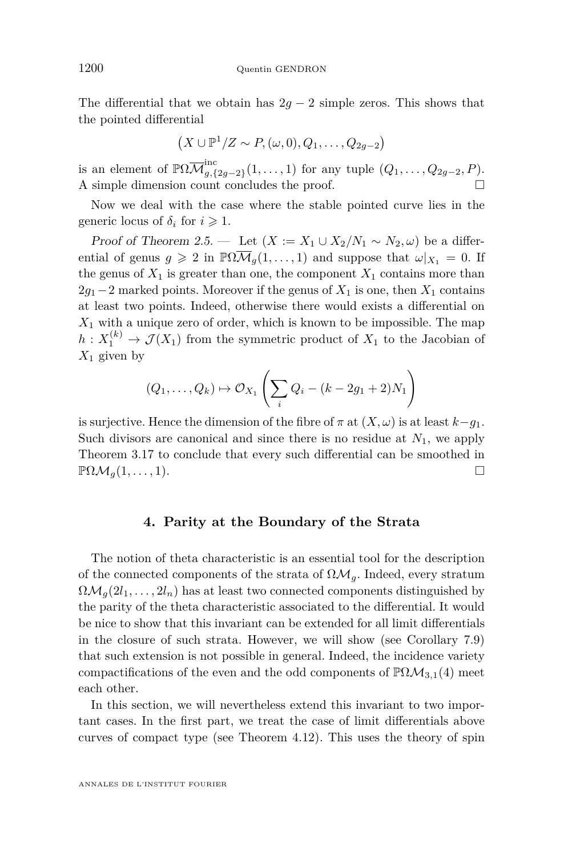The differential that we obtain has  $2g - 2$  simple zeros. This shows that the pointed differential

$$
(X \cup \mathbb{P}^1/Z \sim P, (\omega, 0), Q_1, \ldots, Q_{2g-2})
$$

is an element of  $\mathbb{P}\Omega\overline{\mathcal{M}}_{q,\{0\}}^{\text{inc}}$  $g_{g,\{2g-2\}}(1,\ldots,1)$  for any tuple  $(Q_1,\ldots,Q_{2g-2},P)$ . A simple dimension count concludes the proof.

Now we deal with the case where the stable pointed curve lies in the generic locus of  $\delta_i$  for  $i \geq 1$ .

Proof of Theorem [2.5.](#page-11-0) — Let  $(X := X_1 \cup X_2 / N_1 \sim N_2, \omega)$  be a differential of genus  $g \ge 2$  in  $\mathbb{P}\Omega\overline{\mathcal{M}}_q(1,\ldots,1)$  and suppose that  $\omega|_{X_1} = 0$ . If the genus of  $X_1$  is greater than one, the component  $X_1$  contains more than  $2g_1-2$  marked points. Moreover if the genus of  $X_1$  is one, then  $X_1$  contains at least two points. Indeed, otherwise there would exists a differential on  $X_1$  with a unique zero of order, which is known to be impossible. The map  $h: X_1^{(k)} \to \mathcal{J}(X_1)$  from the symmetric product of  $X_1$  to the Jacobian of *X*<sup>1</sup> given by

$$
(Q_1,\ldots,Q_k)\mapsto \mathcal{O}_{X_1}\left(\sum_i Q_i-(k-2g_1+2)N_1\right)
$$

is surjective. Hence the dimension of the fibre of  $\pi$  at  $(X, \omega)$  is at least  $k-q_1$ . Such divisors are canonical and since there is no residue at  $N_1$ , we apply Theorem [3.17](#page-24-0) to conclude that every such differential can be smoothed in  $\mathbb{P}\Omega\mathcal{M}_q(1,\ldots,1).$ 

#### **4. Parity at the Boundary of the Strata**

<span id="page-32-0"></span>The notion of theta characteristic is an essential tool for the description of the connected components of the strata of  $\Omega \mathcal{M}_g$ . Indeed, every stratum  $\Omega \mathcal{M}_g(2l_1,\ldots,2l_n)$  has at least two connected components distinguished by the parity of the theta characteristic associated to the differential. It would be nice to show that this invariant can be extended for all limit differentials in the closure of such strata. However, we will show (see Corollary [7.9\)](#page-68-0) that such extension is not possible in general. Indeed, the incidence variety compactifications of the even and the odd components of  $\mathbb{P}\Omega\mathcal{M}_{3,1}(4)$  meet each other.

In this section, we will nevertheless extend this invariant to two important cases. In the first part, we treat the case of limit differentials above curves of compact type (see Theorem [4.12\)](#page-38-0). This uses the theory of spin

ANNALES DE L'INSTITUT FOURIER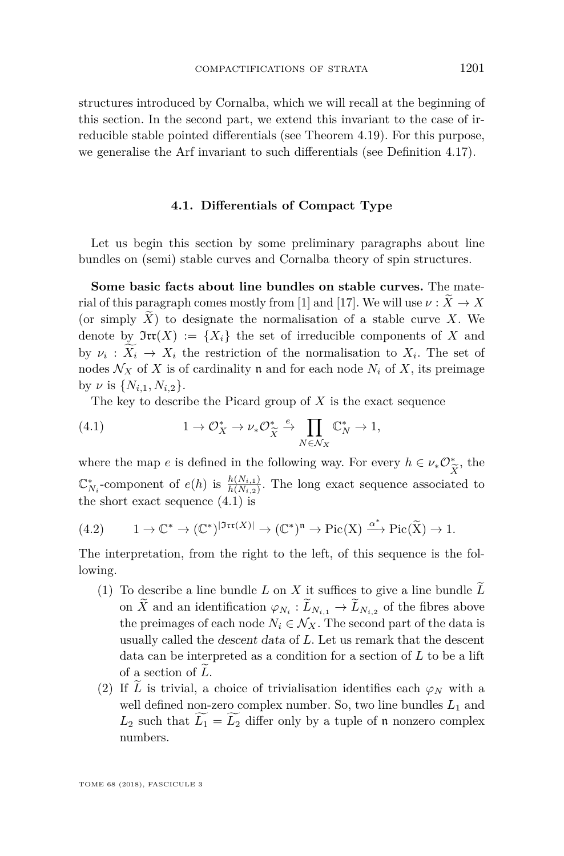structures introduced by Cornalba, which we will recall at the beginning of this section. In the second part, we extend this invariant to the case of irreducible stable pointed differentials (see Theorem [4.19\)](#page-41-1). For this purpose, we generalise the Arf invariant to such differentials (see Definition [4.17\)](#page-41-2).

#### **4.1. Differentials of Compact Type**

Let us begin this section by some preliminary paragraphs about line bundles on (semi) stable curves and Cornalba theory of spin structures.

**Some basic facts about line bundles on stable curves.** The mate-rial of this paragraph comes mostly from [\[1\]](#page-71-13) and [\[17\]](#page-71-11). We will use  $\nu : \widetilde{X} \to X$ (or simply  $\widetilde{X}$ ) to designate the normalisation of a stable curve *X*. We denote by  $\mathfrak{Irr}(X) := \{X_i\}$  the set of irreducible components of X and by  $\nu_i: X_i \to X_i$  the restriction of the normalisation to  $X_i$ . The set of nodes  $\mathcal{N}_X$  of X is of cardinality **n** and for each node  $N_i$  of X, its preimage by  $\nu$  is  $\{N_{i,1}, N_{i,2}\}.$ 

<span id="page-33-0"></span>The key to describe the Picard group of *X* is the exact sequence

(4.1) 
$$
1 \to \mathcal{O}_X^* \to \nu_* \mathcal{O}_{\widetilde{X}}^* \xrightarrow{\epsilon} \prod_{N \in \mathcal{N}_X} \mathbb{C}_N^* \to 1,
$$

where the map *e* is defined in the following way. For every  $h \in \nu_* \mathcal{O}_{\widetilde{\mathcal{C}}}^*$ , the  $\mathbb{C}_{N_i}^*$ -component of *e*(*h*) is  $\frac{h(N_{i,1})}{h(N_{i,2})}$ . The long exact sequence associated to the short exact sequence [\(4.1\)](#page-33-0) is

<span id="page-33-1"></span>
$$
(4.2) \qquad 1 \to \mathbb{C}^* \to (\mathbb{C}^*)^{|{\mathfrak{Irr}}(X)|} \to (\mathbb{C}^*)^{\mathfrak{n}} \to \mathrm{Pic}(X) \xrightarrow{\alpha^*} \mathrm{Pic}(\widetilde{X}) \to 1.
$$

The interpretation, from the right to the left, of this sequence is the following.

- (1) To describe a line bundle  $L$  on  $X$  it suffices to give a line bundle  $\tilde{L}$ on *X* and an identification  $\varphi_{N_i}: L_{N_{i,1}} \to L_{N_{i,2}}$  of the fibres above the preimages of each node  $N_i \in \mathcal{N}_X$ . The second part of the data is usually called the descent data of *L*. Let us remark that the descent data can be interpreted as a condition for a section of *L* to be a lift of a section of L.
- (2) If  $\overline{L}$  is trivial, a choice of trivialisation identifies each  $\varphi_N$  with a well defined non-zero complex number. So, two line bundles  $L_1$  and  $L_2$  such that  $\widetilde{L_1} = \widetilde{L_2}$  differ only by a tuple of n nonzero complex numbers.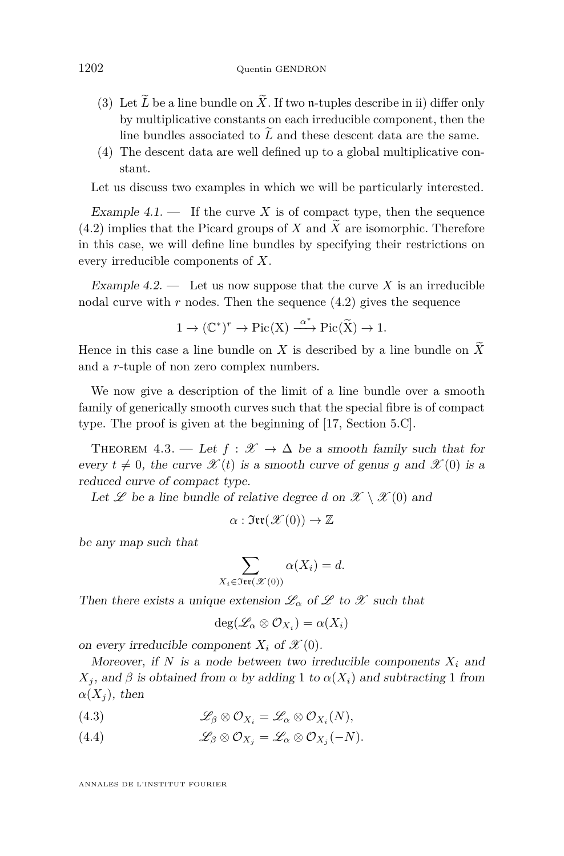- (3) Let  $\widetilde{L}$  be a line bundle on  $\widetilde{X}$ . If two **n**-tuples describe in ii) differ only by multiplicative constants on each irreducible component, then the line bundles associated to  $\tilde{L}$  and these descent data are the same.
- (4) The descent data are well defined up to a global multiplicative constant.

Let us discuss two examples in which we will be particularly interested.

Example  $4.1$ .  $\qquad$  If the curve X is of compact type, then the sequence  $(4.2)$  implies that the Picard groups of *X* and *X* are isomorphic. Therefore in this case, we will define line bundles by specifying their restrictions on every irreducible components of *X*.

Example  $4.2$ . — Let us now suppose that the curve X is an irreducible nodal curve with  $r$  nodes. Then the sequence  $(4.2)$  gives the sequence

$$
1 \to (\mathbb{C}^*)^r \to \mathrm{Pic}(X) \xrightarrow{\alpha^*} \mathrm{Pic}(\widetilde{X}) \to 1.
$$

Hence in this case a line bundle on *X* is described by a line bundle on  $\widetilde{X}$ and a *r*-tuple of non zero complex numbers.

We now give a description of the limit of a line bundle over a smooth family of generically smooth curves such that the special fibre is of compact type. The proof is given at the beginning of [\[17,](#page-71-11) Section 5.C].

THEOREM 4.3. — Let  $f : \mathscr{X} \to \Delta$  be a smooth family such that for every  $t \neq 0$ , the curve  $\mathscr{X}(t)$  is a smooth curve of genus *g* and  $\mathscr{X}(0)$  is a reduced curve of compact type.

Let  $\mathscr L$  be a line bundle of relative degree *d* on  $\mathscr X \setminus \mathscr X(0)$  and

$$
\alpha:\mathfrak{Irr}(\mathscr{X}(0))\to\mathbb{Z}
$$

be any map such that

$$
\sum_{X_i \in \mathfrak{Irr}(\mathcal{X}(0))} \alpha(X_i) = d.
$$

Then there exists a unique extension  $\mathcal{L}_{\alpha}$  of  $\mathcal L$  to  $\mathcal X$  such that

$$
\deg(\mathscr{L}_\alpha \otimes \mathcal{O}_{X_i}) = \alpha(X_i)
$$

on every irreducible component  $X_i$  of  $\mathscr{X}(0)$ .

Moreover, if  $N$  is a node between two irreducible components  $X_i$  and *X*<sub>*j*</sub>, and *β* is obtained from *α* by adding 1 to  $α(X_i)$  and subtracting 1 from  $\alpha(X_i)$ , then

(4.3)  $\mathscr{L}_{\beta} \otimes \mathcal{O}_{X_i} = \mathscr{L}_{\alpha} \otimes \mathcal{O}_{X_i}(N),$ 

(4.4) 
$$
\mathscr{L}_{\beta} \otimes \mathcal{O}_{X_j} = \mathscr{L}_{\alpha} \otimes \mathcal{O}_{X_j}(-N).
$$

ANNALES DE L'INSTITUT FOURIER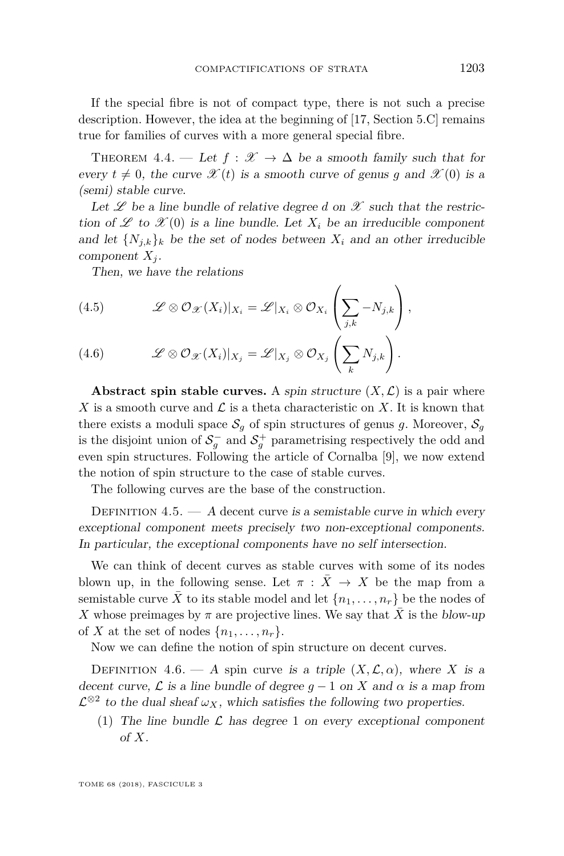If the special fibre is not of compact type, there is not such a precise description. However, the idea at the beginning of [\[17,](#page-71-11) Section 5.C] remains true for families of curves with a more general special fibre.

THEOREM 4.4. — Let  $f : \mathscr{X} \to \Delta$  be a smooth family such that for every  $t \neq 0$ , the curve  $\mathscr{X}(t)$  is a smooth curve of genus *g* and  $\mathscr{X}(0)$  is a (semi) stable curve.

Let  $\mathscr L$  be a line bundle of relative degree *d* on  $\mathscr X$  such that the restriction of  $\mathscr L$  to  $\mathscr K(0)$  is a line bundle. Let  $X_i$  be an irreducible component and let  $\{N_{j,k}\}_k$  be the set of nodes between  $X_i$  and an other irreducible component  $X_i$ .

Then, we have the relations

(4.5) 
$$
\mathscr{L} \otimes \mathcal{O}_{\mathscr{X}}(X_i)|_{X_i} = \mathscr{L}|_{X_i} \otimes \mathcal{O}_{X_i}\left(\sum_{j,k} -N_{j,k}\right),
$$

(4.6) 
$$
\mathscr{L} \otimes \mathcal{O}_{\mathscr{X}}(X_i)|_{X_j} = \mathscr{L}|_{X_j} \otimes \mathcal{O}_{X_j}\left(\sum_k N_{j,k}\right).
$$

**Abstract spin stable curves.** A spin structure  $(X, \mathcal{L})$  is a pair where X is a smooth curve and  $\mathcal L$  is a theta characteristic on X. It is known that there exists a moduli space  $S_q$  of spin structures of genus g. Moreover,  $S_q$ is the disjoint union of  $S_g^-$  and  $S_g^+$  parametrising respectively the odd and even spin structures. Following the article of Cornalba [\[9\]](#page-71-14), we now extend the notion of spin structure to the case of stable curves.

The following curves are the base of the construction.

DEFINITION  $4.5. - A$  decent curve is a semistable curve in which every exceptional component meets precisely two non-exceptional components. In particular, the exceptional components have no self intersection.

We can think of decent curves as stable curves with some of its nodes blown up, in the following sense. Let  $\pi$  :  $\bar{X} \rightarrow X$  be the map from a semistable curve  $\overline{X}$  to its stable model and let  $\{n_1, \ldots, n_r\}$  be the nodes of *X* whose preimages by  $\pi$  are projective lines. We say that  $\bar{X}$  is the blow-up of *X* at the set of nodes  $\{n_1, \ldots, n_r\}$ .

Now we can define the notion of spin structure on decent curves.

DEFINITION 4.6. — A spin curve is a triple  $(X, \mathcal{L}, \alpha)$ , where *X* is a decent curve,  $\mathcal{L}$  is a line bundle of degree  $q-1$  on X and  $\alpha$  is a map from  $\mathcal{L}^{\otimes 2}$  to the dual sheaf  $\omega_X$ , which satisfies the following two properties.

(1) The line bundle  $\mathcal L$  has degree 1 on every exceptional component of *X*.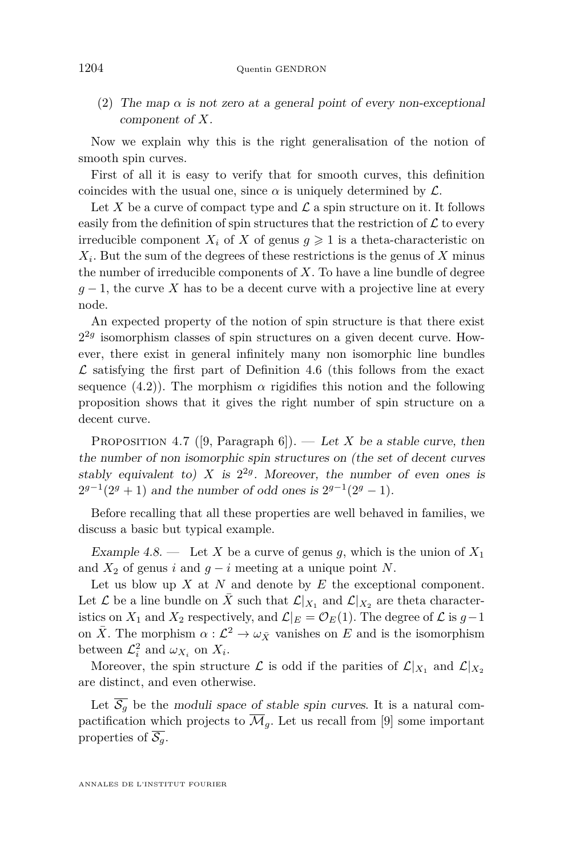(2) The map *α* is not zero at a general point of every non-exceptional component of *X*.

Now we explain why this is the right generalisation of the notion of smooth spin curves.

First of all it is easy to verify that for smooth curves, this definition coincides with the usual one, since  $\alpha$  is uniquely determined by  $\mathcal{L}$ .

Let X be a curve of compact type and  $\mathcal L$  a spin structure on it. It follows easily from the definition of spin structures that the restriction of  $\mathcal L$  to every irreducible component  $X_i$  of *X* of genus  $g \geq 1$  is a theta-characteristic on *X<sup>i</sup>* . But the sum of the degrees of these restrictions is the genus of *X* minus the number of irreducible components of *X*. To have a line bundle of degree  $g-1$ , the curve *X* has to be a decent curve with a projective line at every node.

An expected property of the notion of spin structure is that there exist  $2^{2g}$  isomorphism classes of spin structures on a given decent curve. However, there exist in general infinitely many non isomorphic line bundles  $\mathcal L$  satisfying the first part of Definition [4.6](#page-35-0) (this follows from the exact sequence  $(4.2)$ ). The morphism  $\alpha$  rigidifies this notion and the following proposition shows that it gives the right number of spin structure on a decent curve.

PROPOSITION 4.7 ([\[9,](#page-71-0) Paragraph 6]). — Let *X* be a stable curve, then the number of non isomorphic spin structures on (the set of decent curves stably equivalent to) *X* is  $2^{2g}$ . Moreover, the number of even ones is  $2^{g-1}(2^g + 1)$  and the number of odd ones is  $2^{g-1}(2^g - 1)$ .

Before recalling that all these properties are well behaved in families, we discuss a basic but typical example.

Example 4.8. — Let *X* be a curve of genus *g*, which is the union of  $X_1$ and  $X_2$  of genus *i* and  $g - i$  meeting at a unique point *N*.

Let us blow up *X* at *N* and denote by *E* the exceptional component. Let  $\mathcal L$  be a line bundle on  $\bar X$  such that  $\mathcal L|_{X_1}$  and  $\mathcal L|_{X_2}$  are theta characteristics on  $X_1$  and  $X_2$  respectively, and  $\mathcal{L}|_E = \mathcal{O}_E(1)$ . The degree of  $\mathcal L$  is  $g-1$ on  $\bar{X}$ . The morphism  $\alpha: \mathcal{L}^2 \to \omega_{\bar{X}}$  vanishes on *E* and is the isomorphism between  $\mathcal{L}_i^2$  and  $\omega_{X_i}$  on  $X_i$ .

Moreover, the spin structure  $\mathcal{L}$  is odd if the parities of  $\mathcal{L}|_{X_1}$  and  $\mathcal{L}|_{X_2}$ are distinct, and even otherwise.

Let  $\overline{S_g}$  be the moduli space of stable spin curves. It is a natural compactification which projects to  $\overline{\mathcal{M}}_q$ . Let us recall from [\[9\]](#page-71-0) some important properties of  $\overline{\mathcal{S}_q}$ .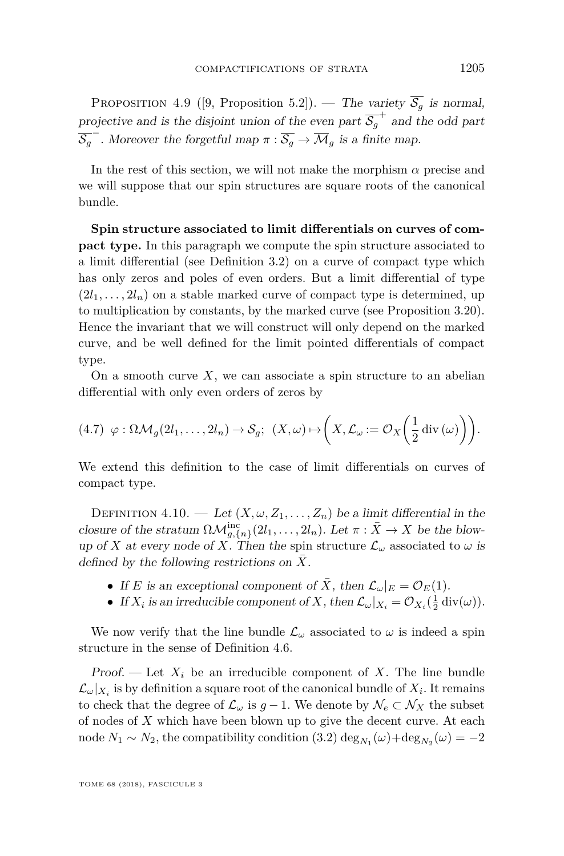<span id="page-37-0"></span>PROPOSITION 4.9 ([\[9,](#page-71-0) Proposition 5.2]). — The variety  $\overline{S_g}$  is normal, projective and is the disjoint union of the even part  $\overline{S_g}^+$  and the odd part  $\overline{\mathcal{S}_g}$ <sup>-</sup>. Moreover the forgetful map  $\pi : \overline{\mathcal{S}_g} \to \overline{\mathcal{M}}_g$  is a finite map.

In the rest of this section, we will not make the morphism  $\alpha$  precise and we will suppose that our spin structures are square roots of the canonical bundle.

**Spin structure associated to limit differentials on curves of compact type.** In this paragraph we compute the spin structure associated to a limit differential (see Definition [3.2\)](#page-14-0) on a curve of compact type which has only zeros and poles of even orders. But a limit differential of type  $(2l_1, \ldots, 2l_n)$  on a stable marked curve of compact type is determined, up to multiplication by constants, by the marked curve (see Proposition [3.20\)](#page-28-0). Hence the invariant that we will construct will only depend on the marked curve, and be well defined for the limit pointed differentials of compact type.

On a smooth curve  $X$ , we can associate a spin structure to an abelian differential with only even orders of zeros by

<span id="page-37-2"></span>
$$
(4.7) \varphi : \Omega \mathcal{M}_g(2l_1,\ldots,2l_n) \to \mathcal{S}_g; \ \ (X,\omega) \mapsto \left(X,\mathcal{L}_\omega := \mathcal{O}_X\left(\frac{1}{2}\operatorname{div}\left(\omega\right)\right)\right).
$$

We extend this definition to the case of limit differentials on curves of compact type.

<span id="page-37-1"></span>DEFINITION 4.10. — Let  $(X, \omega, Z_1, \ldots, Z_n)$  be a limit differential in the closure of the stratum  $\Omega \mathcal{M}_{g,\{n\}}^{\text{inc}}(2l_1,\ldots,2l_n)$ . Let  $\pi : \bar{X} \to X$  be the blowup of *X* at every node of *X*. Then the spin structure  $\mathcal{L}_{\omega}$  associated to  $\omega$  is defined by the following restrictions on *X*¯.

- If *E* is an exceptional component of  $\overline{X}$ , then  $\mathcal{L}_{\omega}|_E = \mathcal{O}_E(1)$ .
- If  $X_i$  is an irreducible component of  $X$ , then  $\mathcal{L}_{\omega}|_{X_i} = \mathcal{O}_{X_i}(\frac{1}{2} \operatorname{div}(\omega)).$

We now verify that the line bundle  $\mathcal{L}_{\omega}$  associated to  $\omega$  is indeed a spin structure in the sense of Definition [4.6.](#page-35-0)

Proof. — Let  $X_i$  be an irreducible component of X. The line bundle  $\mathcal{L}_{\omega}|_{X_i}$  is by definition a square root of the canonical bundle of  $X_i$ . It remains to check that the degree of  $\mathcal{L}_{\omega}$  is  $g-1$ . We denote by  $\mathcal{N}_{e} \subset \mathcal{N}_{X}$  the subset of nodes of *X* which have been blown up to give the decent curve. At each node  $N_1 \sim N_2$ , the compatibility condition [\(3.2\)](#page-15-0)  $\deg_{N_1}(\omega) + \deg_{N_2}(\omega) = -2$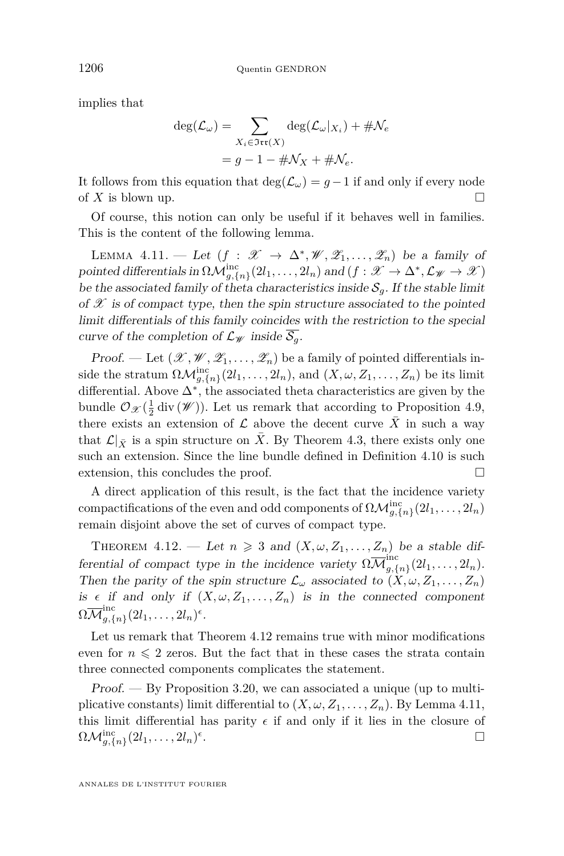implies that

$$
\deg(\mathcal{L}_{\omega}) = \sum_{X_i \in \mathfrak{Irr}(X)} \deg(\mathcal{L}_{\omega}|_{X_i}) + \# \mathcal{N}_e
$$

$$
= g - 1 - \# \mathcal{N}_X + \# \mathcal{N}_e.
$$

It follows from this equation that  $deg(\mathcal{L}_\omega) = g - 1$  if and only if every node of  $X$  is blown up.

Of course, this notion can only be useful if it behaves well in families. This is the content of the following lemma.

<span id="page-38-1"></span>LEMMA 4.11. — Let  $(f : \mathscr{X} \to \Delta^*, \mathscr{W}, \mathscr{Z}_1, \ldots, \mathscr{Z}_n)$  be a family of pointed differentials in  $\Omega \mathcal{M}^{\text{inc}}_{g,\{n\}}(2l_1,\ldots,2l_n)$  and  $(f: \mathscr{X} \to \Delta^*, \mathcal{L}_{\mathscr{W}} \to \mathscr{X})$ be the associated family of theta characteristics inside  $S_q$ . If the stable limit of  $\mathscr X$  is of compact type, then the spin structure associated to the pointed limit differentials of this family coincides with the restriction to the special curve of the completion of  $\mathcal{L}_{\mathcal{W}}$  inside  $\overline{\mathcal{S}_{q}}$ .

Proof. — Let  $(\mathscr{X}, \mathscr{W}, \mathscr{Z}_1, \ldots, \mathscr{Z}_n)$  be a family of pointed differentials inside the stratum  $\Omega \mathcal{M}_{g,\{n\}}^{\text{inc}}(2l_1,\ldots,2l_n)$ , and  $(X,\omega,Z_1,\ldots,Z_n)$  be its limit differential. Above ∆<sup>∗</sup> , the associated theta characteristics are given by the bundle  $\mathcal{O}_{\mathcal{X}}(\frac{1}{2}\mathrm{div}(\mathcal{W}))$ . Let us remark that according to Proposition [4.9,](#page-37-0) there exists an extension of  $\mathcal L$  above the decent curve  $X$  in such a way that  $\mathcal{L}|_{\bar{Y}}$  is a spin structure on  $\bar{X}$ . By Theorem [4.3,](#page-34-0) there exists only one such an extension. Since the line bundle defined in Definition [4.10](#page-37-1) is such extension, this concludes the proof.

A direct application of this result, is the fact that the incidence variety compactifications of the even and odd components of  $\Omega \mathcal{M}_{g,\{n\}}^{\text{inc}}(2l_1,\ldots,2l_n)$ remain disjoint above the set of curves of compact type.

<span id="page-38-0"></span>THEOREM 4.12. — Let  $n \geq 3$  and  $(X, \omega, Z_1, \ldots, Z_n)$  be a stable differential of compact type in the incidence variety  $\Omega \overline{\mathcal{M}}_{q,\zeta}^{\text{inc}}$  $\sum_{g,\{n\}}^{n} (2l_1,\ldots, 2l_n).$ Then the parity of the spin structure  $\mathcal{L}_{\omega}$  associated to  $(X, \omega, Z_1, \ldots, Z_n)$ is  $\epsilon$  if and only if  $(X, \omega, Z_1, \ldots, Z_n)$  is in the connected component  $\Omega\overline{\mathcal M}_{a,\ell}^\mathrm{inc}$  $g,\{n\}$   $(2l_1,\ldots, 2l_n)^{\epsilon}$ .

Let us remark that Theorem [4.12](#page-38-0) remains true with minor modifications even for  $n \leq 2$  zeros. But the fact that in these cases the strata contain three connected components complicates the statement.

Proof. — By Proposition [3.20,](#page-28-0) we can associated a unique (up to multiplicative constants) limit differential to  $(X, \omega, Z_1, \ldots, Z_n)$ . By Lemma [4.11,](#page-38-1) this limit differential has parity  $\epsilon$  if and only if it lies in the closure of  $\Omega \mathcal{M}_{g,\{n\}}^{\mathrm{inc}}(2l_1,\ldots,2l_n)^{\epsilon}$ .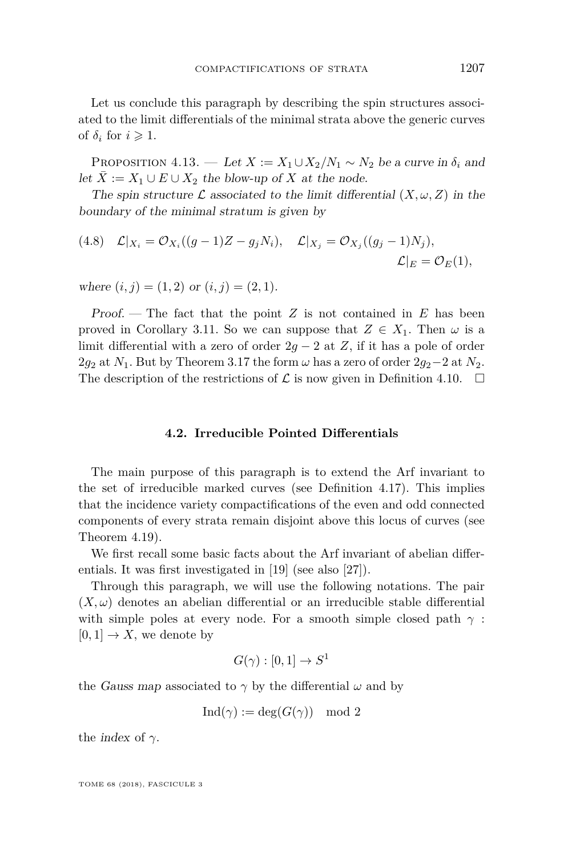Let us conclude this paragraph by describing the spin structures associated to the limit differentials of the minimal strata above the generic curves of  $\delta_i$  for  $i \geqslant 1$ .

PROPOSITION 4.13. — Let  $X := X_1 \cup X_2 / N_1 \sim N_2$  be a curve in  $\delta_i$  and let *X* := *X*<sub>1</sub> ∪ *E* ∪ *X*<sub>2</sub> the blow-up of *X* at the node.

The spin structure  $\mathcal L$  associated to the limit differential  $(X, \omega, Z)$  in the boundary of the minimal stratum is given by

$$
(4.8) \quad \mathcal{L}|_{X_i} = \mathcal{O}_{X_i}((g-1)Z - g_jN_i), \quad \mathcal{L}|_{X_j} = \mathcal{O}_{X_j}((g_j-1)N_j),
$$

$$
\mathcal{L}|_E = \mathcal{O}_E(1),
$$

where  $(i, j) = (1, 2)$  or  $(i, j) = (2, 1)$ .

Proof. — The fact that the point *Z* is not contained in *E* has been proved in Corollary [3.11.](#page-20-0) So we can suppose that  $Z \in X_1$ . Then  $\omega$  is a limit differential with a zero of order  $2g - 2$  at *Z*, if it has a pole of order 2 $g_2$  at  $N_1$ . But by Theorem [3.17](#page-24-0) the form  $\omega$  has a zero of order 2 $g_2-2$  at  $N_2$ . The description of the restrictions of  $\mathcal L$  is now given in Definition [4.10.](#page-37-1)  $\Box$ 

## **4.2. Irreducible Pointed Differentials**

The main purpose of this paragraph is to extend the Arf invariant to the set of irreducible marked curves (see Definition [4.17\)](#page-41-0). This implies that the incidence variety compactifications of the even and odd connected components of every strata remain disjoint above this locus of curves (see Theorem [4.19\)](#page-41-1).

We first recall some basic facts about the Arf invariant of abelian differentials. It was first investigated in [\[19\]](#page-71-1) (see also [\[27\]](#page-72-0)).

Through this paragraph, we will use the following notations. The pair  $(X, \omega)$  denotes an abelian differential or an irreducible stable differential with simple poles at every node. For a smooth simple closed path  $\gamma$ :  $[0, 1] \rightarrow X$ , we denote by

$$
G(\gamma):[0,1]\to S^1
$$

the *Gauss map* associated to  $\gamma$  by the differential  $\omega$  and by

$$
Ind(\gamma) := deg(G(\gamma)) \mod 2
$$

the *index* of  $\gamma$ .

TOME 68 (2018), FASCICULE 3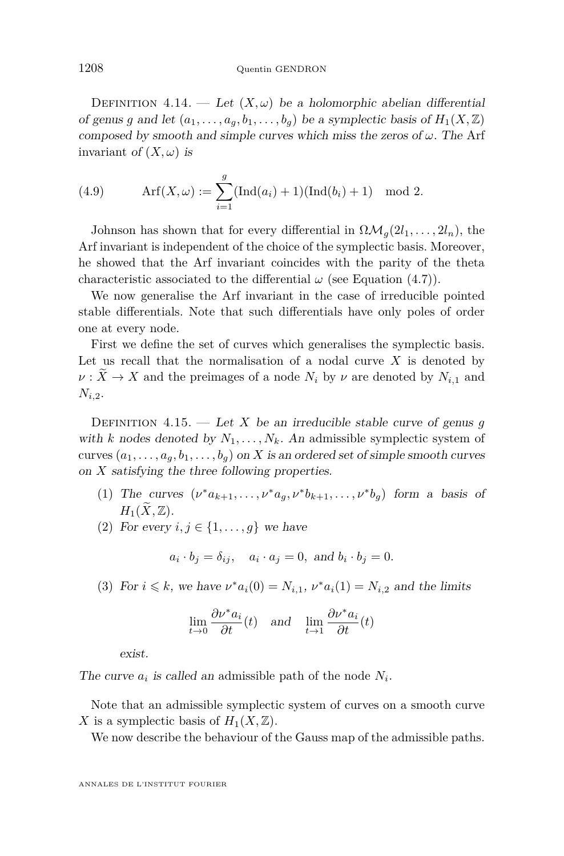DEFINITION 4.14. — Let  $(X, \omega)$  be a holomorphic abelian differential of genus *g* and let  $(a_1, \ldots, a_q, b_1, \ldots, b_q)$  be a symplectic basis of  $H_1(X, \mathbb{Z})$ composed by smooth and simple curves which miss the zeros of *ω*. The Arf invariant of  $(X, \omega)$  is

(4.9) 
$$
\operatorname{Arf}(X,\omega) := \sum_{i=1}^{g} (\operatorname{Ind}(a_i) + 1)(\operatorname{Ind}(b_i) + 1) \mod 2.
$$

Johnson has shown that for every differential in  $\Omega \mathcal{M}_q(2l_1, \ldots, 2l_n)$ , the Arf invariant is independent of the choice of the symplectic basis. Moreover, he showed that the Arf invariant coincides with the parity of the theta characteristic associated to the differential  $\omega$  (see Equation [\(4.7\)](#page-37-2)).

We now generalise the Arf invariant in the case of irreducible pointed stable differentials. Note that such differentials have only poles of order one at every node.

First we define the set of curves which generalises the symplectic basis. Let us recall that the normalisation of a nodal curve *X* is denoted by  $\nu: X \to X$  and the preimages of a node  $N_i$  by  $\nu$  are denoted by  $N_{i,1}$  and *Ni,*2.

DEFINITION 4.15. — Let *X* be an irreducible stable curve of genus *g* with *k* nodes denoted by  $N_1, \ldots, N_k$ . An admissible symplectic system of curves  $(a_1, \ldots, a_g, b_1, \ldots, b_g)$  on *X* is an ordered set of simple smooth curves on *X* satisfying the three following properties.

- (1) The curves  $(\nu^* a_{k+1}, \ldots, \nu^* a_g, \nu^* b_{k+1}, \ldots, \nu^* b_g)$  form a basis of  $H_1(\widetilde{X}, \mathbb{Z})$ .
- (2) For every  $i, j \in \{1, \ldots, g\}$  we have

$$
a_i \cdot b_j = \delta_{ij}, \quad a_i \cdot a_j = 0, \text{ and } b_i \cdot b_j = 0.
$$

(3) For  $i \le k$ , we have  $\nu^* a_i(0) = N_{i,1}$ ,  $\nu^* a_i(1) = N_{i,2}$  and the limits

$$
\lim_{t \to 0} \frac{\partial \nu^* a_i}{\partial t}(t) \quad \text{and} \quad \lim_{t \to 1} \frac{\partial \nu^* a_i}{\partial t}(t)
$$

exist.

The curve  $a_i$  is called an admissible path of the node  $N_i$ .

Note that an admissible symplectic system of curves on a smooth curve *X* is a symplectic basis of  $H_1(X, \mathbb{Z})$ .

We now describe the behaviour of the Gauss map of the admissible paths.

ANNALES DE L'INSTITUT FOURIER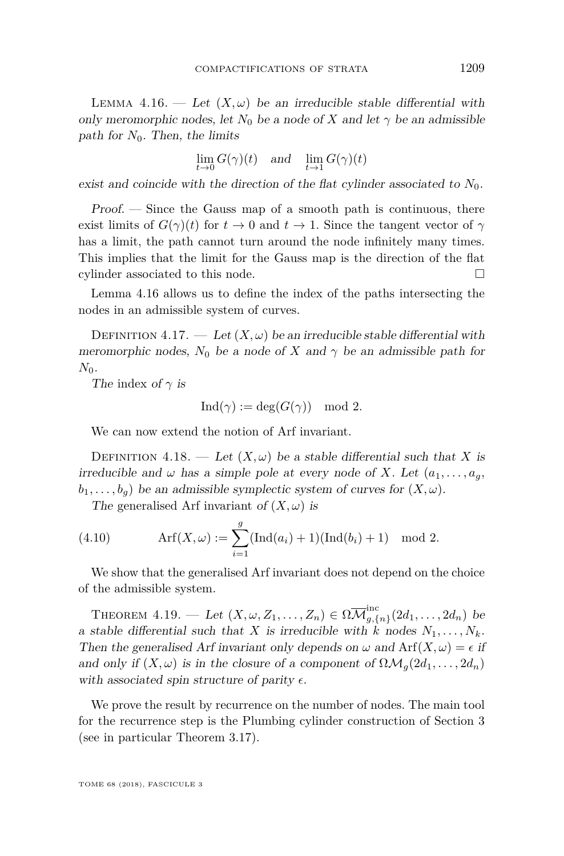<span id="page-41-2"></span>LEMMA 4.16. — Let  $(X, \omega)$  be an irreducible stable differential with only meromorphic nodes, let  $N_0$  be a node of X and let  $\gamma$  be an admissible path for  $N_0$ . Then, the limits

$$
\lim_{t \to 0} G(\gamma)(t) \quad \text{and} \quad \lim_{t \to 1} G(\gamma)(t)
$$

exist and coincide with the direction of the flat cylinder associated to  $N_0$ .

Proof. — Since the Gauss map of a smooth path is continuous, there exist limits of  $G(\gamma)(t)$  for  $t \to 0$  and  $t \to 1$ . Since the tangent vector of  $\gamma$ has a limit, the path cannot turn around the node infinitely many times. This implies that the limit for the Gauss map is the direction of the flat cylinder associated to this node.

Lemma [4.16](#page-41-2) allows us to define the index of the paths intersecting the nodes in an admissible system of curves.

<span id="page-41-0"></span>DEFINITION 4.17. — Let  $(X, \omega)$  be an irreducible stable differential with meromorphic nodes,  $N_0$  be a node of X and  $\gamma$  be an admissible path for  $N_0$ .

The index of  $\gamma$  is

$$
Ind(\gamma) := deg(G(\gamma)) \mod 2.
$$

We can now extend the notion of Arf invariant.

DEFINITION 4.18. — Let  $(X, \omega)$  be a stable differential such that *X* is irreducible and  $\omega$  has a simple pole at every node of *X*. Let  $(a_1, \ldots, a_g)$  $b_1, \ldots, b_q$  be an admissible symplectic system of curves for  $(X, \omega)$ .

The generalised Arf invariant of  $(X, \omega)$  is

(4.10) 
$$
\operatorname{Arf}(X,\omega) := \sum_{i=1}^{g} (\operatorname{Ind}(a_i) + 1)(\operatorname{Ind}(b_i) + 1) \mod 2.
$$

We show that the generalised Arf invariant does not depend on the choice of the admissible system.

<span id="page-41-1"></span>THEOREM  $4.19.$  — Let  $(X, \omega, Z_1, \ldots, Z_n) \in \Omega \overline{\mathcal{M}}_{q,\{1\}}^{\text{inc}}$  $\sum_{g,\{n\}}^{n} (2d_1, \ldots, 2d_n)$  be a stable differential such that *X* is irreducible with *k* nodes  $N_1, \ldots, N_k$ . Then the generalised Arf invariant only depends on  $\omega$  and  $\text{Arf}(X, \omega) = \epsilon$  if and only if  $(X, \omega)$  is in the closure of a component of  $\Omega \mathcal{M}_q(2d_1, \ldots, 2d_n)$ with associated spin structure of parity  $\epsilon$ .

We prove the result by recurrence on the number of nodes. The main tool for the recurrence step is the Plumbing cylinder construction of Section [3](#page-12-0) (see in particular Theorem [3.17\)](#page-24-0).

TOME 68 (2018), FASCICULE 3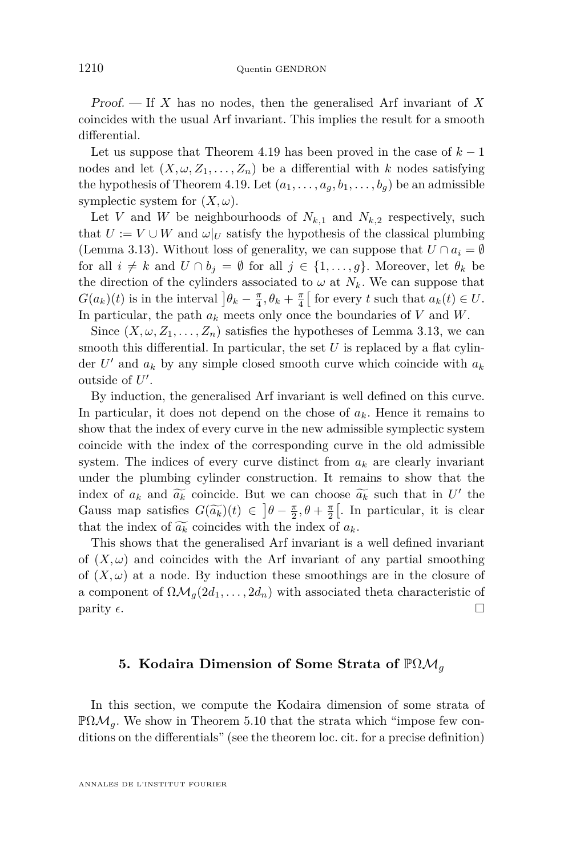Proof. — If *X* has no nodes, then the generalised Arf invariant of *X* coincides with the usual Arf invariant. This implies the result for a smooth differential.

Let us suppose that Theorem [4.19](#page-41-1) has been proved in the case of  $k-1$ nodes and let  $(X, \omega, Z_1, \ldots, Z_n)$  be a differential with *k* nodes satisfying the hypothesis of Theorem [4.19.](#page-41-1) Let  $(a_1, \ldots, a_q, b_1, \ldots, b_q)$  be an admissible symplectic system for  $(X, \omega)$ .

Let *V* and *W* be neighbourhoods of  $N_{k,1}$  and  $N_{k,2}$  respectively, such that  $U := V \cup W$  and  $\omega|_U$  satisfy the hypothesis of the classical plumbing (Lemma [3.13\)](#page-21-0). Without loss of generality, we can suppose that  $U \cap a_i = \emptyset$ for all  $i \neq k$  and  $U \cap b_j = \emptyset$  for all  $j \in \{1, ..., g\}$ . Moreover, let  $\theta_k$  be the direction of the cylinders associated to  $\omega$  at  $N_k$ . We can suppose that  $G(a_k)(t)$  is in the interval  $]\theta_k - \frac{\pi}{4}, \theta_k + \frac{\pi}{4}[\text{ for every } t \text{ such that } a_k(t) \in U.$ In particular, the path *a<sup>k</sup>* meets only once the boundaries of *V* and *W*.

Since  $(X, \omega, Z_1, \ldots, Z_n)$  satisfies the hypotheses of Lemma [3.13,](#page-21-0) we can smooth this differential. In particular, the set *U* is replaced by a flat cylinder  $U'$  and  $a_k$  by any simple closed smooth curve which coincide with  $a_k$ outside of  $U'$ .

By induction, the generalised Arf invariant is well defined on this curve. In particular, it does not depend on the chose of  $a_k$ . Hence it remains to show that the index of every curve in the new admissible symplectic system coincide with the index of the corresponding curve in the old admissible system. The indices of every curve distinct from  $a_k$  are clearly invariant under the plumbing cylinder construction. It remains to show that the index of  $a_k$  and  $\widetilde{a_k}$  coincide. But we can choose  $\widetilde{a_k}$  such that in *U'* the Gauss map satisfies  $G(\widetilde{a_k})(t) \in \left] \theta - \frac{\pi}{2}, \theta + \frac{\pi}{2} \right[$ . In particular, it is clear that the index of  $\widetilde{a_k}$  coincides with the index of  $a_k$ .

This shows that the generalised Arf invariant is a well defined invariant of  $(X, \omega)$  and coincides with the Arf invariant of any partial smoothing of  $(X, \omega)$  at a node. By induction these smoothings are in the closure of a component of  $\Omega \mathcal{M}_q(2d_1, \ldots, 2d_n)$  with associated theta characteristic of parity  $\epsilon$ .

## **5. Kodaira Dimension of Some Strata of** PΩM*<sup>g</sup>*

In this section, we compute the Kodaira dimension of some strata of  $\mathbb{P}\Omega\mathcal{M}_q$ . We show in Theorem [5.10](#page-51-0) that the strata which "impose few conditions on the differentials" (see the theorem loc. cit. for a precise definition)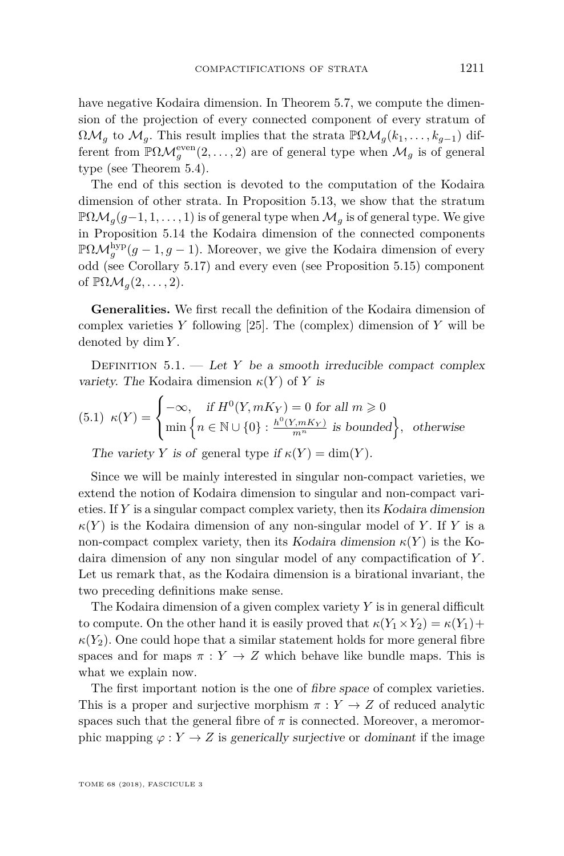have negative Kodaira dimension. In Theorem [5.7,](#page-45-0) we compute the dimension of the projection of every connected component of every stratum of  $\Omega \mathcal{M}_g$  to  $\mathcal{M}_g$ . This result implies that the strata  $\mathbb{P}\Omega \mathcal{M}_g(k_1,\ldots,k_{g-1})$  different from  $\mathbb{P}\Omega\mathcal{M}_g^{\text{even}}(2,\ldots,2)$  are of general type when  $\mathcal{M}_g$  is of general type (see Theorem [5.4\)](#page-44-0).

The end of this section is devoted to the computation of the Kodaira dimension of other strata. In Proposition [5.13,](#page-53-0) we show that the stratum  $\mathbb{P}\Omega\mathcal{M}_g(g-1,1,\ldots,1)$  is of general type when  $\mathcal{M}_g$  is of general type. We give in Proposition [5.14](#page-53-1) the Kodaira dimension of the connected components  $\mathbb{P}\Omega\mathcal{M}_g^{\text{hyp}}(g-1,g-1)$ . Moreover, we give the Kodaira dimension of every odd (see Corollary [5.17\)](#page-54-0) and every even (see Proposition [5.15\)](#page-53-2) component of  $\mathbb{P}\Omega\mathcal{M}_q(2,\ldots,2)$ .

**Generalities.** We first recall the definition of the Kodaira dimension of complex varieties *Y* following [\[25\]](#page-72-1). The (complex) dimension of *Y* will be denoted by dim *Y* .

DEFINITION  $5.1.$  — Let *Y* be a smooth irreducible compact complex variety. The Kodaira dimension  $\kappa(Y)$  of *Y* is

(5.1) 
$$
\kappa(Y) = \begin{cases}\n-\infty, & \text{if } H^0(Y, mK_Y) = 0 \text{ for all } m \ge 0 \\
\min\left\{n \in \mathbb{N} \cup \{0\} : \frac{h^0(Y, mK_Y)}{m^n} \text{ is bounded}\right\}, & \text{otherwise}\n\end{cases}
$$

The variety *Y* is of general type if  $\kappa(Y) = \dim(Y)$ .

Since we will be mainly interested in singular non-compact varieties, we extend the notion of Kodaira dimension to singular and non-compact varieties. If *Y* is a singular compact complex variety, then its Kodaira dimension  $\kappa(Y)$  is the Kodaira dimension of any non-singular model of *Y*. If *Y* is a non-compact complex variety, then its Kodaira dimension  $\kappa(Y)$  is the Kodaira dimension of any non singular model of any compactification of *Y* . Let us remark that, as the Kodaira dimension is a birational invariant, the two preceding definitions make sense.

The Kodaira dimension of a given complex variety *Y* is in general difficult to compute. On the other hand it is easily proved that  $\kappa(Y_1 \times Y_2) = \kappa(Y_1) +$  $\kappa(Y_2)$ . One could hope that a similar statement holds for more general fibre spaces and for maps  $\pi : Y \to Z$  which behave like bundle maps. This is what we explain now.

The first important notion is the one of fibre space of complex varieties. This is a proper and surjective morphism  $\pi : Y \to Z$  of reduced analytic spaces such that the general fibre of  $\pi$  is connected. Moreover, a meromorphic mapping  $\varphi: Y \to Z$  is generically surjective or dominant if the image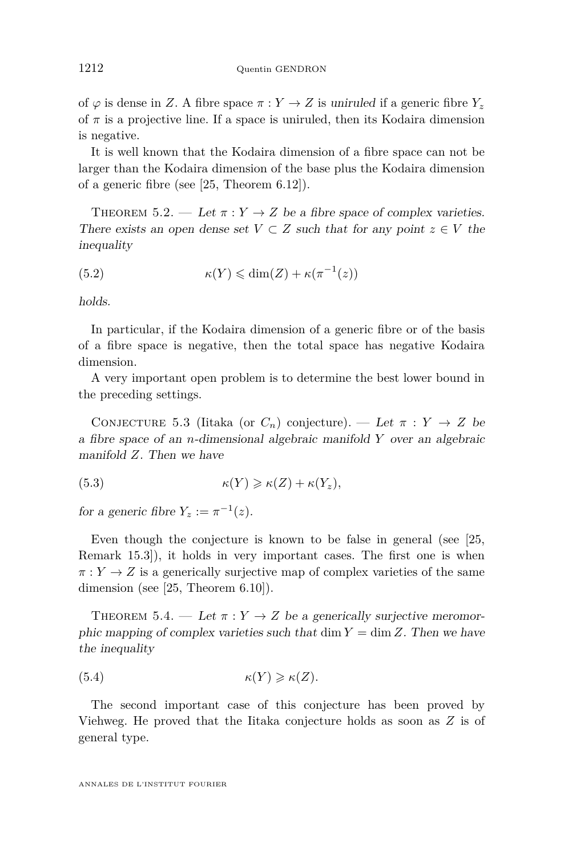of  $\varphi$  is dense in *Z*. A fibre space  $\pi : Y \to Z$  is uniruled if a generic fibre  $Y_z$ of  $\pi$  is a projective line. If a space is uniruled, then its Kodaira dimension is negative.

It is well known that the Kodaira dimension of a fibre space can not be larger than the Kodaira dimension of the base plus the Kodaira dimension of a generic fibre (see [\[25,](#page-72-1) Theorem 6.12]).

<span id="page-44-1"></span>THEOREM 5.2. — Let  $\pi: Y \to Z$  be a fibre space of complex varieties. There exists an open dense set  $V \subset Z$  such that for any point  $z \in V$  the inequality

(5.2) 
$$
\kappa(Y) \leq \dim(Z) + \kappa(\pi^{-1}(z))
$$

holds.

In particular, if the Kodaira dimension of a generic fibre or of the basis of a fibre space is negative, then the total space has negative Kodaira dimension.

A very important open problem is to determine the best lower bound in the preceding settings.

CONJECTURE 5.3 (Iitaka (or  $C_n$ ) conjecture). — Let  $\pi : Y \to Z$  be a fibre space of an *n*-dimensional algebraic manifold *Y* over an algebraic manifold *Z*. Then we have

(5.3) 
$$
\kappa(Y) \geqslant \kappa(Z) + \kappa(Y_z),
$$

for a generic fibre  $Y_z := \pi^{-1}(z)$ .

Even though the conjecture is known to be false in general (see [\[25,](#page-72-1) Remark 15.3]), it holds in very important cases. The first one is when  $\pi: Y \to Z$  is a generically surjective map of complex varieties of the same dimension (see [\[25,](#page-72-1) Theorem 6.10]).

<span id="page-44-0"></span>THEOREM 5.4. — Let  $\pi : Y \to Z$  be a generically surjective meromorphic mapping of complex varieties such that dim  $Y = \dim Z$ . Then we have the inequality

(5.4) 
$$
\kappa(Y) \geqslant \kappa(Z).
$$

The second important case of this conjecture has been proved by Viehweg. He proved that the Iitaka conjecture holds as soon as *Z* is of general type.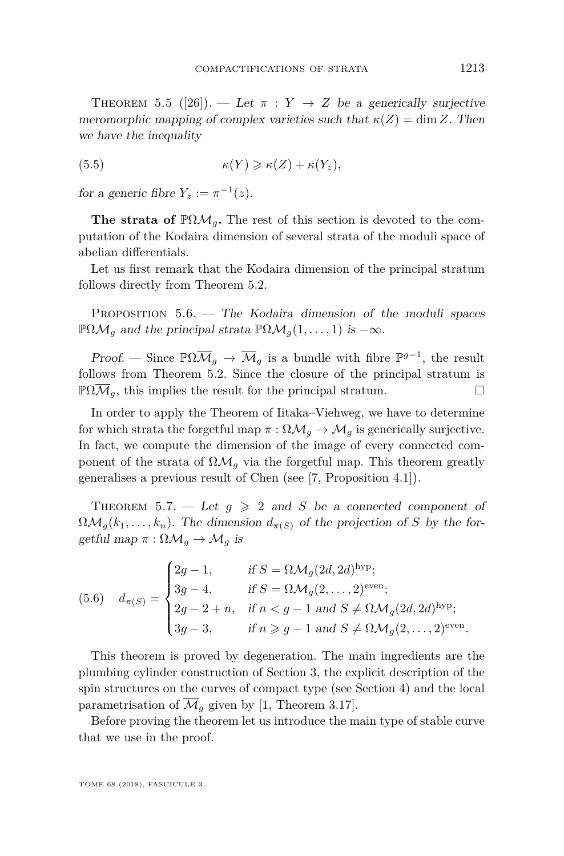<span id="page-45-1"></span>THEOREM 5.5 ([\[26\]](#page-72-2)). — Let  $\pi : Y \rightarrow Z$  be a generically surjective meromorphic mapping of complex varieties such that  $\kappa(Z) = \dim Z$ . Then we have the inequality

(5.5) 
$$
\kappa(Y) \geqslant \kappa(Z) + \kappa(Y_z),
$$

for a generic fibre  $Y_z := \pi^{-1}(z)$ .

**The strata of**  $\mathbb{P}\Omega\mathcal{M}_q$ **. The rest of this section is devoted to the com**putation of the Kodaira dimension of several strata of the moduli space of abelian differentials.

Let us first remark that the Kodaira dimension of the principal stratum follows directly from Theorem [5.2.](#page-44-1)

Proposition 5.6. — The Kodaira dimension of the moduli spaces  $\mathbb{P}\Omega\mathcal{M}_q$  and the principal strata  $\mathbb{P}\Omega\mathcal{M}_q(1,\ldots,1)$  is  $-\infty$ .

Proof. — Since  $\mathbb{P}\Omega\overline{\mathcal{M}}_g \to \overline{\mathcal{M}}_g$  is a bundle with fibre  $\mathbb{P}^{g-1}$ , the result follows from Theorem [5.2.](#page-44-1) Since the closure of the principal stratum is  $\mathbb{P}\Omega\mathcal{M}_q$ , this implies the result for the principal stratum.

In order to apply the Theorem of Iitaka–Viehweg, we have to determine for which strata the forgetful map  $\pi : \Omega \mathcal{M}_q \to \mathcal{M}_q$  is generically surjective. In fact, we compute the dimension of the image of every connected component of the strata of  $\Omega \mathcal{M}_q$  via the forgetful map. This theorem greatly generalises a previous result of Chen (see [\[7,](#page-71-2) Proposition 4.1]).

<span id="page-45-0"></span>THEOREM 5.7. — Let  $q \geq 2$  and S be a connected component of  $\Omega \mathcal{M}_g(k_1,\ldots,k_n)$ . The dimension  $d_{\pi(S)}$  of the projection of *S* by the forgetful map  $\pi : \Omega \mathcal{M}_g \to \mathcal{M}_g$  is

(5.6) 
$$
d_{\pi(S)} = \begin{cases} 2g - 1, & \text{if } S = \Omega \mathcal{M}_g(2d, 2d)^{\text{hyp}}; \\ 3g - 4, & \text{if } S = \Omega \mathcal{M}_g(2, ..., 2)^{\text{even}}; \\ 2g - 2 + n, & \text{if } n < g - 1 \text{ and } S \neq \Omega \mathcal{M}_g(2d, 2d)^{\text{hyp}}; \\ 3g - 3, & \text{if } n \geq g - 1 \text{ and } S \neq \Omega \mathcal{M}_g(2, ..., 2)^{\text{even}}. \end{cases}
$$

This theorem is proved by degeneration. The main ingredients are the plumbing cylinder construction of Section [3,](#page-12-0) the explicit description of the spin structures on the curves of compact type (see Section [4\)](#page-32-0) and the local parametrisation of  $\mathcal{M}_q$  given by [\[1,](#page-71-3) Theorem 3.17].

Before proving the theorem let us introduce the main type of stable curve that we use in the proof.

TOME 68 (2018), FASCICULE 3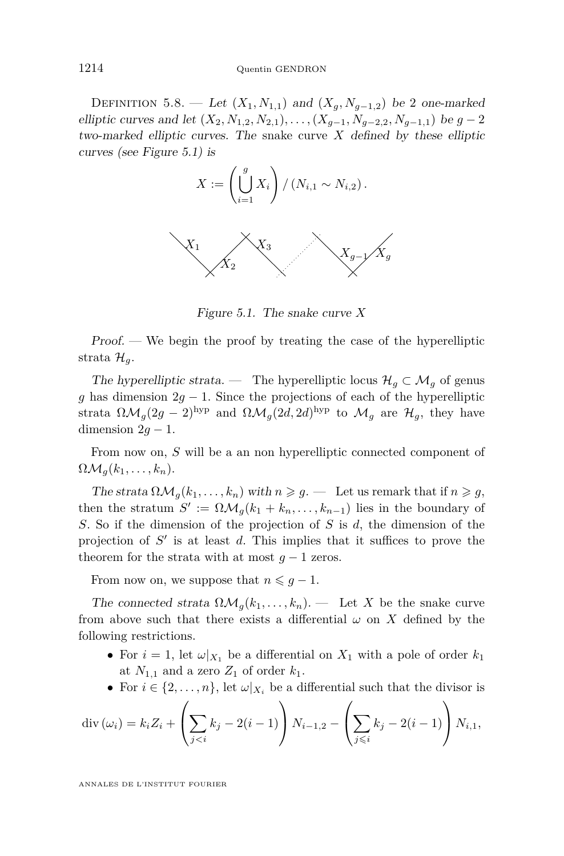DEFINITION 5.8. — Let  $(X_1, N_{1,1})$  and  $(X_q, N_{q-1,2})$  be 2 one-marked elliptic curves and let  $(X_2, N_{1,2}, N_{2,1}), \ldots, (X_{q-1}, N_{q-2,2}, N_{q-1,1})$  be  $g-2$ two-marked elliptic curves. The snake curve *X* defined by these elliptic curves (see Figure [5.1\)](#page-46-0) is



<span id="page-46-0"></span>Figure 5.1. The snake curve *X*

Proof. — We begin the proof by treating the case of the hyperelliptic strata  $\mathcal{H}_a$ .

The hyperelliptic strata. — The hyperelliptic locus  $\mathcal{H}_q \subset \mathcal{M}_q$  of genus *g* has dimension 2*g* − 1. Since the projections of each of the hyperelliptic strata  $\Omega \mathcal{M}_g(2g-2)$ <sup>hyp</sup> and  $\Omega \mathcal{M}_g(2d, 2d)$ <sup>hyp</sup> to  $\mathcal{M}_g$  are  $\mathcal{H}_g$ , they have dimension  $2g - 1$ .

From now on, *S* will be a an non hyperelliptic connected component of  $\Omega \mathcal{M}_q(k_1,\ldots,k_n).$ 

The strata  $\Omega \mathcal{M}_q(k_1, \ldots, k_n)$  with  $n \geqslant q$ . — Let us remark that if  $n \geqslant q$ , then the stratum  $S' := \Omega \mathcal{M}_g(k_1 + k_n, \dots, k_{n-1})$  lies in the boundary of *S*. So if the dimension of the projection of *S* is *d*, the dimension of the projection of  $S'$  is at least  $d$ . This implies that it suffices to prove the theorem for the strata with at most  $q-1$  zeros.

From now on, we suppose that  $n \leq g - 1$ .

The connected strata  $\Omega \mathcal{M}_q(k_1,\ldots,k_n)$ . — Let X be the snake curve from above such that there exists a differential  $\omega$  on X defined by the following restrictions.

- For  $i = 1$ , let  $\omega|_{X_1}$  be a differential on  $X_1$  with a pole of order  $k_1$ at  $N_{1,1}$  and a zero  $Z_1$  of order  $k_1$ .
- For  $i \in \{2, \ldots, n\}$ , let  $\omega|_{X_i}$  be a differential such that the divisor is

$$
\operatorname{div} (\omega_i) = k_i Z_i + \left( \sum_{j < i} k_j - 2(i - 1) \right) N_{i-1,2} - \left( \sum_{j < i} k_j - 2(i - 1) \right) N_{i,1},
$$

ANNALES DE L'INSTITUT FOURIER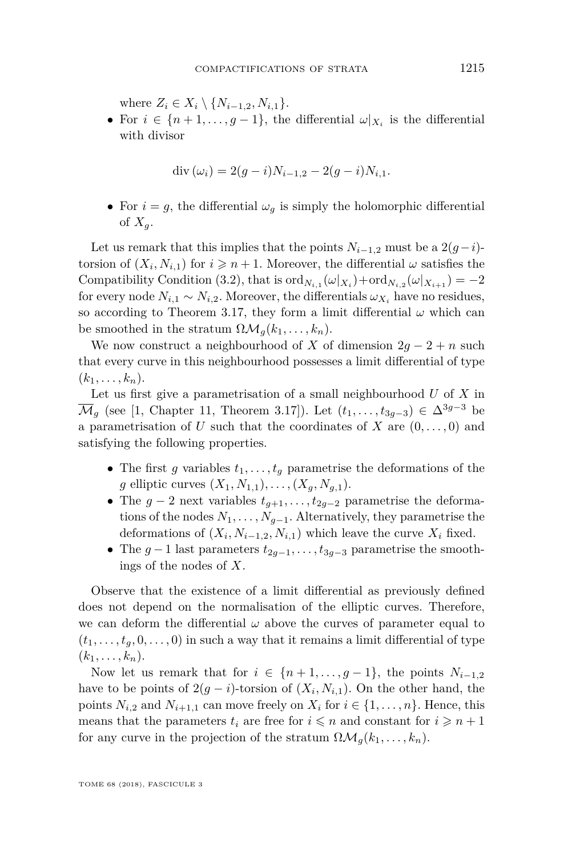where  $Z_i \in X_i \setminus \{N_{i-1,2}, N_{i,1}\}.$ 

• For  $i \in \{n+1,\ldots,g-1\}$ , the differential  $\omega|_{X_i}$  is the differential with divisor

$$
\operatorname{div} (\omega_i) = 2(g - i)N_{i-1,2} - 2(g - i)N_{i,1}.
$$

• For  $i = g$ , the differential  $\omega_q$  is simply the holomorphic differential of  $X_q$ .

Let us remark that this implies that the points  $N_{i-1,2}$  must be a 2 $(g-i)$ torsion of  $(X_i, N_{i,1})$  for  $i \geq n+1$ . Moreover, the differential  $\omega$  satisfies the Compatibility Condition [\(3.2\)](#page-15-0), that is  $\text{ord}_{N_{i,1}}(\omega|_{X_i}) + \text{ord}_{N_{i,2}}(\omega|_{X_{i+1}}) = -2$ for every node  $N_{i,1} \sim N_{i,2}$ . Moreover, the differentials  $\omega_{X_i}$  have no residues, so according to Theorem [3.17,](#page-24-0) they form a limit differential  $\omega$  which can be smoothed in the stratum  $\Omega \mathcal{M}_q(k_1, \ldots, k_n)$ .

We now construct a neighbourhood of *X* of dimension  $2g - 2 + n$  such that every curve in this neighbourhood possesses a limit differential of type  $(k_1, \ldots, k_n)$ .

Let us first give a parametrisation of a small neighbourhood *U* of *X* in  $\overline{\mathcal{M}}_g$  (see [\[1,](#page-71-3) Chapter 11, Theorem 3.17]). Let  $(t_1, \ldots, t_{3g-3}) \in \Delta^{3g-3}$  be a parametrisation of  $U$  such that the coordinates of  $X$  are  $(0, \ldots, 0)$  and satisfying the following properties.

- The first *g* variables  $t_1, \ldots, t_q$  parametrise the deformations of the *g* elliptic curves  $(X_1, N_{1,1}), \ldots, (X_g, N_{g,1}).$
- The  $g 2$  next variables  $t_{g+1}, \ldots, t_{2g-2}$  parametrise the deformations of the nodes  $N_1, \ldots, N_{q-1}$ . Alternatively, they parametrise the deformations of  $(X_i, N_{i-1,2}, N_{i,1})$  which leave the curve  $X_i$  fixed.
- The  $g-1$  last parameters  $t_{2g-1}, \ldots, t_{3g-3}$  parametrise the smoothings of the nodes of *X*.

Observe that the existence of a limit differential as previously defined does not depend on the normalisation of the elliptic curves. Therefore, we can deform the differential  $\omega$  above the curves of parameter equal to  $(t_1, \ldots, t_g, 0, \ldots, 0)$  in such a way that it remains a limit differential of type  $(k_1, \ldots, k_n)$ .

Now let us remark that for  $i \in \{n+1,\ldots,g-1\}$ , the points  $N_{i-1,2}$ have to be points of  $2(g - i)$ -torsion of  $(X_i, N_{i,1})$ . On the other hand, the points  $N_{i,2}$  and  $N_{i+1,1}$  can move freely on  $X_i$  for  $i \in \{1, \ldots, n\}$ . Hence, this means that the parameters  $t_i$  are free for  $i \leq n$  and constant for  $i \geq n+1$ for any curve in the projection of the stratum  $\Omega \mathcal{M}_q(k_1, \ldots, k_n)$ .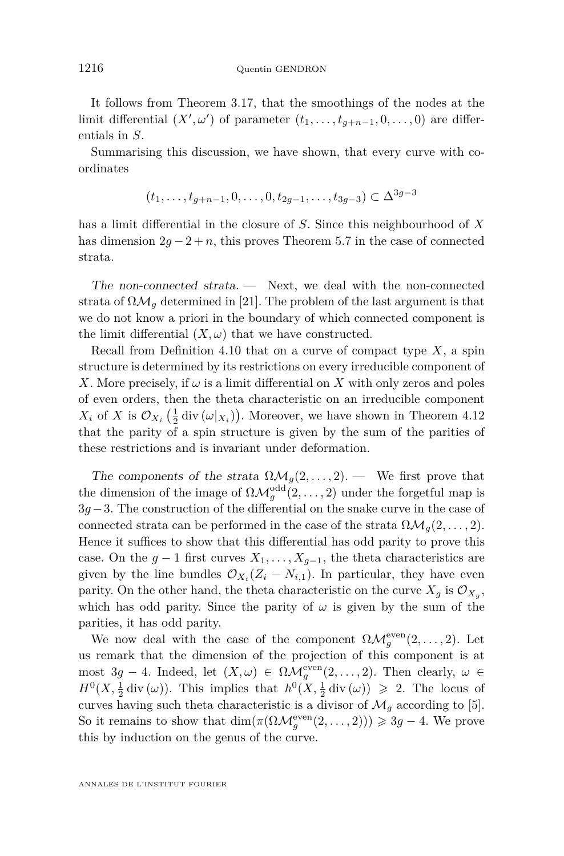It follows from Theorem [3.17,](#page-24-0) that the smoothings of the nodes at the limit differential  $(X', \omega')$  of parameter  $(t_1, \ldots, t_{g+n-1}, 0, \ldots, 0)$  are differentials in *S*.

Summarising this discussion, we have shown, that every curve with coordinates

$$
(t_1, \ldots, t_{g+n-1}, 0, \ldots, 0, t_{2g-1}, \ldots, t_{3g-3}) \subset \Delta^{3g-3}
$$

has a limit differential in the closure of *S*. Since this neighbourhood of *X* has dimension  $2g - 2 + n$ , this proves Theorem [5.7](#page-45-0) in the case of connected strata.

The non-connected strata. — Next, we deal with the non-connected strata of  $\Omega \mathcal{M}_q$  determined in [\[21\]](#page-72-3). The problem of the last argument is that we do not know a priori in the boundary of which connected component is the limit differential  $(X, \omega)$  that we have constructed.

Recall from Definition [4.10](#page-37-1) that on a curve of compact type *X*, a spin structure is determined by its restrictions on every irreducible component of *X*. More precisely, if  $\omega$  is a limit differential on *X* with only zeros and poles of even orders, then the theta characteristic on an irreducible component  $X_i$  of *X* is  $\mathcal{O}_{X_i}$   $\left(\frac{1}{2} \operatorname{div} (\omega|_{X_i})\right)$ . Moreover, we have shown in Theorem [4.12](#page-38-0) that the parity of a spin structure is given by the sum of the parities of these restrictions and is invariant under deformation.

The components of the strata  $\Omega \mathcal{M}_g(2,\ldots,2)$ . — We first prove that the dimension of the image of  $\Omega \mathcal{M}_g^{\text{odd}}(2,\ldots,2)$  under the forgetful map is 3*g*−3. The construction of the differential on the snake curve in the case of connected strata can be performed in the case of the strata  $\Omega \mathcal{M}_q(2,\ldots,2)$ . Hence it suffices to show that this differential has odd parity to prove this case. On the  $g-1$  first curves  $X_1, \ldots, X_{g-1}$ , the theta characteristics are given by the line bundles  $\mathcal{O}_{X_i}(Z_i - N_{i,1})$ . In particular, they have even parity. On the other hand, the theta characteristic on the curve  $X_g$  is  $\mathcal{O}_{X_g}$ , which has odd parity. Since the parity of  $\omega$  is given by the sum of the parities, it has odd parity.

We now deal with the case of the component  $\Omega \mathcal{M}_g^{\text{even}}(2,\ldots,2)$ . Let us remark that the dimension of the projection of this component is at most 3*g* − 4. Indeed, let  $(X, \omega) \in \Omega \mathcal{M}_g^{\text{even}}(2, ..., 2)$ . Then clearly,  $\omega \in$  $H^0(X, \frac{1}{2} \text{div}(\omega))$ . This implies that  $h^0(X, \frac{1}{2} \text{div}(\omega)) \geq 2$ . The locus of curves having such theta characteristic is a divisor of  $\mathcal{M}_g$  according to [\[5\]](#page-71-4). So it remains to show that  $\dim(\pi(\Omega \mathcal{M}_g^{\text{even}}(2,\ldots,2))) \geq 3g-4$ . We prove this by induction on the genus of the curve.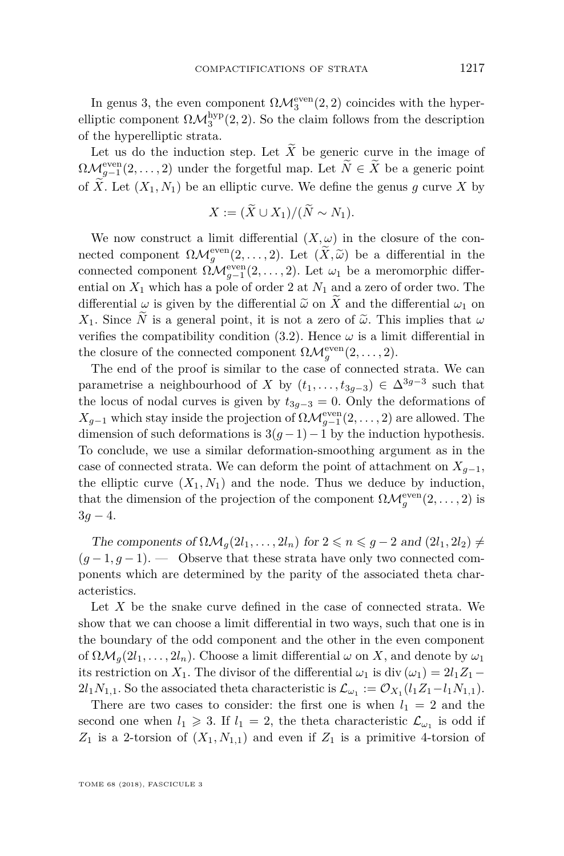In genus 3, the even component  $\Omega \mathcal{M}_3^{\text{even}}(2,2)$  coincides with the hyperelliptic component  $\Omega \mathcal{M}_3^{\text{hyp}}(2,2)$ . So the claim follows from the description of the hyperelliptic strata.

Let us do the induction step. Let  $\widetilde{X}$  be generic curve in the image of  $\Omega \mathcal{M}_{g-1}^{\text{even}}(2,\ldots,2)$  under the forgetful map. Let  $\widetilde{N} \in \widetilde{X}$  be a generic point of  $\widetilde{X}$ . Let  $(X_1, N_1)$  be an elliptic curve. We define the genus q curve X by

$$
X := (\widetilde{X} \cup X_1) / (\widetilde{N} \sim N_1).
$$

We now construct a limit differential  $(X, \omega)$  in the closure of the connected component  $\Omega \mathcal{M}^{\text{even}}_g(2,\ldots,2)$ . Let  $(\widetilde{X},\widetilde{\omega})$  be a differential in the connected component  $\Omega \mathcal{M}_{g-1}^{\text{even}}(2,\ldots,2)$ . Let  $\omega_1$  be a meromorphic differential on  $X_1$  which has a pole of order 2 at  $N_1$  and a zero of order two. The differential  $\omega$  is given by the differential  $\tilde{\omega}$  on  $\tilde{X}$  and the differential  $\omega_1$  on *X*<sub>1</sub>. Since  $\tilde{N}$  is a general point, it is not a zero of  $\tilde{\omega}$ . This implies that  $\omega$ verifies the compatibility condition  $(3.2)$ . Hence  $\omega$  is a limit differential in the closure of the connected component  $\Omega \mathcal{M}_g^{\text{even}}(2,\ldots,2)$ .

The end of the proof is similar to the case of connected strata. We can parametrise a neighbourhood of *X* by  $(t_1, \ldots, t_{3g-3}) \in \Delta^{3g-3}$  such that the locus of nodal curves is given by  $t_{3q-3} = 0$ . Only the deformations of  $X_{g-1}$  which stay inside the projection of  $\Omega \mathcal{M}_{g-1}^{\text{even}}(2,\ldots,2)$  are allowed. The dimension of such deformations is  $3(g-1)-1$  by the induction hypothesis. To conclude, we use a similar deformation-smoothing argument as in the case of connected strata. We can deform the point of attachment on  $X_{q-1}$ , the elliptic curve  $(X_1, N_1)$  and the node. Thus we deduce by induction, that the dimension of the projection of the component  $\Omega \mathcal{M}_g^{\text{even}}(2,\ldots,2)$  is  $3q - 4$ .

The components of  $\Omega \mathcal{M}_q(2l_1, \ldots, 2l_n)$  for  $2 \leq n \leq g-2$  and  $(2l_1, 2l_2) \neq$  $(g-1, g-1)$ . — Observe that these strata have only two connected components which are determined by the parity of the associated theta characteristics.

Let X be the snake curve defined in the case of connected strata. We show that we can choose a limit differential in two ways, such that one is in the boundary of the odd component and the other in the even component of  $\Omega \mathcal{M}_q(2l_1,\ldots,2l_n)$ . Choose a limit differential  $\omega$  on X, and denote by  $\omega_1$ its restriction on  $X_1$ . The divisor of the differential  $\omega_1$  is div  $(\omega_1) = 2l_1Z_1 2l_1N_{1,1}$ . So the associated theta characteristic is  $\mathcal{L}_{\omega_1} := \mathcal{O}_{X_1}(l_1Z_1 - l_1N_{1,1}).$ 

There are two cases to consider: the first one is when  $l_1 = 2$  and the second one when  $l_1 \geq 3$ . If  $l_1 = 2$ , the theta characteristic  $\mathcal{L}_{\omega_1}$  is odd if  $Z_1$  is a 2-torsion of  $(X_1, N_{1,1})$  and even if  $Z_1$  is a primitive 4-torsion of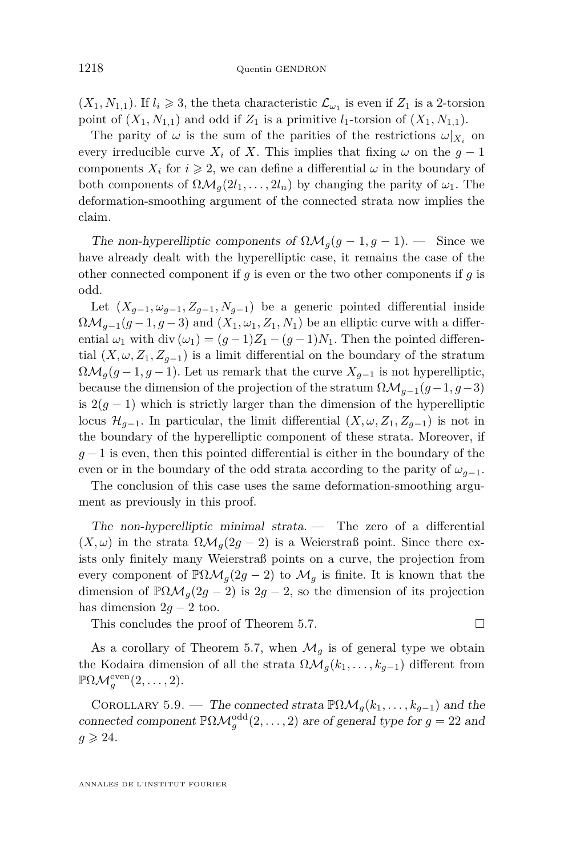$(X_1, N_{1,1})$ . If  $l_i \geq 3$ , the theta characteristic  $\mathcal{L}_{\omega_1}$  is even if  $Z_1$  is a 2-torsion point of  $(X_1, N_{1,1})$  and odd if  $Z_1$  is a primitive  $l_1$ -torsion of  $(X_1, N_{1,1})$ .

The parity of  $\omega$  is the sum of the parities of the restrictions  $\omega|_{X_i}$  on every irreducible curve  $X_i$  of X. This implies that fixing  $\omega$  on the  $g-1$ components  $X_i$  for  $i \geq 2$ , we can define a differential  $\omega$  in the boundary of both components of  $\Omega \mathcal{M}_q(2l_1, \ldots, 2l_n)$  by changing the parity of  $\omega_1$ . The deformation-smoothing argument of the connected strata now implies the claim.

The non-hyperelliptic components of  $\Omega \mathcal{M}_q(g-1,g-1)$ . — Since we have already dealt with the hyperelliptic case, it remains the case of the other connected component if *g* is even or the two other components if *g* is odd.

Let  $(X_{q-1}, \omega_{q-1}, Z_{q-1}, N_{q-1})$  be a generic pointed differential inside  $\Omega \mathcal{M}_{q-1}(q-1,q-3)$  and  $(X_1,\omega_1,Z_1,N_1)$  be an elliptic curve with a differential  $\omega_1$  with div  $(\omega_1) = (q-1)Z_1 - (q-1)N_1$ . Then the pointed differential  $(X, \omega, Z_1, Z_{q-1})$  is a limit differential on the boundary of the stratum  $\Omega \mathcal{M}_g(g-1,g-1)$ . Let us remark that the curve  $X_{g-1}$  is not hyperelliptic, because the dimension of the projection of the stratum  $\Omega \mathcal{M}_{g-1}(g-1,g-3)$ is  $2(q-1)$  which is strictly larger than the dimension of the hyperelliptic locus  $\mathcal{H}_{q-1}$ . In particular, the limit differential  $(X, \omega, Z_1, Z_{q-1})$  is not in the boundary of the hyperelliptic component of these strata. Moreover, if *g* − 1 is even, then this pointed differential is either in the boundary of the even or in the boundary of the odd strata according to the parity of  $\omega_{g-1}$ .

The conclusion of this case uses the same deformation-smoothing argument as previously in this proof.

The non-hyperelliptic minimal strata.  $\overline{\phantom{a}}$  The zero of a differential  $(X,\omega)$  in the strata  $\Omega \mathcal{M}_q(2g-2)$  is a Weierstraß point. Since there exists only finitely many Weierstraß points on a curve, the projection from every component of  $\mathbb{P}\Omega\mathcal{M}_q(2g-2)$  to  $\mathcal{M}_q$  is finite. It is known that the dimension of  $\mathbb{P}\Omega\mathcal{M}_g(2g-2)$  is  $2g-2$ , so the dimension of its projection has dimension  $2g - 2$  too.

This concludes the proof of Theorem [5.7.](#page-45-0)

As a corollary of Theorem [5.7,](#page-45-0) when  $\mathcal{M}_q$  is of general type we obtain the Kodaira dimension of all the strata  $\Omega \mathcal{M}_g(k_1, \ldots, k_{g-1})$  different from  $\mathbb{P}\Omega\mathcal{M}_g^{\text{even}}(2,\ldots,2).$ 

COROLLARY 5.9. — The connected strata  $\mathbb{P}\Omega\mathcal{M}_q(k_1,\ldots,k_{q-1})$  and the connected component  $\mathbb{P}\Omega \mathcal{M}_g^{\text{odd}}(2,\ldots,2)$  are of general type for  $g=22$  and  $g \geqslant 24$ .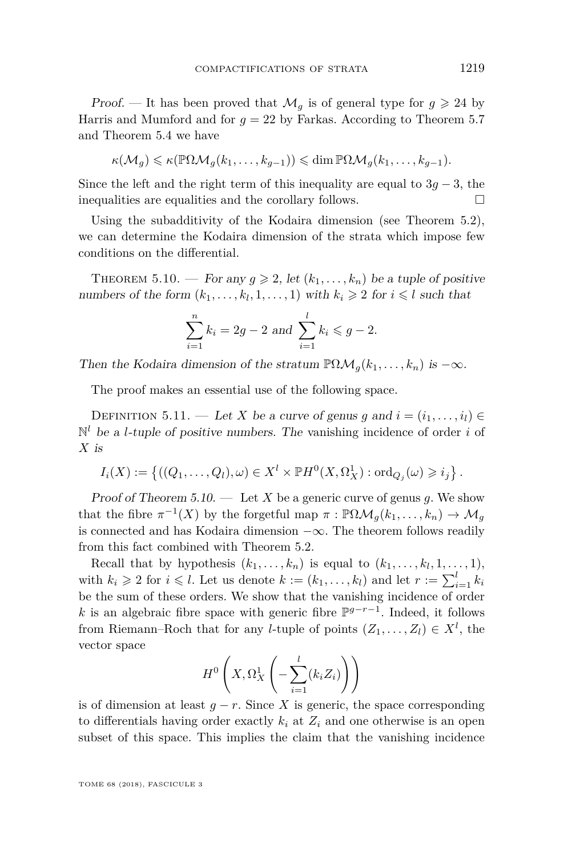Proof. — It has been proved that  $\mathcal{M}_q$  is of general type for  $g \geq 24$  by Harris and Mumford and for  $g = 22$  by Farkas. According to Theorem [5.7](#page-45-0) and Theorem [5.4](#page-44-0) we have

$$
\kappa(\mathcal{M}_g) \leqslant \kappa(\mathbb{P}\Omega \mathcal{M}_g(k_1,\ldots,k_{g-1})) \leqslant \dim \mathbb{P}\Omega \mathcal{M}_g(k_1,\ldots,k_{g-1}).
$$

Since the left and the right term of this inequality are equal to  $3g - 3$ , the inequalities are equalities and the corollary follows.

Using the subadditivity of the Kodaira dimension (see Theorem [5.2\)](#page-44-1), we can determine the Kodaira dimension of the strata which impose few conditions on the differential.

<span id="page-51-0"></span>THEOREM 5.10. — For any  $g \ge 2$ , let  $(k_1, \ldots, k_n)$  be a tuple of positive numbers of the form  $(k_1, \ldots, k_l, 1, \ldots, 1)$  with  $k_i \geq 2$  for  $i \leq l$  such that

$$
\sum_{i=1}^{n} k_i = 2g - 2 \text{ and } \sum_{i=1}^{l} k_i \leq g - 2.
$$

Then the Kodaira dimension of the stratum  $\mathbb{P}\Omega\mathcal{M}_q(k_1,\ldots,k_n)$  is  $-\infty$ .

The proof makes an essential use of the following space.

<span id="page-51-1"></span>DEFINITION 5.11. — Let *X* be a curve of genus *g* and  $i = (i_1, \ldots, i_l) \in$  $\mathbb{N}^l$  be a *l*-tuple of positive numbers. The vanishing incidence of order *i* of *X* is

$$
I_i(X) := \left\{ ((Q_1, \ldots, Q_l), \omega) \in X^l \times \mathbb{P}H^0(X, \Omega_X^1) : \text{ord}_{Q_j}(\omega) \geqslant i_j \right\}.
$$

Proof of Theorem [5.10.](#page-51-0) — Let X be a generic curve of genus q. We show that the fibre  $\pi^{-1}(X)$  by the forgetful map  $\pi : \mathbb{P}\Omega\mathcal{M}_g(k_1,\ldots,k_n) \to \mathcal{M}_g$ is connected and has Kodaira dimension  $-\infty$ . The theorem follows readily from this fact combined with Theorem [5.2.](#page-44-1)

Recall that by hypothesis  $(k_1, \ldots, k_n)$  is equal to  $(k_1, \ldots, k_l, 1, \ldots, 1)$ , with  $k_i \geqslant 2$  for  $i \leqslant l$ . Let us denote  $k := (k_1, \ldots, k_l)$  and let  $r := \sum_{i=1}^l k_i$ be the sum of these orders. We show that the vanishing incidence of order *k* is an algebraic fibre space with generic fibre  $\mathbb{P}^{g-r-1}$ . Indeed, it follows from Riemann–Roch that for any *l*-tuple of points  $(Z_1, \ldots, Z_l) \in X^l$ , the vector space

$$
H^{0}\left(X,\Omega_{X}^{1}\left(-\sum_{i=1}^{l}(k_{i}Z_{i})\right)\right)
$$

is of dimension at least  $g - r$ . Since *X* is generic, the space corresponding to differentials having order exactly  $k_i$  at  $Z_i$  and one otherwise is an open subset of this space. This implies the claim that the vanishing incidence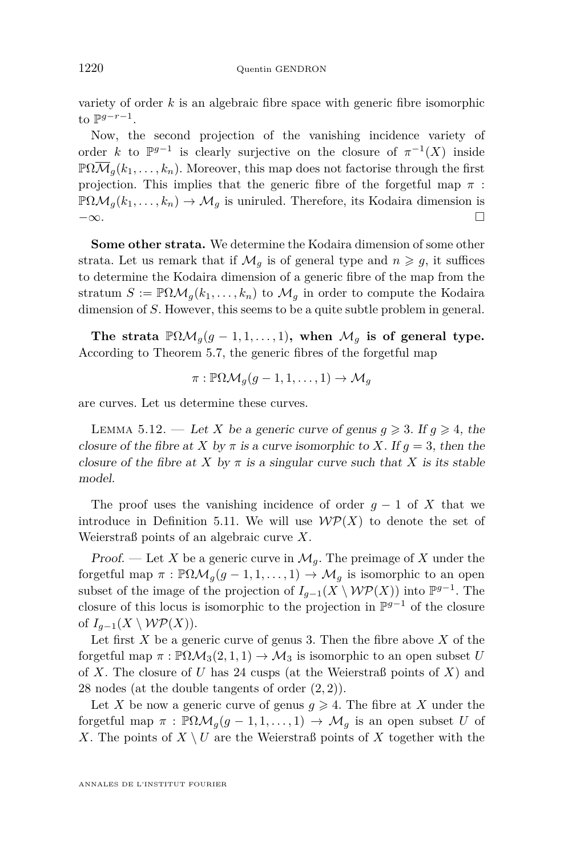variety of order *k* is an algebraic fibre space with generic fibre isomorphic to  $\mathbb{P}^{g-r-1}$ .

Now, the second projection of the vanishing incidence variety of order *k* to  $\mathbb{P}^{g-1}$  is clearly surjective on the closure of  $\pi^{-1}(X)$  inside  $\mathbb{P}\Omega\overline{\mathcal{M}}_{q}(k_1,\ldots,k_n)$ . Moreover, this map does not factorise through the first projection. This implies that the generic fibre of the forgetful map  $\pi$ :  $\mathbb{P}\Omega\mathcal{M}_q(k_1,\ldots,k_n)\to\mathcal{M}_q$  is uniruled. Therefore, its Kodaira dimension is −∞.

**Some other strata.** We determine the Kodaira dimension of some other strata. Let us remark that if  $\mathcal{M}_q$  is of general type and  $n \geq g$ , it suffices to determine the Kodaira dimension of a generic fibre of the map from the stratum  $S := \mathbb{P}\Omega \mathcal{M}_q(k_1,\ldots,k_n)$  to  $\mathcal{M}_q$  in order to compute the Kodaira dimension of *S*. However, this seems to be a quite subtle problem in general.

The strata  $\mathbb{P}\Omega\mathcal{M}_q(g-1,1,\ldots,1)$ , when  $\mathcal{M}_q$  is of general type. According to Theorem [5.7,](#page-45-0) the generic fibres of the forgetful map

$$
\pi: \mathbb{P}\Omega\mathcal{M}_g(g-1,1,\ldots,1)\to \mathcal{M}_g
$$

are curves. Let us determine these curves.

LEMMA 5.12. — Let *X* be a generic curve of genus  $g \ge 3$ . If  $g \ge 4$ , the closure of the fibre at *X* by  $\pi$  is a curve isomorphic to *X*. If  $q = 3$ , then the closure of the fibre at *X* by  $\pi$  is a singular curve such that *X* is its stable model.

The proof uses the vanishing incidence of order  $g - 1$  of X that we introduce in Definition [5.11.](#page-51-1) We will use  $W\mathcal{P}(X)$  to denote the set of Weierstraß points of an algebraic curve *X*.

Proof. — Let X be a generic curve in  $\mathcal{M}_q$ . The preimage of X under the forgetful map  $\pi$ :  $\mathbb{P}\Omega\mathcal{M}_g(g-1,1,\ldots,1) \to \mathcal{M}_g$  is isomorphic to an open subset of the image of the projection of  $I_{g-1}(X \setminus \mathcal{WP}(X))$  into  $\mathbb{P}^{g-1}$ . The closure of this locus is isomorphic to the projection in P *<sup>g</sup>*−<sup>1</sup> of the closure of  $I_{q-1}(X \setminus \mathcal{WP}(X))$ .

Let first  $X$  be a generic curve of genus 3. Then the fibre above  $X$  of the forgetful map  $\pi : \mathbb{P}\Omega\mathcal{M}_3(2,1,1) \to \mathcal{M}_3$  is isomorphic to an open subset *U* of *X*. The closure of *U* has 24 cusps (at the Weierstraß points of *X*) and 28 nodes (at the double tangents of order (2*,* 2)).

Let *X* be now a generic curve of genus  $g \ge 4$ . The fibre at *X* under the forgetful map  $\pi$  :  $\mathbb{P}\Omega\mathcal{M}_q(g-1,1,\ldots,1) \to \mathcal{M}_q$  is an open subset *U* of *X*. The points of  $X \setminus U$  are the Weierstraß points of *X* together with the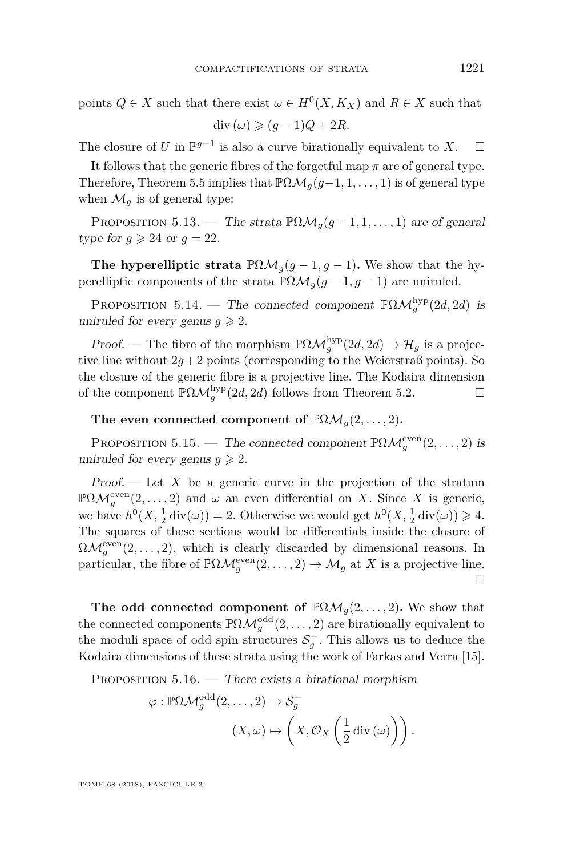points  $Q \in X$  such that there exist  $\omega \in H^0(X, K_X)$  and  $R \in X$  such that  $\text{div} (\omega) \geqslant (q-1)Q + 2R.$ 

The closure of *U* in  $\mathbb{P}^{g-1}$  is also a curve birationally equivalent to *X*.  $\Box$ 

It follows that the generic fibres of the forgetful map  $\pi$  are of general type. Therefore, Theorem [5.5](#page-45-1) implies that  $\mathbb{P}\Omega\mathcal{M}_q(g-1,1,\ldots,1)$  is of general type when  $\mathcal{M}_q$  is of general type:

<span id="page-53-0"></span>PROPOSITION 5.13. — The strata  $\mathbb{P}\Omega\mathcal{M}_g(g-1,1,\ldots,1)$  are of general type for  $q \ge 24$  or  $q = 22$ .

**The hyperelliptic strata**  $\mathbb{P}\Omega\mathcal{M}_g(g-1,g-1)$ . We show that the hyperelliptic components of the strata  $\mathbb{P}\Omega\mathcal{M}_q(g-1,g-1)$  are uniruled.

<span id="page-53-1"></span>PROPOSITION 5.14. — The connected component  $\mathbb{P}\Omega\mathcal{M}_g^{\text{hyp}}(2d, 2d)$  is uniruled for every genus  $q \geq 2$ .

*Proof.* — The fibre of the morphism  $\mathbb{P}\Omega\mathcal{M}_g^{\text{hyp}}(2d, 2d) \to \mathcal{H}_g$  is a projective line without  $2q+2$  points (corresponding to the Weierstraß points). So the closure of the generic fibre is a projective line. The Kodaira dimension of the component  $\mathbb{P}\Omega\mathcal{M}_g^{\text{hyp}}(2d, 2d)$  follows from Theorem [5.2.](#page-44-1)

The even connected component of  $\mathbb{P}\Omega\mathcal{M}_g(2,\ldots,2)$ .

<span id="page-53-2"></span>PROPOSITION 5.15. — The connected component  $\mathbb{P}\Omega\mathcal{M}_g^{\text{even}}(2,\ldots,2)$  is uniruled for every genus  $q \geq 2$ .

Proof. — Let *X* be a generic curve in the projection of the stratum  $\mathbb{P}\Omega\mathcal{M}_g^{\text{even}}(2,\ldots,2)$  and  $\omega$  an even differential on *X*. Since *X* is generic, we have  $h^0(X, \frac{1}{2} \text{div}(\omega)) = 2$ . Otherwise we would get  $h^0(X, \frac{1}{2} \text{div}(\omega)) \ge 4$ . The squares of these sections would be differentials inside the closure of  $\Omega \mathcal{M}_g^{\text{even}}(2,\ldots,2)$ , which is clearly discarded by dimensional reasons. In particular, the fibre of  $\mathbb{P}\Omega\mathcal{M}_g^{\text{even}}(2,\ldots,2) \to \mathcal{M}_g$  at *X* is a projective line.  $\Box$ 

**The odd connected component of**  $\mathbb{P}\Omega\mathcal{M}_g(2,\ldots,2)$ **. We show that** the connected components  $\mathbb{P}\Omega\mathcal{M}_g^{\text{odd}}(2,\ldots,2)$  are birationally equivalent to the moduli space of odd spin structures  $S_g^-$ . This allows us to deduce the Kodaira dimensions of these strata using the work of Farkas and Verra [\[15\]](#page-71-5).

PROPOSITION  $5.16.$  — There exists a birational morphism

$$
\varphi : \mathbb{P}\Omega\mathcal{M}_g^{\text{odd}}(2,\ldots,2) \to \mathcal{S}_g^-
$$

$$
(X,\omega) \mapsto \left(X,\mathcal{O}_X\left(\frac{1}{2}\operatorname{div}\left(\omega\right)\right)\right).
$$

TOME 68 (2018), FASCICULE 3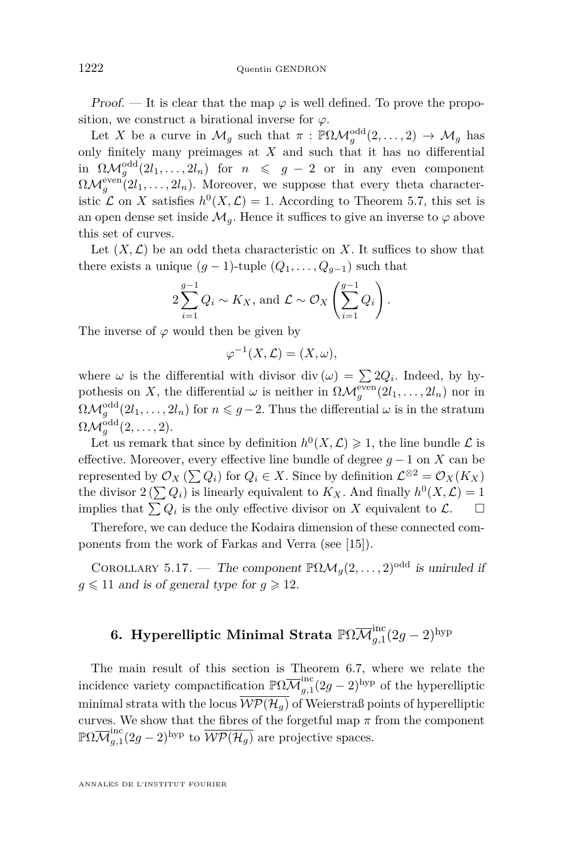Proof. — It is clear that the map  $\varphi$  is well defined. To prove the proposition, we construct a birational inverse for  $\varphi$ .

Let *X* be a curve in  $\mathcal{M}_g$  such that  $\pi$  :  $\mathbb{P}\Omega\mathcal{M}_g^{\text{odd}}(2,\ldots,2) \to \mathcal{M}_g$  has only finitely many preimages at *X* and such that it has no differential in  $\Omega \mathcal{M}_g^{\text{odd}}(2l_1,\ldots,2l_n)$  for  $n \leqslant g-2$  or in any even component  $\Omega \mathcal{M}_g^{\text{even}}(2l_1,\ldots,2l_n)$ . Moreover, we suppose that every theta characteristic  $\mathcal L$  on *X* satisfies  $h^0(X, \mathcal L) = 1$ . According to Theorem [5.7,](#page-45-0) this set is an open dense set inside  $\mathcal{M}_q$ . Hence it suffices to give an inverse to  $\varphi$  above this set of curves.

Let  $(X, \mathcal{L})$  be an odd theta characteristic on X. It suffices to show that there exists a unique  $(g-1)$ -tuple  $(Q_1, \ldots, Q_{g-1})$  such that

$$
2\sum_{i=1}^{g-1} Q_i \sim K_X
$$
, and  $\mathcal{L} \sim \mathcal{O}_X \left( \sum_{i=1}^{g-1} Q_i \right)$ .

The inverse of  $\varphi$  would then be given by

$$
\varphi^{-1}(X,\mathcal{L})=(X,\omega),
$$

where  $\omega$  is the differential with divisor div  $(\omega) = \sum 2Q_i$ . Indeed, by hypothesis on *X*, the differential  $\omega$  is neither in  $\Omega \mathcal{M}_g^{\text{even}}(2l_1, \ldots, 2l_n)$  nor in  $\Omega \mathcal{M}_g^{\text{odd}}(2l_1,\ldots,2l_n)$  for  $n \leqslant g-2$ . Thus the differential  $\omega$  is in the stratum  $\Omega \mathcal{M}_g^{\mathrm{odd}}(2,\ldots,2).$ 

Let us remark that since by definition  $h^0(X, \mathcal{L}) \geq 1$ , the line bundle  $\mathcal L$  is effective. Moreover, every effective line bundle of degree *g* − 1 on *X* can be represented by  $\mathcal{O}_X$  ( $\sum Q_i$ ) for  $Q_i \in X$ . Since by definition  $\mathcal{L}^{\otimes 2} = \mathcal{O}_X(K_X)$ the divisor  $2(\sum Q_i)$  is linearly equivalent to  $K_X$ . And finally  $h^0(X, \mathcal{L}) = 1$ implies that  $\sum Q_i$  is the only effective divisor on *X* equivalent to  $\mathcal{L}$ .  $\Box$ 

Therefore, we can deduce the Kodaira dimension of these connected components from the work of Farkas and Verra (see [\[15\]](#page-71-5)).

<span id="page-54-0"></span>COROLLARY 5.17. — The component  $\mathbb{P}\Omega\mathcal{M}_q(2,\ldots,2)^{\text{odd}}$  is uniruled if  $q \leq 11$  and is of general type for  $q \geq 12$ .

# **6. Hyperelliptic Minimal Strata**  $\mathbb{P}\Omega\overline{\mathcal{M}}_{g,1}^{\text{inc}}(2g-2)^{\text{hyp}}$

The main result of this section is Theorem [6.7,](#page-58-0) where we relate the incidence variety compactification  $\mathbb{P}\Omega \overline{\mathcal{M}}_{q,1}^{\text{inc}}$  $\int_{g,1}^{\text{inc}} (2g-2)^{\text{hyp}}$  of the hyperelliptic minimal strata with the locus  $\overline{WP(\mathcal{H}_q)}$  of Weierstraß points of hyperelliptic curves. We show that the fibres of the forgetful map  $\pi$  from the component  $\mathbb{P}\Omega\overline{\mathcal{M}}_{a.1}^\mathrm{inc}$  $\frac{\partial f}{\partial g}$ ,  $(2g-2)$ <sup>hyp</sup> to  $\overline{\mathcal{WP}(\mathcal{H}_g)}$  are projective spaces.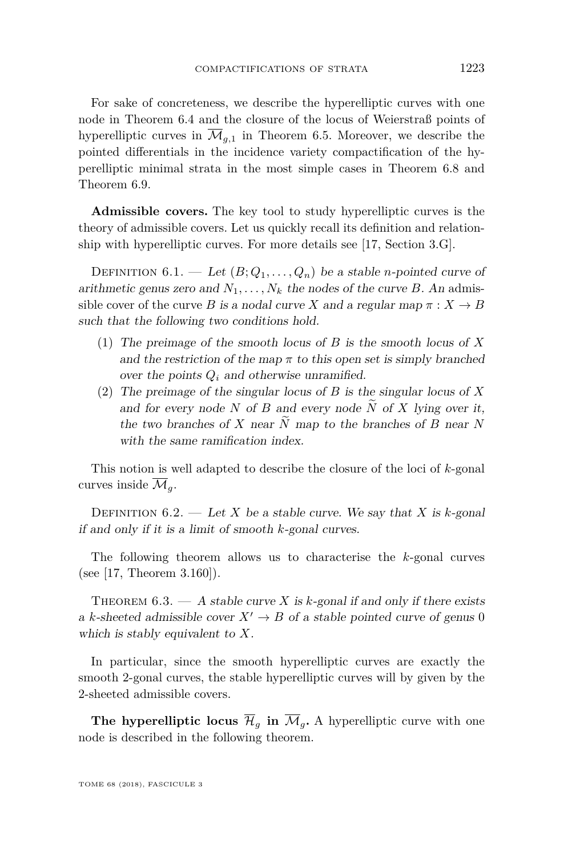For sake of concreteness, we describe the hyperelliptic curves with one node in Theorem [6.4](#page-56-0) and the closure of the locus of Weierstraß points of hyperelliptic curves in  $\overline{\mathcal{M}}_{q,1}$  in Theorem [6.5.](#page-56-1) Moreover, we describe the pointed differentials in the incidence variety compactification of the hyperelliptic minimal strata in the most simple cases in Theorem [6.8](#page-60-0) and Theorem [6.9.](#page-61-0)

**Admissible covers.** The key tool to study hyperelliptic curves is the theory of admissible covers. Let us quickly recall its definition and relationship with hyperelliptic curves. For more details see [\[17,](#page-71-6) Section 3.G].

DEFINITION 6.1. — Let  $(B; Q_1, \ldots, Q_n)$  be a stable *n*-pointed curve of arithmetic genus zero and  $N_1, \ldots, N_k$  the nodes of the curve *B*. An admissible cover of the curve *B* is a nodal curve *X* and a regular map  $\pi : X \to B$ such that the following two conditions hold.

- (1) The preimage of the smooth locus of *B* is the smooth locus of *X* and the restriction of the map  $\pi$  to this open set is simply branched over the points  $Q_i$  and otherwise unramified.
- (2) The preimage of the singular locus of *B* is the singular locus of *X* and for every node *N* of *B* and every node  $\widetilde{N}$  of *X* lying over it, the two branches of *X* near  $\overline{N}$  map to the branches of *B* near  $\overline{N}$ with the same ramification index.

This notion is well adapted to describe the closure of the loci of *k*-gonal curves inside  $\overline{\mathcal{M}}_q$ .

DEFINITION  $6.2.$  — Let *X* be a stable curve. We say that *X* is *k*-gonal if and only if it is a limit of smooth *k*-gonal curves.

The following theorem allows us to characterise the *k*-gonal curves (see [\[17,](#page-71-6) Theorem 3.160]).

<span id="page-55-0"></span>THEOREM  $6.3.$  - A stable curve X is k-gonal if and only if there exists a *k*-sheeted admissible cover  $X' \to B$  of a stable pointed curve of genus 0 which is stably equivalent to *X*.

In particular, since the smooth hyperelliptic curves are exactly the smooth 2-gonal curves, the stable hyperelliptic curves will by given by the 2-sheeted admissible covers.

**The hyperelliptic locus**  $\overline{\mathcal{H}}_q$  in  $\overline{\mathcal{M}}_q$ . A hyperelliptic curve with one node is described in the following theorem.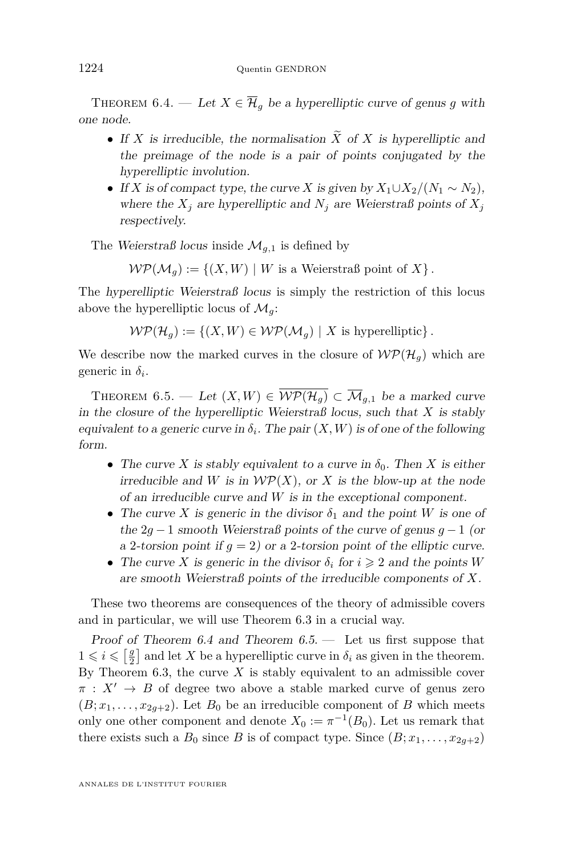<span id="page-56-0"></span>THEOREM 6.4. — Let  $X \in \overline{\mathcal{H}}_q$  be a hyperelliptic curve of genus g with one node.

- If *X* is irreducible, the normalisation  $\widetilde{X}$  of *X* is hyperelliptic and the preimage of the node is a pair of points conjugated by the hyperelliptic involution.
- If *X* is of compact type, the curve *X* is given by  $X_1 \cup X_2 / (N_1 \sim N_2)$ , where the  $X_j$  are hyperelliptic and  $N_j$  are Weierstraß points of  $X_j$ respectively.

The Weierstraß locus inside  $\mathcal{M}_{q,1}$  is defined by

 $W\mathcal{P}(\mathcal{M}_a) := \{(X, W) \mid W \text{ is a Weierstraß point of } X\}.$ 

The hyperelliptic Weierstraß locus is simply the restriction of this locus above the hyperelliptic locus of  $\mathcal{M}_q$ :

 $W\mathcal{P}(\mathcal{H}_q) := \{(X, W) \in \mathcal{WP}(\mathcal{M}_q) \mid X \text{ is hyperelliptic}\}.$ 

We describe now the marked curves in the closure of  $W\mathcal{P}(\mathcal{H}_q)$  which are generic in  $\delta_i$ .

<span id="page-56-1"></span>THEOREM 6.5. — Let  $(X, W) \in \overline{\mathcal{WP}(\mathcal{H}_q)} \subset \overline{\mathcal{M}}_{g,1}$  be a marked curve in the closure of the hyperelliptic Weierstraß locus, such that *X* is stably equivalent to a generic curve in  $\delta_i$ . The pair  $(X, W)$  is of one of the following form.

- The curve *X* is stably equivalent to a curve in  $\delta_0$ . Then *X* is either irreducible and *W* is in  $W\mathcal{P}(X)$ , or *X* is the blow-up at the node of an irreducible curve and *W* is in the exceptional component.
- The curve *X* is generic in the divisor  $\delta_1$  and the point *W* is one of the 2*g* − 1 smooth Weierstraß points of the curve of genus *g* − 1 (or a 2-torsion point if  $q = 2$ ) or a 2-torsion point of the elliptic curve.
- The curve *X* is generic in the divisor  $\delta_i$  for  $i \geq 2$  and the points *W* are smooth Weierstraß points of the irreducible components of *X*.

These two theorems are consequences of the theory of admissible covers and in particular, we will use Theorem [6.3](#page-55-0) in a crucial way.

Proof of Theorem [6.4](#page-56-0) and Theorem  $6.5$ .  $-$  Let us first suppose that  $1 \leq i \leq \left[\frac{g}{2}\right]$  and let X be a hyperelliptic curve in  $\delta_i$  as given in the theorem. By Theorem [6.3,](#page-55-0) the curve  $X$  is stably equivalent to an admissible cover  $\pi$  :  $X' \rightarrow B$  of degree two above a stable marked curve of genus zero  $(B; x_1, \ldots, x_{2g+2})$ . Let  $B_0$  be an irreducible component of *B* which meets only one other component and denote  $X_0 := \pi^{-1}(B_0)$ . Let us remark that there exists such a  $B_0$  since  $B$  is of compact type. Since  $(B; x_1, \ldots, x_{2q+2})$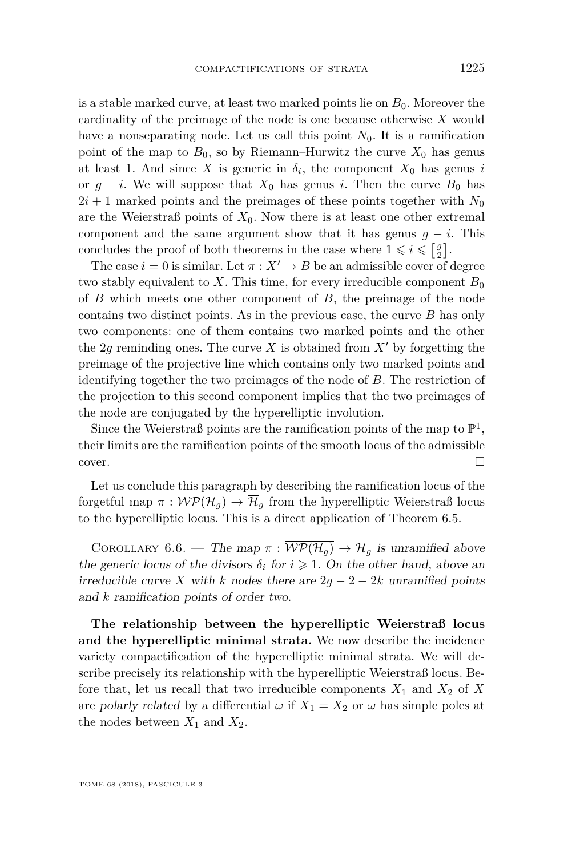is a stable marked curve, at least two marked points lie on *B*0. Moreover the cardinality of the preimage of the node is one because otherwise *X* would have a nonseparating node. Let us call this point  $N_0$ . It is a ramification point of the map to  $B_0$ , so by Riemann–Hurwitz the curve  $X_0$  has genus at least 1. And since *X* is generic in  $\delta_i$ , the component  $X_0$  has genus *i* or  $g - i$ . We will suppose that  $X_0$  has genus *i*. Then the curve  $B_0$  has  $2i + 1$  marked points and the preimages of these points together with  $N_0$ are the Weierstraß points of  $X_0$ . Now there is at least one other extremal component and the same argument show that it has genus  $q - i$ . This concludes the proof of both theorems in the case where  $1 \leqslant i \leqslant \left[\frac{g}{2}\right]$ .

The case  $i = 0$  is similar. Let  $\pi : X' \to B$  be an admissible cover of degree two stably equivalent to X. This time, for every irreducible component  $B_0$ of *B* which meets one other component of *B*, the preimage of the node contains two distinct points. As in the previous case, the curve *B* has only two components: one of them contains two marked points and the other the 2*g* reminding ones. The curve *X* is obtained from  $X'$  by forgetting the preimage of the projective line which contains only two marked points and identifying together the two preimages of the node of *B*. The restriction of the projection to this second component implies that the two preimages of the node are conjugated by the hyperelliptic involution.

Since the Weierstraß points are the ramification points of the map to  $\mathbb{P}^1$ , their limits are the ramification points of the smooth locus of the admissible  $\Box$ cover.

Let us conclude this paragraph by describing the ramification locus of the forgetful map  $\pi : \overline{W\mathcal{P}(\mathcal{H}_q)} \to \overline{\mathcal{H}}_q$  from the hyperelliptic Weierstraß locus to the hyperelliptic locus. This is a direct application of Theorem [6.5.](#page-56-1)

COROLLARY 6.6. — The map  $\pi : \overline{W\mathcal{P}(\mathcal{H}_q)} \to \overline{\mathcal{H}}_q$  is unramified above the generic locus of the divisors  $\delta_i$  for  $i \geq 1$ . On the other hand, above an irreducible curve *X* with *k* nodes there are  $2g - 2 - 2k$  unramified points and *k* ramification points of order two.

**The relationship between the hyperelliptic Weierstraß locus and the hyperelliptic minimal strata.** We now describe the incidence variety compactification of the hyperelliptic minimal strata. We will describe precisely its relationship with the hyperelliptic Weierstraß locus. Before that, let us recall that two irreducible components  $X_1$  and  $X_2$  of  $X$ are polarly related by a differential  $\omega$  if  $X_1 = X_2$  or  $\omega$  has simple poles at the nodes between  $X_1$  and  $X_2$ .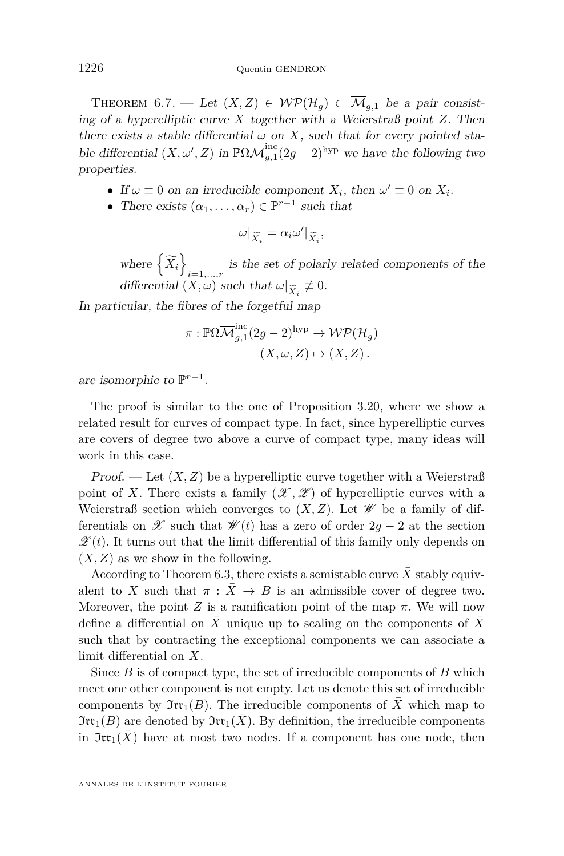<span id="page-58-0"></span>THEOREM 6.7. — Let  $(X, Z) \in \overline{\mathcal{WP}(\mathcal{H}_q)} \subset \overline{\mathcal{M}}_{q,1}$  be a pair consisting of a hyperelliptic curve *X* together with a Weierstraß point *Z*. Then there exists a stable differential  $\omega$  on X, such that for every pointed stable differential  $(X, \omega', Z)$  in  $\mathbb{P}\Omega \overline{\mathcal{M}}_{q,1}^{\text{inc}}$  $\int_{g,1}^{\text{inc}} (2g-2)^{\text{hyp}}$  we have the following two properties.

- If  $\omega \equiv 0$  on an irreducible component  $X_i$ , then  $\omega' \equiv 0$  on  $X_i$ .
- There exists  $(\alpha_1, \ldots, \alpha_r) \in \mathbb{P}^{r-1}$  such that

$$
\omega|_{\widetilde{X}_i} = \alpha_i \omega'|_{\widetilde{X}_i},
$$

where  $\left\{ \widetilde{X_{i}}\right\}$  $i=1,\ldots,r$  is the set of polarly related components of the differential  $(X, \omega)$  such that  $\omega|_{\widetilde{X}_i} \neq 0$ .<br>  $\omega|_{\widetilde{X}_i}$  the fibres of the force full man

In particular, the fibres of the forgetful map

$$
\pi: \mathbb{P}\Omega\overline{\mathcal{M}}_{g,1}^{\text{inc}}(2g-2)^{\text{hyp}} \to \overline{\mathcal{WP}(\mathcal{H}_g)}
$$

$$
(X,\omega,Z) \mapsto (X,Z).
$$

are isomorphic to P *r*−1 .

The proof is similar to the one of Proposition [3.20,](#page-28-0) where we show a related result for curves of compact type. In fact, since hyperelliptic curves are covers of degree two above a curve of compact type, many ideas will work in this case.

Proof. — Let  $(X, Z)$  be a hyperelliptic curve together with a Weierstraß point of X. There exists a family  $(\mathscr{X}, \mathscr{Z})$  of hyperelliptic curves with a Weierstraß section which converges to  $(X, Z)$ . Let  $\mathscr W$  be a family of differentials on  $\mathscr X$  such that  $\mathscr W(t)$  has a zero of order  $2q-2$  at the section  $\mathscr{Z}(t)$ . It turns out that the limit differential of this family only depends on  $(X, Z)$  as we show in the following.

According to Theorem [6.3,](#page-55-0) there exists a semistable curve  $\overline{X}$  stably equivalent to *X* such that  $\pi$  :  $\bar{X} \rightarrow B$  is an admissible cover of degree two. Moreover, the point *Z* is a ramification point of the map  $\pi$ . We will now define a differential on  $X$  unique up to scaling on the components of  $X$ such that by contracting the exceptional components we can associate a limit differential on *X*.

Since *B* is of compact type, the set of irreducible components of *B* which meet one other component is not empty. Let us denote this set of irreducible components by  $\mathfrak{Irr}_1(B)$ . The irreducible components of  $\overline{X}$  which map to  $\mathfrak{Irr}_1(B)$  are denoted by  $\mathfrak{Irr}_1(\overline{X})$ . By definition, the irreducible components in  $\mathfrak{Irr}_1(X)$  have at most two nodes. If a component has one node, then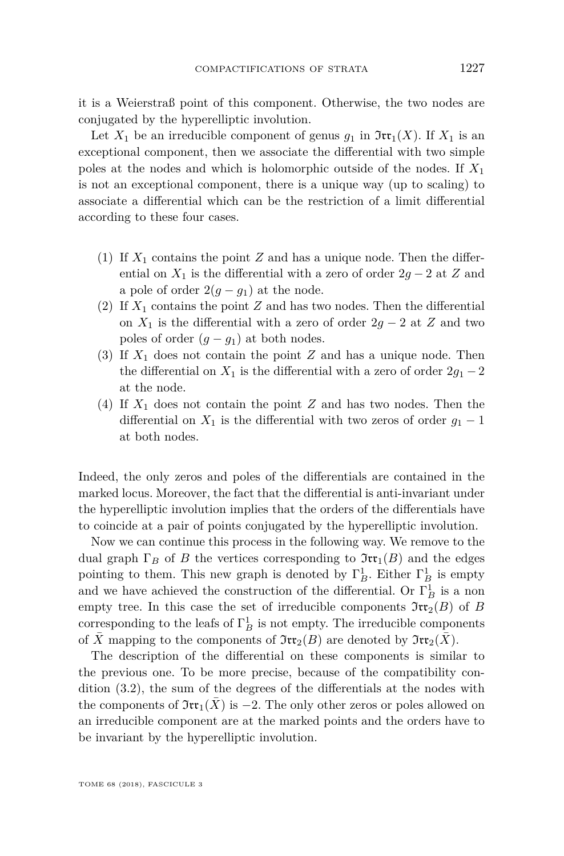it is a Weierstraß point of this component. Otherwise, the two nodes are conjugated by the hyperelliptic involution.

Let  $X_1$  be an irreducible component of genus  $g_1$  in  $\mathfrak{Irr}_1(X)$ . If  $X_1$  is an exceptional component, then we associate the differential with two simple poles at the nodes and which is holomorphic outside of the nodes. If *X*<sup>1</sup> is not an exceptional component, there is a unique way (up to scaling) to associate a differential which can be the restriction of a limit differential according to these four cases.

- (1) If  $X_1$  contains the point  $Z$  and has a unique node. Then the differential on  $X_1$  is the differential with a zero of order  $2g - 2$  at *Z* and a pole of order  $2(g - g_1)$  at the node.
- (2) If  $X_1$  contains the point  $Z$  and has two nodes. Then the differential on  $X_1$  is the differential with a zero of order  $2g - 2$  at  $Z$  and two poles of order  $(g - g_1)$  at both nodes.
- (3) If  $X_1$  does not contain the point  $Z$  and has a unique node. Then the differential on  $X_1$  is the differential with a zero of order  $2g_1 - 2$ at the node.
- (4) If *X*<sup>1</sup> does not contain the point *Z* and has two nodes. Then the differential on  $X_1$  is the differential with two zeros of order  $g_1 - 1$ at both nodes.

Indeed, the only zeros and poles of the differentials are contained in the marked locus. Moreover, the fact that the differential is anti-invariant under the hyperelliptic involution implies that the orders of the differentials have to coincide at a pair of points conjugated by the hyperelliptic involution.

Now we can continue this process in the following way. We remove to the dual graph  $\Gamma_B$  of *B* the vertices corresponding to  $\mathfrak{Irr}_1(B)$  and the edges pointing to them. This new graph is denoted by  $\Gamma_B^1$ . Either  $\Gamma_B^1$  is empty and we have achieved the construction of the differential. Or  $\Gamma_B^1$  is a non empty tree. In this case the set of irreducible components  $\mathfrak{Irr}_2(B)$  of *B* corresponding to the leafs of  $\Gamma_B^1$  is not empty. The irreducible components of *X* mapping to the components of  $\mathfrak{Irr}_2(B)$  are denoted by  $\mathfrak{Irr}_2(X)$ .

The description of the differential on these components is similar to the previous one. To be more precise, because of the compatibility condition [\(3.2\)](#page-15-0), the sum of the degrees of the differentials at the nodes with the components of  $\mathfrak{Irr}_1(X)$  is  $-2$ . The only other zeros or poles allowed on an irreducible component are at the marked points and the orders have to be invariant by the hyperelliptic involution.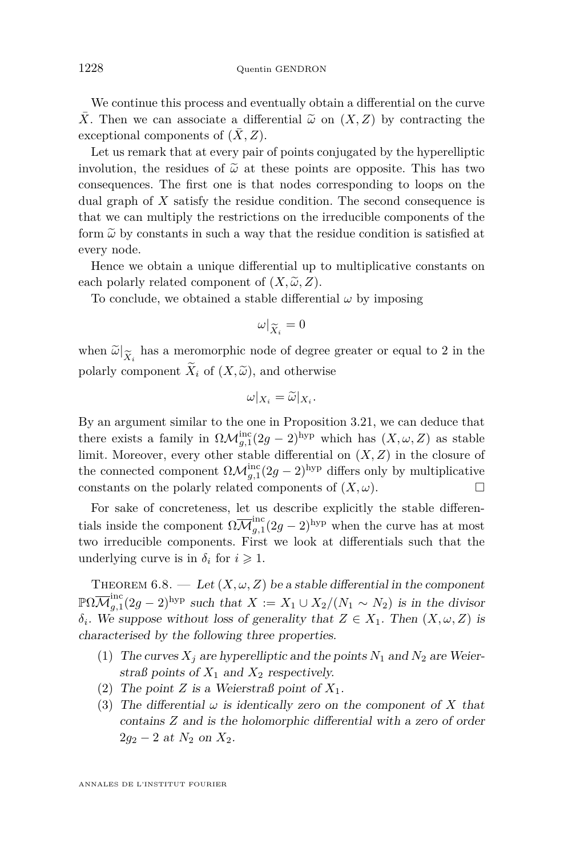We continue this process and eventually obtain a differential on the curve  $\overline{X}$ . Then we can associate a differential  $\widetilde{\omega}$  on  $(X, Z)$  by contracting the exceptional components of  $(\bar{X}, Z)$ .

Let us remark that at every pair of points conjugated by the hyperelliptic involution, the residues of  $\tilde{\omega}$  at these points are opposite. This has two consequences. The first one is that nodes corresponding to loops on the dual graph of *X* satisfy the residue condition. The second consequence is that we can multiply the restrictions on the irreducible components of the form  $\tilde{\omega}$  by constants in such a way that the residue condition is satisfied at every node.

Hence we obtain a unique differential up to multiplicative constants on each polarly related component of  $(X, \tilde{\omega}, Z)$ .

To conclude, we obtained a stable differential  $\omega$  by imposing

$$
\omega|_{\widetilde{X}_i}=0
$$

when  $\tilde{\omega}|_{\tilde{X}_i}$  has a meromorphic node of degree greater or equal to 2 in the noderly component  $\tilde{X}_i$  of  $(X_i \tilde{\omega})$  and otherwise polarly component  $\widetilde{X}_i$  of  $(X, \widetilde{\omega})$ , and otherwise

$$
\omega|_{X_i} = \widetilde{\omega}|_{X_i}.
$$

By an argument similar to the one in Proposition [3.21,](#page-29-0) we can deduce that there exists a family in  $\Omega \mathcal{M}_{g,1}^{\text{inc}}(2g-2)^{\text{hyp}}$  which has  $(X,\omega,Z)$  as stable limit. Moreover, every other stable differential on (*X, Z*) in the closure of the connected component  $\Omega \mathcal{M}_{g,1}^{\text{inc}}(2g-2)^{\text{hyp}}$  differs only by multiplicative constants on the polarly related components of  $(X, \omega)$ .

For sake of concreteness, let us describe explicitly the stable differentials inside the component  $\Omega \overline{\mathcal{M}}_{q,1}^{\text{inc}}$  $\int_{g,1}^{\text{inc}}(2g-2)^{\text{hyp}}$  when the curve has at most two irreducible components. First we look at differentials such that the underlying curve is in  $\delta_i$  for  $i \geq 1$ .

<span id="page-60-0"></span>THEOREM  $6.8.$  — Let  $(X, \omega, Z)$  be a stable differential in the component  $\mathbb{P}\Omega\overline{\mathcal{M}}_{a,1}^\mathrm{inc}$  $g_{g,1}^{\text{inc}}(2g-2)^{\text{hyp}}$  such that  $X := X_1 \cup X_2/(N_1 \sim N_2)$  is in the divisor  $\delta_i$ . We suppose without loss of generality that  $Z \in X_1$ . Then  $(X, \omega, Z)$  is characterised by the following three properties.

- (1) The curves  $X_j$  are hyperelliptic and the points  $N_1$  and  $N_2$  are Weierstraß points of  $X_1$  and  $X_2$  respectively.
- (2) The point *Z* is a Weierstraß point of  $X_1$ .
- (3) The differential  $\omega$  is identically zero on the component of X that contains *Z* and is the holomorphic differential with a zero of order 2*g*<sup>2</sup> − 2 at *N*<sup>2</sup> on *X*2.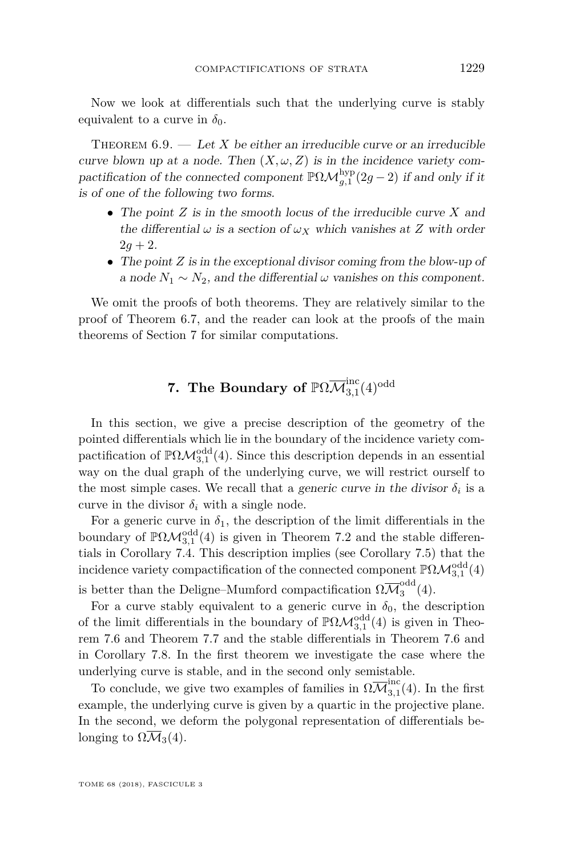Now we look at differentials such that the underlying curve is stably equivalent to a curve in  $\delta_0$ .

<span id="page-61-0"></span>THEOREM  $6.9.$  — Let *X* be either an irreducible curve or an irreducible curve blown up at a node. Then  $(X, \omega, Z)$  is in the incidence variety compactification of the connected component  $\mathbb{P}\Omega \mathcal{M}_{g,1}^{\mathrm{hyp}}(2g-2)$  if and only if it is of one of the following two forms.

- The point *Z* is in the smooth locus of the irreducible curve *X* and the differential  $\omega$  is a section of  $\omega_X$  which vanishes at *Z* with order  $2q + 2$ .
- The point *Z* is in the exceptional divisor coming from the blow-up of a node  $N_1 \sim N_2$ , and the differential  $\omega$  vanishes on this component.

We omit the proofs of both theorems. They are relatively similar to the proof of Theorem [6.7,](#page-58-0) and the reader can look at the proofs of the main theorems of Section [7](#page-61-1) for similar computations.

# **7.** The Boundary of  $\mathbb{P}\Omega\overline{\mathcal{M}}_{3,1}^{\mathrm{inc}}(4)^{\mathrm{odd}}$

<span id="page-61-1"></span>In this section, we give a precise description of the geometry of the pointed differentials which lie in the boundary of the incidence variety compactification of  $\mathbb{P}\Omega\mathcal{M}^{\text{odd}}_{3,1}(4)$ . Since this description depends in an essential way on the dual graph of the underlying curve, we will restrict ourself to the most simple cases. We recall that a *generic curve in the divisor*  $\delta_i$  is a curve in the divisor  $\delta_i$  with a single node.

For a generic curve in  $\delta_1$ , the description of the limit differentials in the boundary of  $\mathbb{P}\Omega\mathcal{M}_{3,1}^{\text{odd}}(4)$  is given in Theorem [7.2](#page-62-0) and the stable differentials in Corollary [7.4.](#page-64-0) This description implies (see Corollary [7.5\)](#page-64-1) that the incidence variety compactification of the connected component  $\mathbb{P}\Omega\mathcal{M}^{\text{odd}}_{3,1}(4)$ is better than the Deligne–Mumford compactification  $\Omega \overline{\mathcal{M}}_3^{\text{odd}}$  $\frac{3}{3}$  (4).

For a curve stably equivalent to a generic curve in  $\delta_0$ , the description of the limit differentials in the boundary of  $\mathbb{P}\Omega\mathcal{M}^{\text{odd}}_{3,1}(4)$  is given in Theorem [7.6](#page-65-0) and Theorem [7.7](#page-65-1) and the stable differentials in Theorem [7.6](#page-65-0) and in Corollary [7.8.](#page-66-0) In the first theorem we investigate the case where the underlying curve is stable, and in the second only semistable.

To conclude, we give two examples of families in  $\Omega \overline{\mathcal{M}}_{3,1}^{\text{inc}}$  $_{3,1}^{\text{inc}}(4)$ . In the first example, the underlying curve is given by a quartic in the projective plane. In the second, we deform the polygonal representation of differentials belonging to  $\Omega \overline{\mathcal{M}}_3(4)$ .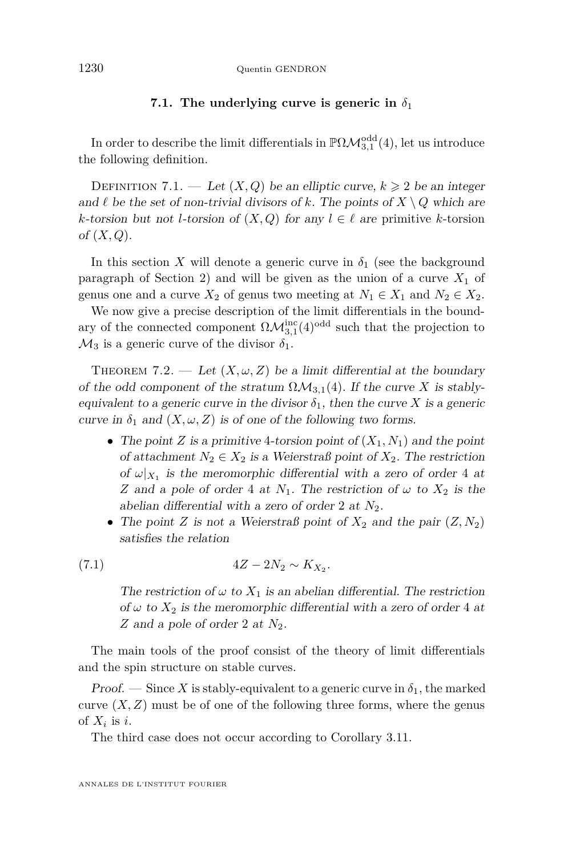#### **7.1.** The underlying curve is generic in  $\delta_1$

In order to describe the limit differentials in  $\mathbb{P}\Omega\mathcal{M}^{\text{odd}}_{3,1}(4)$ , let us introduce the following definition.

DEFINITION 7.1. — Let  $(X, Q)$  be an elliptic curve,  $k \geq 2$  be an integer and  $\ell$  be the set of non-trivial divisors of  $k$ . The points of  $X \setminus Q$  which are *k*-torsion but not *l*-torsion of  $(X, Q)$  for any  $l \in \ell$  are primitive *k*-torsion of (*X, Q*).

In this section *X* will denote a generic curve in  $\delta_1$  (see the background paragraph of Section [2\)](#page-7-0) and will be given as the union of a curve  $X_1$  of genus one and a curve  $X_2$  of genus two meeting at  $N_1 \in X_1$  and  $N_2 \in X_2$ .

We now give a precise description of the limit differentials in the boundary of the connected component  $\Omega \mathcal{M}_{3,1}^{\mathrm{inc}}(4)^{\mathrm{odd}}$  such that the projection to  $\mathcal{M}_3$  is a generic curve of the divisor  $\delta_1$ .

<span id="page-62-0"></span>THEOREM 7.2. — Let  $(X, \omega, Z)$  be a limit differential at the boundary of the odd component of the stratum  $\Omega \mathcal{M}_{3,1}(4)$ . If the curve *X* is stablyequivalent to a generic curve in the divisor  $\delta_1$ , then the curve X is a generic curve in  $\delta_1$  and  $(X, \omega, Z)$  is of one of the following two forms.

- The point *Z* is a primitive 4-torsion point of  $(X_1, N_1)$  and the point of attachment  $N_2 \in X_2$  is a Weierstraß point of  $X_2$ . The restriction of  $\omega|_{X_1}$  is the meromorphic differential with a zero of order 4 at *Z* and a pole of order 4 at  $N_1$ . The restriction of  $\omega$  to  $X_2$  is the abelian differential with a zero of order 2 at *N*2.
- The point *Z* is not a Weierstraß point of  $X_2$  and the pair  $(Z, N_2)$ satisfies the relation

(7.1) 
$$
4Z - 2N_2 \sim K_{X_2}.
$$

<span id="page-62-1"></span>The restriction of  $\omega$  to  $X_1$  is an abelian differential. The restriction of  $\omega$  to  $X_2$  is the meromorphic differential with a zero of order 4 at *Z* and a pole of order 2 at *N*2.

The main tools of the proof consist of the theory of limit differentials and the spin structure on stable curves.

Proof. — Since X is stably-equivalent to a generic curve in  $\delta_1$ , the marked curve  $(X, Z)$  must be of one of the following three forms, where the genus of  $X_i$  is *i*.

The third case does not occur according to Corollary [3.11.](#page-20-0)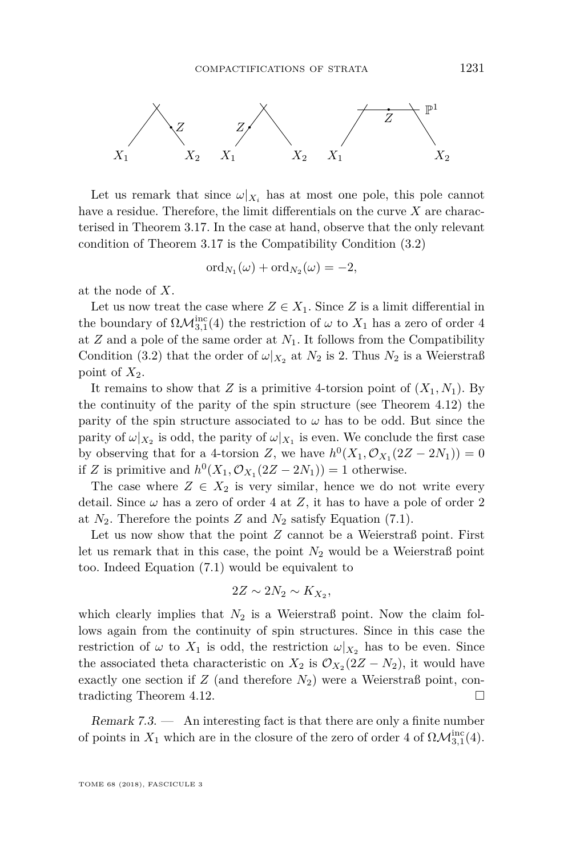

Let us remark that since  $\omega|_{X_i}$  has at most one pole, this pole cannot have a residue. Therefore, the limit differentials on the curve *X* are characterised in Theorem [3.17.](#page-24-0) In the case at hand, observe that the only relevant condition of Theorem [3.17](#page-24-0) is the Compatibility Condition [\(3.2\)](#page-15-0)

$$
ord_{N_1}(\omega) + ord_{N_2}(\omega) = -2,
$$

at the node of *X*.

Let us now treat the case where  $Z \in X_1$ . Since *Z* is a limit differential in the boundary of  $\Omega \mathcal{M}_{3,1}^{\text{inc}}(4)$  the restriction of  $\omega$  to  $X_1$  has a zero of order 4 at  $Z$  and a pole of the same order at  $N_1$ . It follows from the Compatibility Condition [\(3.2\)](#page-15-0) that the order of  $\omega|_{X_2}$  at  $N_2$  is 2. Thus  $N_2$  is a Weierstraß point of  $X_2$ .

It remains to show that *Z* is a primitive 4-torsion point of  $(X_1, N_1)$ . By the continuity of the parity of the spin structure (see Theorem [4.12\)](#page-38-0) the parity of the spin structure associated to  $\omega$  has to be odd. But since the parity of  $\omega|_{X_2}$  is odd, the parity of  $\omega|_{X_1}$  is even. We conclude the first case by observing that for a 4-torsion *Z*, we have  $h^0(X_1, \mathcal{O}_{X_1}(2Z - 2N_1)) = 0$ if *Z* is primitive and  $h^0(X_1, \mathcal{O}_{X_1}(2Z - 2N_1)) = 1$  otherwise.

The case where  $Z \in X_2$  is very similar, hence we do not write every detail. Since  $\omega$  has a zero of order 4 at Z, it has to have a pole of order 2 at  $N_2$ . Therefore the points  $Z$  and  $N_2$  satisfy Equation [\(7.1\)](#page-62-1).

Let us now show that the point *Z* cannot be a Weierstraß point. First let us remark that in this case, the point  $N_2$  would be a Weierstraß point too. Indeed Equation [\(7.1\)](#page-62-1) would be equivalent to

$$
2Z \sim 2N_2 \sim K_{X_2},
$$

which clearly implies that  $N_2$  is a Weierstraß point. Now the claim follows again from the continuity of spin structures. Since in this case the restriction of  $\omega$  to  $X_1$  is odd, the restriction  $\omega|_{X_2}$  has to be even. Since the associated theta characteristic on  $X_2$  is  $\mathcal{O}_{X_2}(2Z - N_2)$ , it would have exactly one section if  $Z$  (and therefore  $N_2$ ) were a Weierstraß point, contradicting Theorem [4.12.](#page-38-0)

Remark  $7.3.$  — An interesting fact is that there are only a finite number of points in  $X_1$  which are in the closure of the zero of order 4 of  $\Omega \mathcal{M}_{3,1}^{\text{inc}}(4)$ .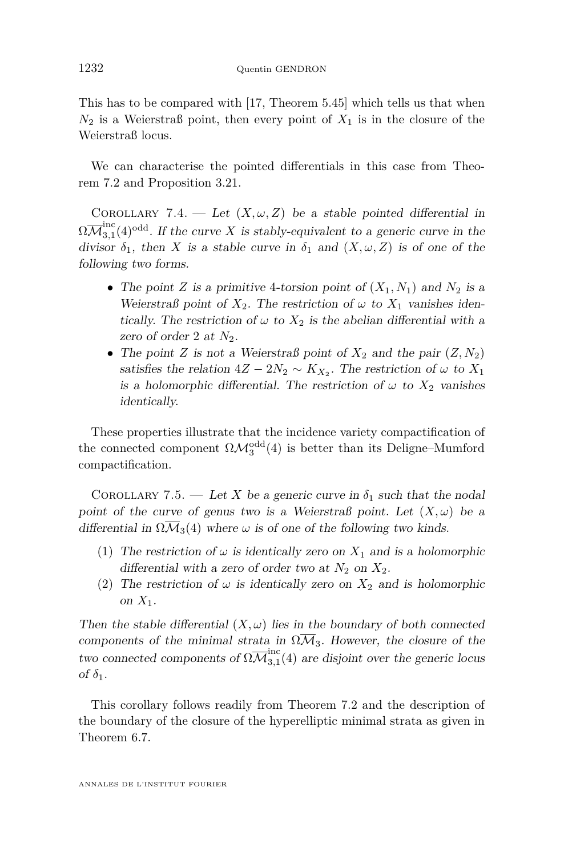This has to be compared with [\[17,](#page-71-6) Theorem 5.45] which tells us that when  $N_2$  is a Weierstraß point, then every point of  $X_1$  is in the closure of the Weierstraß locus.

We can characterise the pointed differentials in this case from Theorem [7.2](#page-62-0) and Proposition [3.21.](#page-29-0)

<span id="page-64-0"></span>COROLLARY 7.4. — Let  $(X, \omega, Z)$  be a stable pointed differential in  $\Omega\overline{\mathcal M}_{3.1}^\mathrm{inc}$  $3,1$ <sup>odd</sup>. If the curve *X* is stably-equivalent to a generic curve in the divisor  $\delta_1$ , then *X* is a stable curve in  $\delta_1$  and  $(X, \omega, Z)$  is of one of the following two forms.

- The point *Z* is a primitive 4-torsion point of  $(X_1, N_1)$  and  $N_2$  is a Weierstraß point of  $X_2$ . The restriction of  $\omega$  to  $X_1$  vanishes identically. The restriction of  $\omega$  to  $X_2$  is the abelian differential with a zero of order 2 at *N*2.
- The point *Z* is not a Weierstraß point of  $X_2$  and the pair  $(Z, N_2)$ satisfies the relation  $4Z - 2N_2 \sim K_{X_2}$ . The restriction of  $\omega$  to  $X_1$ is a holomorphic differential. The restriction of  $\omega$  to  $X_2$  vanishes identically.

These properties illustrate that the incidence variety compactification of the connected component  $\Omega \mathcal{M}_3^{\text{odd}}(4)$  is better than its Deligne–Mumford compactification.

<span id="page-64-1"></span>COROLLARY 7.5. — Let *X* be a generic curve in  $\delta_1$  such that the nodal point of the curve of genus two is a Weierstraß point. Let  $(X, \omega)$  be a differential in  $\Omega \overline{\mathcal{M}}_3(4)$  where  $\omega$  is of one of the following two kinds.

- (1) The restriction of  $\omega$  is identically zero on  $X_1$  and is a holomorphic differential with a zero of order two at  $N_2$  on  $X_2$ .
- (2) The restriction of  $\omega$  is identically zero on  $X_2$  and is holomorphic on  $X_1$ .

Then the stable differential  $(X, \omega)$  lies in the boundary of both connected components of the minimal strata in  $\Omega \overline{M}_3$ . However, the closure of the two connected components of  $\Omega \overline{\mathcal{M}}_{3.1}^{\text{inc}}$  $\frac{3}{3,1}(4)$  are disjoint over the generic locus of  $\delta_1$ .

This corollary follows readily from Theorem [7.2](#page-62-0) and the description of the boundary of the closure of the hyperelliptic minimal strata as given in Theorem [6.7.](#page-58-0)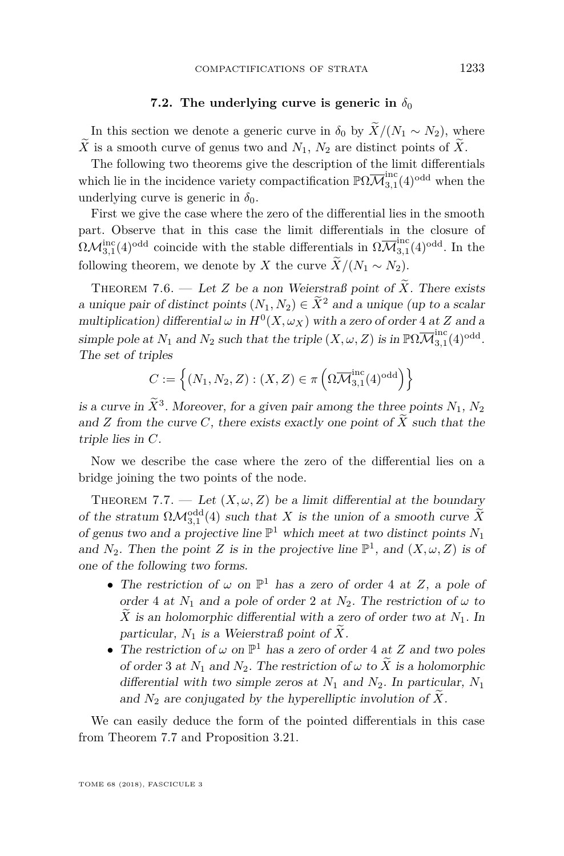## **7.2.** The underlying curve is generic in  $\delta_0$

In this section we denote a generic curve in  $\delta_0$  by  $\widetilde{X}/(N_1 \sim N_2)$ , where  $\widetilde{X}$  is a smooth curve of genus two and  $N_1$ ,  $N_2$  are distinct points of  $\widetilde{X}$ .

The following two theorems give the description of the limit differentials which lie in the incidence variety compactification  $\mathbb{P}\Omega \overline{\mathcal{M}}_{3.1}^{\text{inc}}$  $_{3,1}^{\text{inc}}(4)$ <sup>odd</sup> when the underlying curve is generic in  $\delta_0$ .

First we give the case where the zero of the differential lies in the smooth part. Observe that in this case the limit differentials in the closure of  $\Omega \mathcal{M}_{3,1}^{\mathrm{inc}}(4)$ <sup>odd</sup> coincide with the stable differentials in  $\Omega \overline{\mathcal{M}}_{3,1}^{\mathrm{inc}}$  $_{3,1}^{\text{inc}}(4)$ <sup>odd</sup>. In the following theorem, we denote by *X* the curve  $\widetilde{X}/(N_1 \sim N_2)$ .

<span id="page-65-0"></span>THEOREM 7.6. — Let *Z* be a non Weierstraß point of  $\tilde{X}$ . There exists a unique pair of distinct points  $(N_1, N_2) \in \widetilde{X}^2$  and a unique (up to a scalar multiplication) differential  $\omega$  in  $H^0(X, \omega_X)$  with a zero of order 4 at *Z* and a simple pole at  $N_1$  and  $N_2$  such that the triple  $(X, \omega, Z)$  is in  $\mathbb{P}\Omega \overline{\mathcal{M}}_{3,1}^{\text{inc}}$  $_{3,1}^{\rm mc}(4)^{\rm odd}.$ The set of triples

$$
C := \left\{ (N_1, N_2, Z) : (X, Z) \in \pi \left( \Omega \overline{\mathcal{M}}_{3,1}^{\text{inc}}(4)^{\text{odd}} \right) \right\}
$$

is a curve in  $\tilde{X}^3$ . Moreover, for a given pair among the three points  $N_1, N_2$ and *Z* from the curve *C*, there exists exactly one point of  $\widetilde{X}$  such that the triple lies in *C*.

Now we describe the case where the zero of the differential lies on a bridge joining the two points of the node.

<span id="page-65-1"></span>THEOREM 7.7. — Let  $(X, \omega, Z)$  be a limit differential at the boundary of the stratum  $\Omega \mathcal{M}_{3,1}^{\text{odd}}(4)$  such that *X* is the union of a smooth curve  $\widetilde{X}$ of genus two and a projective line  $\mathbb{P}^1$  which meet at two distinct points  $N_1$ and  $N_2$ . Then the point *Z* is in the projective line  $\mathbb{P}^1$ , and  $(X, \omega, Z)$  is of one of the following two forms.

- The restriction of  $\omega$  on  $\mathbb{P}^1$  has a zero of order 4 at *Z*, a pole of order 4 at  $N_1$  and a pole of order 2 at  $N_2$ . The restriction of  $\omega$  to  $\widetilde{X}$  is an holomorphic differential with a zero of order two at  $N_1$ . In particular,  $N_1$  is a Weierstraß point of  $\widetilde{X}$ .
- The restriction of  $\omega$  on  $\mathbb{P}^1$  has a zero of order 4 at *Z* and two poles of order 3 at  $N_1$  and  $N_2$ . The restriction of  $\omega$  to  $\widetilde{X}$  is a holomorphic differential with two simple zeros at *N*<sup>1</sup> and *N*2. In particular, *N*<sup>1</sup> and  $N_2$  are conjugated by the hyperelliptic involution of  $X$ .

We can easily deduce the form of the pointed differentials in this case from Theorem [7.7](#page-65-1) and Proposition [3.21.](#page-29-0)

TOME 68 (2018), FASCICULE 3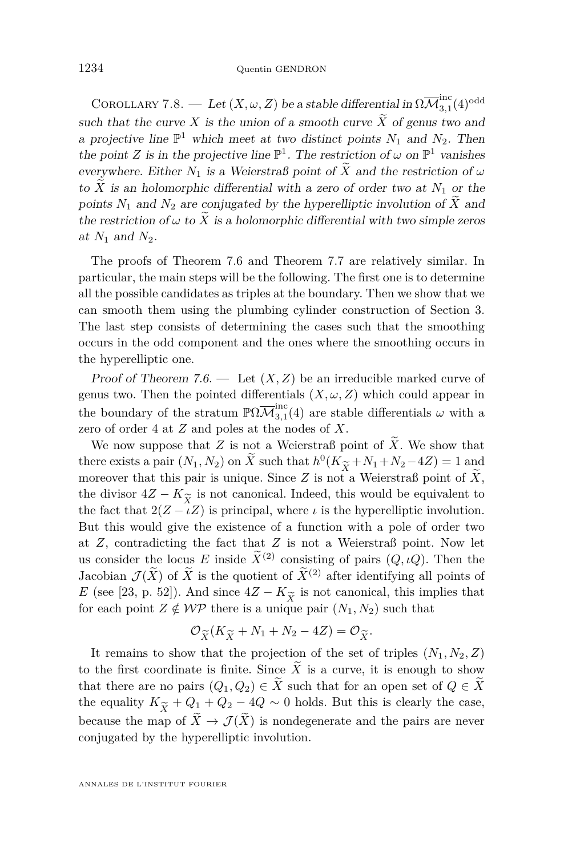<span id="page-66-0"></span>COROLLARY 7.8. — Let  $(X, \omega, Z)$  be a stable differential in  $\Omega \overline{\mathcal{M}}_{3,1}^{\text{inc}}$  $_{3,1}^{\rm mc}(4)^{\rm odd}$ such that the curve X is the union of a smooth curve  $\widetilde{X}$  of genus two and a projective line  $\mathbb{P}^1$  which meet at two distinct points  $N_1$  and  $N_2$ . Then the point *Z* is in the projective line  $\mathbb{P}^1$ . The restriction of  $\omega$  on  $\mathbb{P}^1$  vanishes everywhere. Either  $N_1$  is a Weierstraß point of  $\widetilde{X}$  and the restriction of  $\omega$ to  $\widetilde{X}$  is an holomorphic differential with a zero of order two at  $N_1$  or the points  $N_1$  and  $N_2$  are conjugated by the hyperelliptic involution of  $\tilde{X}$  and the restriction of  $\omega$  to  $\widetilde{X}$  is a holomorphic differential with two simple zeros at *N*<sup>1</sup> and *N*2.

The proofs of Theorem [7.6](#page-65-0) and Theorem [7.7](#page-65-1) are relatively similar. In particular, the main steps will be the following. The first one is to determine all the possible candidates as triples at the boundary. Then we show that we can smooth them using the plumbing cylinder construction of Section [3.](#page-12-0) The last step consists of determining the cases such that the smoothing occurs in the odd component and the ones where the smoothing occurs in the hyperelliptic one.

Proof of Theorem [7.6.](#page-65-0)  $\longrightarrow$  Let  $(X, Z)$  be an irreducible marked curve of genus two. Then the pointed differentials  $(X, \omega, Z)$  which could appear in the boundary of the stratum  $\mathbb{P}\Omega \overline{\mathcal{M}}_{3.1}^{\text{inc}}$  $\frac{3}{3,1}(4)$  are stable differentials  $\omega$  with a zero of order 4 at *Z* and poles at the nodes of *X*.

We now suppose that  $Z$  is not a Weierstraß point of  $\widetilde{X}$ . We show that there exists a pair  $(N_1, N_2)$  on  $\overline{X}$  such that  $h^0(K_{\widetilde{X}} + N_1 + N_2 - 4Z) = 1$  and moreover that this pair is unique. Since *Z* is not a Weierstraß point of  $\widetilde{X}$ . moreover that this pair is unique. Since  $Z$  is not a Weierstraß point of  $\widetilde{X}$ , the divisor  $4Z - K_{\widetilde{X}}$  is not canonical. Indeed, this would be equivalent to the fact that  $2(Z - \iota Z)$  is principal, where  $\iota$  is the hyperelliptic involution. the fact that  $2(Z - \iota Z)$  is principal, where  $\iota$  is the hyperelliptic involution. But this would give the existence of a function with a pole of order two at *Z*, contradicting the fact that *Z* is not a Weierstraß point. Now let us consider the locus *E* inside  $\widetilde{X}^{(2)}$  consisting of pairs  $(Q, \iota Q)$ . Then the Jacobian  $\mathcal{J}(\widetilde{X})$  of  $\widetilde{X}$  is the quotient of  $\widetilde{X}^{(2)}$  after identifying all points of *E* (see [\[23,](#page-72-4) p. 52]). And since  $4Z - K_{\widetilde{X}}$  is not canonical, this implies that for each point  $Z \notin \mathcal{WP}$  there is a unique pair  $(N_1, N_2)$  such that for each point  $Z \notin W\mathcal{P}$  there is a unique pair  $(N_1, N_2)$  such that

$$
\mathcal{O}_{\widetilde{X}}(K_{\widetilde{X}}+N_1+N_2-4Z)=\mathcal{O}_{\widetilde{X}}.
$$

 $\mathcal{O}_{\widetilde{X}}(K_{\widetilde{X}}+N_1+N_2-4Z)=\mathcal{O}_{\widetilde{X}}.$ <br>It remains to show that the projection of the set of triples  $(N_1, N_2, Z)$ to the first coordinate is finite. Since  $\widetilde{X}$  is a curve, it is enough to show that there are no pairs  $(Q_1, Q_2) \in \widetilde{X}$  such that for an open set of  $Q \in \widetilde{X}$ the equality  $K_{\widetilde{Y}} + Q_1 + Q_2 - 4Q \sim 0$  holds. But this is clearly the case, because the map of  $\tilde{X} \to \mathcal{J}(\tilde{X})$  is nondegenerate and the pairs are never conjugated by the hyperelliptic involution.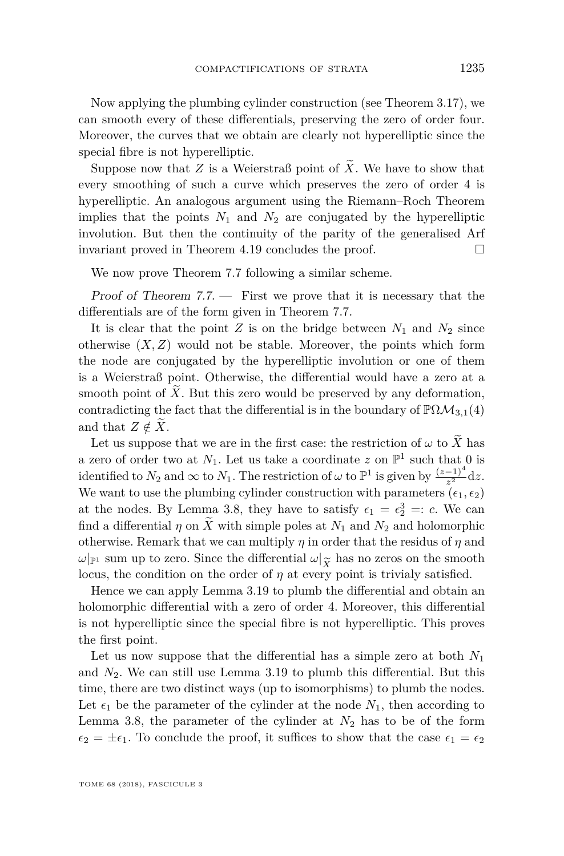Now applying the plumbing cylinder construction (see Theorem [3.17\)](#page-24-0), we can smooth every of these differentials, preserving the zero of order four. Moreover, the curves that we obtain are clearly not hyperelliptic since the special fibre is not hyperelliptic.

Suppose now that *Z* is a Weierstraß point of  $\tilde{X}$ . We have to show that every smoothing of such a curve which preserves the zero of order 4 is hyperelliptic. An analogous argument using the Riemann–Roch Theorem implies that the points  $N_1$  and  $N_2$  are conjugated by the hyperelliptic involution. But then the continuity of the parity of the generalised Arf invariant proved in Theorem [4.19](#page-41-1) concludes the proof.

We now prove Theorem [7.7](#page-65-1) following a similar scheme.

Proof of Theorem  $7.7.$  – First we prove that it is necessary that the differentials are of the form given in Theorem [7.7.](#page-65-1)

It is clear that the point *Z* is on the bridge between  $N_1$  and  $N_2$  since otherwise  $(X, Z)$  would not be stable. Moreover, the points which form the node are conjugated by the hyperelliptic involution or one of them is a Weierstraß point. Otherwise, the differential would have a zero at a smooth point of  $\overline{X}$ . But this zero would be preserved by any deformation, contradicting the fact that the differential is in the boundary of  $\mathbb{P}\Omega\mathcal{M}_{3,1}(4)$ and that  $Z \notin X$ .

Let us suppose that we are in the first case: the restriction of  $\omega$  to  $\widetilde{X}$  has a zero of order two at  $N_1$ . Let us take a coordinate z on  $\mathbb{P}^1$  such that 0 is identified to  $N_2$  and  $\infty$  to  $N_1$ . The restriction of  $\omega$  to  $\mathbb{P}^1$  is given by  $\frac{(z-1)^4}{z^2}dz$ . We want to use the plumbing cylinder construction with parameters  $(\epsilon_1, \epsilon_2)$ at the nodes. By Lemma [3.8,](#page-18-0) they have to satisfy  $\epsilon_1 = \epsilon_2^3 =: c$ . We can find a differential  $\eta$  on  $\tilde{X}$  with simple poles at  $N_1$  and  $N_2$  and holomorphic otherwise. Remark that we can multiply  $\eta$  in order that the residus of  $\eta$  and *ω*|<sub>P<sup>1</sup></sub> sum up to zero. Since the differential  $\omega|_{\widetilde{X}}$  has no zeros on the smooth locus, the condition on the order of *n* at every point is trivialy satisfied. locus, the condition on the order of  $\eta$  at every point is trivialy satisfied.

Hence we can apply Lemma [3.19](#page-27-0) to plumb the differential and obtain an holomorphic differential with a zero of order 4. Moreover, this differential is not hyperelliptic since the special fibre is not hyperelliptic. This proves the first point.

Let us now suppose that the differential has a simple zero at both *N*<sup>1</sup> and *N*2. We can still use Lemma [3.19](#page-27-0) to plumb this differential. But this time, there are two distinct ways (up to isomorphisms) to plumb the nodes. Let  $\epsilon_1$  be the parameter of the cylinder at the node  $N_1$ , then according to Lemma [3.8,](#page-18-0) the parameter of the cylinder at  $N_2$  has to be of the form  $\epsilon_2 = \pm \epsilon_1$ . To conclude the proof, it suffices to show that the case  $\epsilon_1 = \epsilon_2$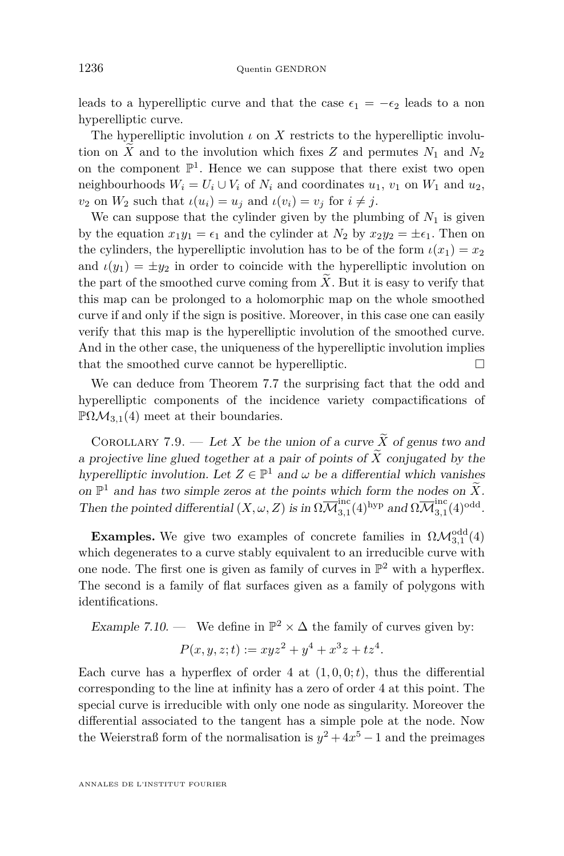leads to a hyperelliptic curve and that the case  $\epsilon_1 = -\epsilon_2$  leads to a non hyperelliptic curve.

The hyperelliptic involution  $\iota$  on  $X$  restricts to the hyperelliptic involution on  $\tilde{X}$  and to the involution which fixes  $\tilde{Z}$  and permutes  $N_1$  and  $N_2$ on the component  $\mathbb{P}^1$ . Hence we can suppose that there exist two open neighbourhoods  $W_i = U_i \cup V_i$  of  $N_i$  and coordinates  $u_1, v_1$  on  $W_1$  and  $u_2$ , *v*<sub>2</sub> on  $W_2$  such that  $\iota(u_i) = u_i$  and  $\iota(v_i) = v_i$  for  $i \neq j$ .

We can suppose that the cylinder given by the plumbing of  $N_1$  is given by the equation  $x_1y_1 = \epsilon_1$  and the cylinder at  $N_2$  by  $x_2y_2 = \pm \epsilon_1$ . Then on the cylinders, the hyperelliptic involution has to be of the form  $\iota(x_1) = x_2$ and  $\iota(y_1) = \pm y_2$  in order to coincide with the hyperelliptic involution on the part of the smoothed curve coming from  $\tilde{X}$ . But it is easy to verify that this map can be prolonged to a holomorphic map on the whole smoothed curve if and only if the sign is positive. Moreover, in this case one can easily verify that this map is the hyperelliptic involution of the smoothed curve. And in the other case, the uniqueness of the hyperelliptic involution implies that the smoothed curve cannot be hyperelliptic.

We can deduce from Theorem [7.7](#page-65-1) the surprising fact that the odd and hyperelliptic components of the incidence variety compactifications of  $\mathbb{P}\Omega\mathcal{M}_{3,1}(4)$  meet at their boundaries.

COROLLARY 7.9. — Let *X* be the union of a curve  $\widetilde{X}$  of genus two and a projective line glued together at a pair of points of  $\widetilde{X}$  conjugated by the hyperelliptic involution. Let  $Z \in \mathbb{P}^1$  and  $\omega$  be a differential which vanishes on  $\mathbb{P}^1$  and has two simple zeros at the points which form the nodes on  $\widetilde{X}$ . Then the pointed differential  $(X, \omega, Z)$  is in  $\Omega \overline{\mathcal{M}}_{3.1}^{\text{inc}}$  $_{3,1}^{\mathrm{inc}}(4)^{\mathrm{hyp}}$  and  $\Omega\overline{\mathcal M}_{3,1}^{\mathrm{inc}}$  $_{3,1}^{\rm inc}(4)^{\rm odd}.$ 

**Examples.** We give two examples of concrete families in  $\Omega \mathcal{M}_{3,1}^{\text{odd}}(4)$ which degenerates to a curve stably equivalent to an irreducible curve with one node. The first one is given as family of curves in  $\mathbb{P}^2$  with a hyperflex. The second is a family of flat surfaces given as a family of polygons with identifications.

Example 7.10. — We define in  $\mathbb{P}^2 \times \Delta$  the family of curves given by:

$$
P(x, y, z; t) := xyz^{2} + y^{4} + x^{3}z + tz^{4}.
$$

Each curve has a hyperflex of order 4 at  $(1,0,0;t)$ , thus the differential corresponding to the line at infinity has a zero of order 4 at this point. The special curve is irreducible with only one node as singularity. Moreover the differential associated to the tangent has a simple pole at the node. Now the Weierstraß form of the normalisation is  $y^2 + 4x^5 - 1$  and the preimages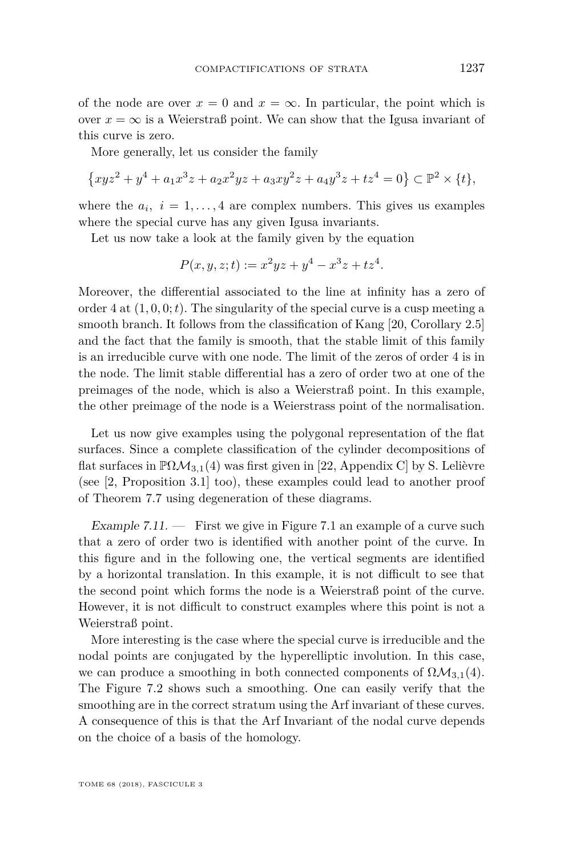of the node are over  $x = 0$  and  $x = \infty$ . In particular, the point which is over  $x = \infty$  is a Weierstraß point. We can show that the Igusa invariant of this curve is zero.

More generally, let us consider the family

$$
\{xyz^2 + y^4 + a_1x^3z + a_2x^2yz + a_3xy^2z + a_4y^3z + tz^4 = 0\} \subset \mathbb{P}^2 \times \{t\},\
$$

where the  $a_i$ ,  $i = 1, \ldots, 4$  are complex numbers. This gives us examples where the special curve has any given Igusa invariants.

Let us now take a look at the family given by the equation

$$
P(x, y, z; t) := x^2yz + y^4 - x^3z + tz^4.
$$

Moreover, the differential associated to the line at infinity has a zero of order 4 at  $(1, 0, 0; t)$ . The singularity of the special curve is a cusp meeting a smooth branch. It follows from the classification of Kang [\[20,](#page-72-5) Corollary 2.5] and the fact that the family is smooth, that the stable limit of this family is an irreducible curve with one node. The limit of the zeros of order 4 is in the node. The limit stable differential has a zero of order two at one of the preimages of the node, which is also a Weierstraß point. In this example, the other preimage of the node is a Weierstrass point of the normalisation.

Let us now give examples using the polygonal representation of the flat surfaces. Since a complete classification of the cylinder decompositions of flat surfaces in  $\mathbb{P}\Omega\mathcal{M}_{3,1}(4)$  was first given in [\[22,](#page-72-6) Appendix C] by S. Lelièvre (see [\[2,](#page-71-7) Proposition 3.1] too), these examples could lead to another proof of Theorem [7.7](#page-65-1) using degeneration of these diagrams.

Example [7.1](#page-70-0)1.  $\equiv$  First we give in Figure 7.1 an example of a curve such that a zero of order two is identified with another point of the curve. In this figure and in the following one, the vertical segments are identified by a horizontal translation. In this example, it is not difficult to see that the second point which forms the node is a Weierstraß point of the curve. However, it is not difficult to construct examples where this point is not a Weierstraß point.

More interesting is the case where the special curve is irreducible and the nodal points are conjugated by the hyperelliptic involution. In this case, we can produce a smoothing in both connected components of  $\Omega \mathcal{M}_{3,1}(4)$ . The Figure [7.2](#page-70-1) shows such a smoothing. One can easily verify that the smoothing are in the correct stratum using the Arf invariant of these curves. A consequence of this is that the Arf Invariant of the nodal curve depends on the choice of a basis of the homology.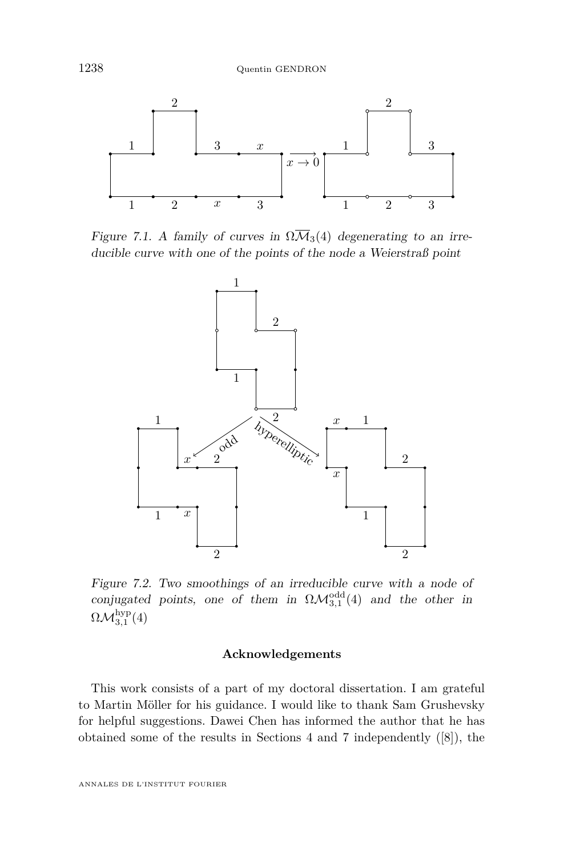

Figure 7.1. A family of curves in  $\Omega \overline{\mathcal{M}}_3(4)$  degenerating to an irreducible curve with one of the points of the node a Weierstraß point

<span id="page-70-0"></span>

<span id="page-70-1"></span>Figure 7.2. Two smoothings of an irreducible curve with a node of conjugated points, one of them in  $\Omega \mathcal{M}^{\text{odd}}_{3,1}(4)$  and the other in  $\Omega \mathcal{M}_{3,1}^{\mathrm{hyp}}(4)$ 

### **Acknowledgements**

This work consists of a part of my doctoral dissertation. I am grateful to Martin Möller for his guidance. I would like to thank Sam Grushevsky for helpful suggestions. Dawei Chen has informed the author that he has obtained some of the results in Sections [4](#page-32-0) and [7](#page-61-1) independently ([\[8\]](#page-71-8)), the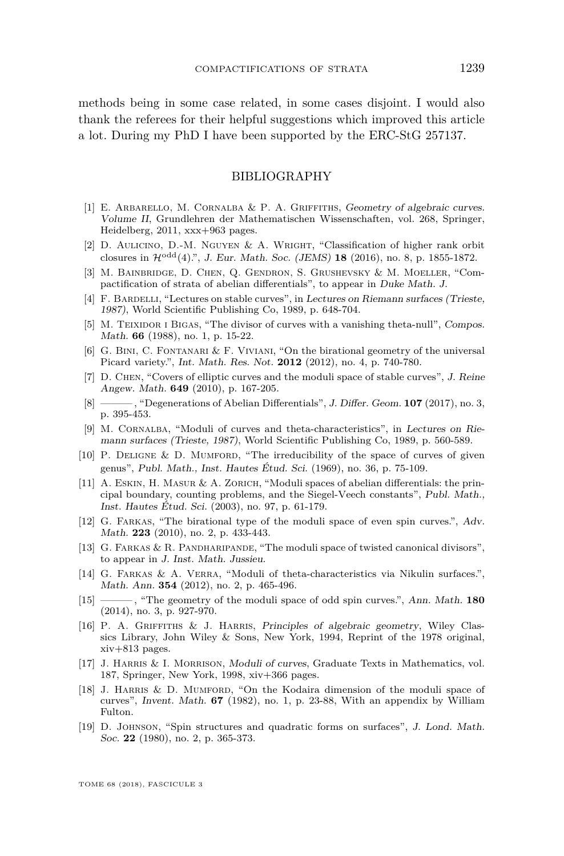methods being in some case related, in some cases disjoint. I would also thank the referees for their helpful suggestions which improved this article a lot. During my PhD I have been supported by the ERC-StG 257137.

## BIBLIOGRAPHY

- <span id="page-71-3"></span>[1] E. Arbarello, M. Cornalba & P. A. Griffiths, Geometry of algebraic curves. Volume II, Grundlehren der Mathematischen Wissenschaften, vol. 268, Springer, Heidelberg, 2011, xxx+963 pages.
- <span id="page-71-7"></span>[2] D. AULICINO, D.-M. NGUYEN & A. WRIGHT, "Classification of higher rank orbit closures in Hodd(4).", J. Eur. Math. Soc. (JEMS) **18** (2016), no. 8, p. 1855-1872.
- [3] M. Bainbridge, D. Chen, Q. Gendron, S. Grushevsky & M. Moeller, "Compactification of strata of abelian differentials", to appear in Duke Math. J.
- [4] F. BARDELLI, "Lectures on stable curves", in Lectures on Riemann surfaces (Trieste, 1987), World Scientific Publishing Co, 1989, p. 648-704.
- <span id="page-71-4"></span>[5] M. TEIXIDOR I BIGAS, "The divisor of curves with a vanishing theta-null", Compos. Math. **66** (1988), no. 1, p. 15-22.
- [6] G. Bini, C. Fontanari & F. Viviani, "On the birational geometry of the universal Picard variety.", Int. Math. Res. Not. **2012** (2012), no. 4, p. 740-780.
- <span id="page-71-2"></span>[7] D. Chen, "Covers of elliptic curves and the moduli space of stable curves", J. Reine Angew. Math. **649** (2010), p. 167-205.
- <span id="page-71-8"></span>[8] ——— , "Degenerations of Abelian Differentials", J. Differ. Geom. **107** (2017), no. 3, p. 395-453.
- <span id="page-71-0"></span>[9] M. Cornalba, "Moduli of curves and theta-characteristics", in Lectures on Riemann surfaces (Trieste, 1987), World Scientific Publishing Co, 1989, p. 560-589.
- [10] P. Deligne & D. Mumford, "The irreducibility of the space of curves of given genus", Publ. Math., Inst. Hautes Étud. Sci. (1969), no. 36, p. 75-109.
- [11] A. Eskin, H. Masur & A. Zorich, "Moduli spaces of abelian differentials: the principal boundary, counting problems, and the Siegel-Veech constants", Publ. Math., Inst. Hautes Étud. Sci. (2003), no. 97, p. 61-179.
- [12] G. Farkas, "The birational type of the moduli space of even spin curves.", Adv. Math. **223** (2010), no. 2, p. 433-443.
- [13] G. Farkas & R. Pandharipande, "The moduli space of twisted canonical divisors", to appear in J. Inst. Math. Jussieu.
- [14] G. FARKAS & A. VERRA, "Moduli of theta-characteristics via Nikulin surfaces.", Math. Ann. **354** (2012), no. 2, p. 465-496.
- <span id="page-71-5"></span>[15] ——— , "The geometry of the moduli space of odd spin curves.", Ann. Math. **180** (2014), no. 3, p. 927-970.
- [16] P. A. GRIFFITHS & J. HARRIS, Principles of algebraic geometry, Wiley Classics Library, John Wiley & Sons, New York, 1994, Reprint of the 1978 original, xiv+813 pages.
- <span id="page-71-6"></span>[17] J. Harris & I. Morrison, Moduli of curves, Graduate Texts in Mathematics, vol. 187, Springer, New York, 1998, xiv+366 pages.
- [18] J. Harris & D. Mumford, "On the Kodaira dimension of the moduli space of curves", Invent. Math. **67** (1982), no. 1, p. 23-88, With an appendix by William Fulton.
- <span id="page-71-1"></span>[19] D. Johnson, "Spin structures and quadratic forms on surfaces", J. Lond. Math. Soc. **22** (1980), no. 2, p. 365-373.